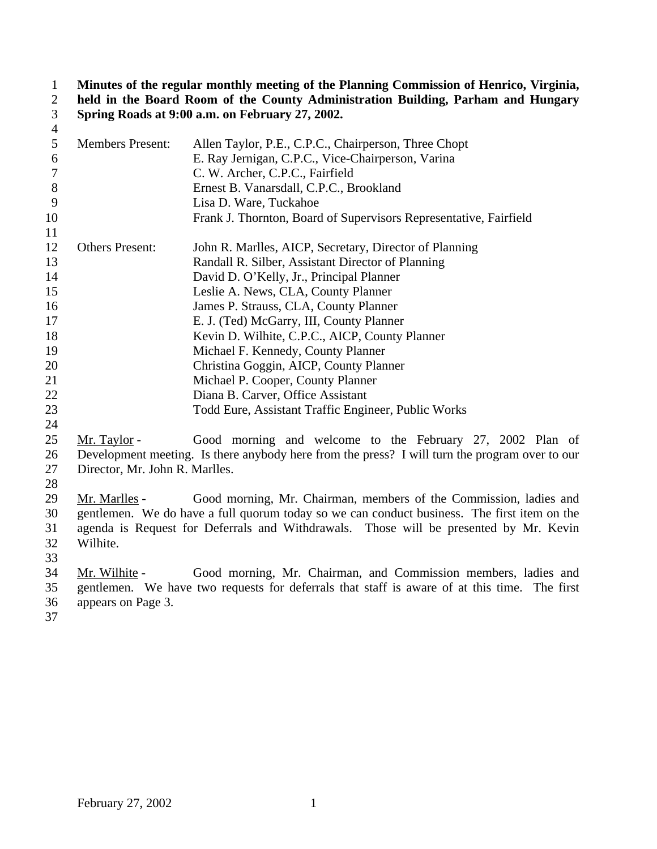**Minutes of the regular monthly meeting of the Planning Commission of Henrico, Virginia, held in the Board Room of the County Administration Building, Parham and Hungary Spring Roads at 9:00 a.m. on February 27, 2002.**

| $\overline{4}$ |                         |                                                                   |
|----------------|-------------------------|-------------------------------------------------------------------|
| 5              | <b>Members Present:</b> | Allen Taylor, P.E., C.P.C., Chairperson, Three Chopt              |
| 6              |                         | E. Ray Jernigan, C.P.C., Vice-Chairperson, Varina                 |
| 7              |                         | C. W. Archer, C.P.C., Fairfield                                   |
| 8              |                         | Ernest B. Vanarsdall, C.P.C., Brookland                           |
| 9              |                         | Lisa D. Ware, Tuckahoe                                            |
| 10             |                         | Frank J. Thornton, Board of Supervisors Representative, Fairfield |
| 11             |                         |                                                                   |
| 12             | <b>Others Present:</b>  | John R. Marlles, AICP, Secretary, Director of Planning            |
| 13             |                         | Randall R. Silber, Assistant Director of Planning                 |
| 14             |                         | David D. O'Kelly, Jr., Principal Planner                          |
| 15             |                         | Leslie A. News, CLA, County Planner                               |
| 16             |                         | James P. Strauss, CLA, County Planner                             |
| 17             |                         | E. J. (Ted) McGarry, III, County Planner                          |
| 18             |                         | Kevin D. Wilhite, C.P.C., AICP, County Planner                    |
| 19             |                         | Michael F. Kennedy, County Planner                                |
| 20             |                         | Christina Goggin, AICP, County Planner                            |
| 21             |                         | Michael P. Cooper, County Planner                                 |
| 22             |                         | Diana B. Carver, Office Assistant                                 |
| 23             |                         | Todd Eure, Assistant Traffic Engineer, Public Works               |
| 24             |                         |                                                                   |
| 25             | Mr. Taylor -            | Good morning and welcome to the February 27, 2002 Plan of         |
| $\sim$         |                         |                                                                   |

 Development meeting. Is there anybody here from the press? I will turn the program over to our Director, Mr. John R. Marlles.

 Mr. Marlles - Good morning, Mr. Chairman, members of the Commission, ladies and gentlemen. We do have a full quorum today so we can conduct business. The first item on the agenda is Request for Deferrals and Withdrawals. Those will be presented by Mr. Kevin Wilhite.

 Mr. Wilhite - Good morning, Mr. Chairman, and Commission members, ladies and gentlemen. We have two requests for deferrals that staff is aware of at this time. The first appears on Page 3.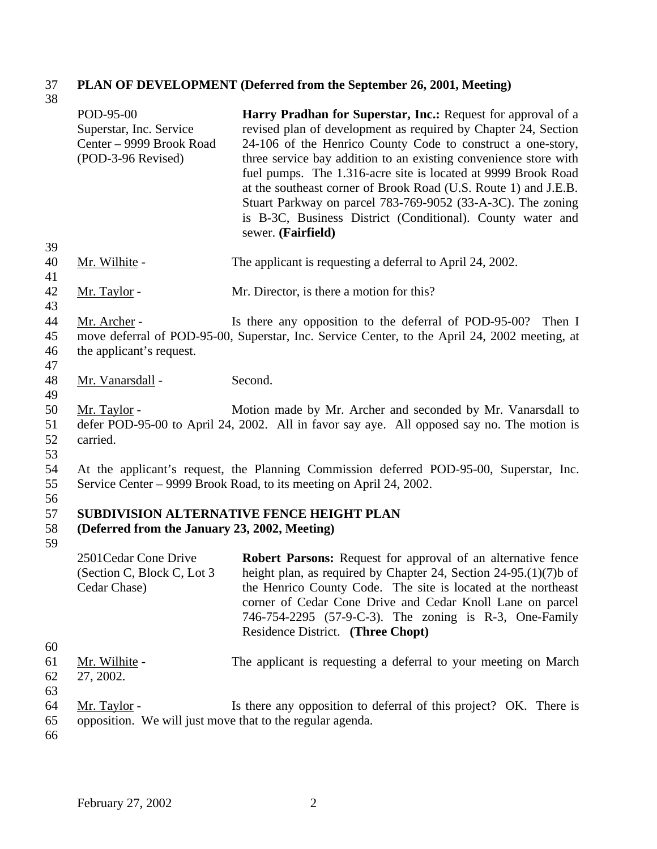#### 37 **PLAN OF DEVELOPMENT (Deferred from the September 26, 2001, Meeting)**  $\frac{37}{38}$

| JO.                  | POD-95-00                                                                 | Harry Pradhan for Superstar, Inc.: Request for approval of a                                                                                                                                                                                                                                                                                                                                                                                                                             |
|----------------------|---------------------------------------------------------------------------|------------------------------------------------------------------------------------------------------------------------------------------------------------------------------------------------------------------------------------------------------------------------------------------------------------------------------------------------------------------------------------------------------------------------------------------------------------------------------------------|
|                      | Superstar, Inc. Service<br>Center - 9999 Brook Road<br>(POD-3-96 Revised) | revised plan of development as required by Chapter 24, Section<br>24-106 of the Henrico County Code to construct a one-story,<br>three service bay addition to an existing convenience store with<br>fuel pumps. The 1.316-acre site is located at 9999 Brook Road<br>at the southeast corner of Brook Road (U.S. Route 1) and J.E.B.<br>Stuart Parkway on parcel 783-769-9052 (33-A-3C). The zoning<br>is B-3C, Business District (Conditional). County water and<br>sewer. (Fairfield) |
| 39<br>40<br>41       | Mr. Wilhite -                                                             | The applicant is requesting a deferral to April 24, 2002.                                                                                                                                                                                                                                                                                                                                                                                                                                |
| 42<br>43             | Mr. Taylor -                                                              | Mr. Director, is there a motion for this?                                                                                                                                                                                                                                                                                                                                                                                                                                                |
| 44<br>45<br>46<br>47 | Mr. Archer -<br>the applicant's request.                                  | Is there any opposition to the deferral of POD-95-00?<br>Then I<br>move deferral of POD-95-00, Superstar, Inc. Service Center, to the April 24, 2002 meeting, at                                                                                                                                                                                                                                                                                                                         |
| 48<br>49             | Mr. Vanarsdall -                                                          | Second.                                                                                                                                                                                                                                                                                                                                                                                                                                                                                  |
| 50<br>51<br>52<br>53 | Mr. Taylor -<br>carried.                                                  | Motion made by Mr. Archer and seconded by Mr. Vanarsdall to<br>defer POD-95-00 to April 24, 2002. All in favor say aye. All opposed say no. The motion is                                                                                                                                                                                                                                                                                                                                |
| 54<br>55             |                                                                           | At the applicant's request, the Planning Commission deferred POD-95-00, Superstar, Inc.<br>Service Center – 9999 Brook Road, to its meeting on April 24, 2002.                                                                                                                                                                                                                                                                                                                           |
| 56<br>57<br>58<br>59 | (Deferred from the January 23, 2002, Meeting)                             | <b>SUBDIVISION ALTERNATIVE FENCE HEIGHT PLAN</b>                                                                                                                                                                                                                                                                                                                                                                                                                                         |
| 60                   | 2501 Cedar Cone Drive<br>(Section C, Block C, Lot 3<br>Cedar Chase)       | <b>Robert Parsons:</b> Request for approval of an alternative fence<br>height plan, as required by Chapter 24, Section $24-95(1)(7)$ b of<br>the Henrico County Code. The site is located at the northeast<br>corner of Cedar Cone Drive and Cedar Knoll Lane on parcel<br>746-754-2295 (57-9-C-3). The zoning is R-3, One-Family<br>Residence District. (Three Chopt)                                                                                                                   |
| 61<br>62             | Mr. Wilhite -<br>27, 2002.                                                | The applicant is requesting a deferral to your meeting on March                                                                                                                                                                                                                                                                                                                                                                                                                          |
| 63<br>64<br>65<br>66 | Mr. Taylor -<br>opposition. We will just move that to the regular agenda. | Is there any opposition to deferral of this project? OK. There is                                                                                                                                                                                                                                                                                                                                                                                                                        |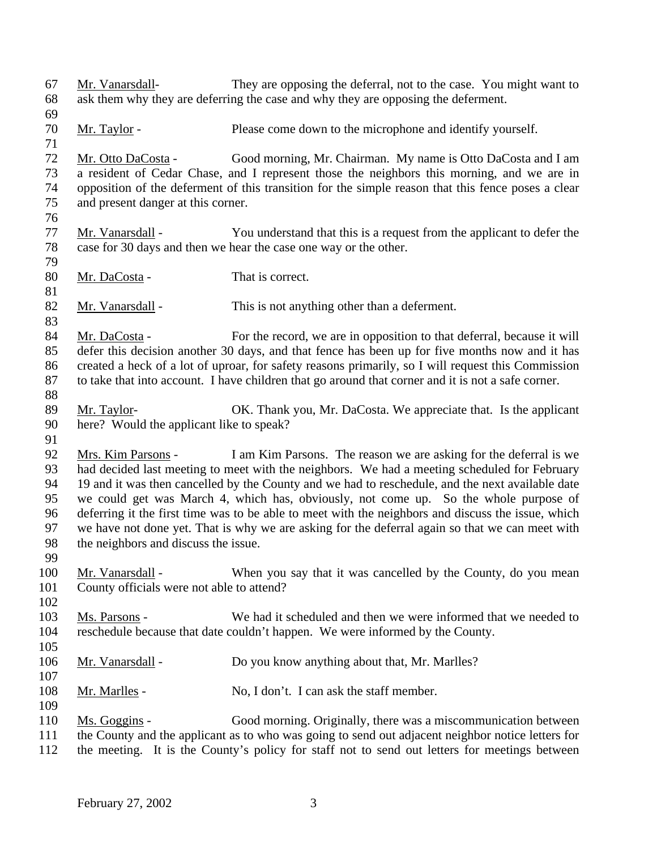Mr. Vanarsdall- They are opposing the deferral, not to the case. You might want to ask them why they are deferring the case and why they are opposing the deferment. 70 Mr. Taylor - Please come down to the microphone and identify yourself. Mr. Otto DaCosta - Good morning, Mr. Chairman. My name is Otto DaCosta and I am a resident of Cedar Chase, and I represent those the neighbors this morning, and we are in opposition of the deferment of this transition for the simple reason that this fence poses a clear and present danger at this corner. 77 Mr. Vanarsdall - You understand that this is a request from the applicant to defer the case for 30 days and then we hear the case one way or the other. 80 Mr. DaCosta - That is correct. 82 Mr. Vanarsdall - This is not anything other than a deferment. 84 Mr. DaCosta - For the record, we are in opposition to that deferral, because it will defer this decision another 30 days, and that fence has been up for five months now and it has created a heck of a lot of uproar, for safety reasons primarily, so I will request this Commission to take that into account. I have children that go around that corner and it is not a safe corner. 89 Mr. Taylor- OK. Thank you, Mr. DaCosta. We appreciate that. Is the applicant here? Would the applicant like to speak? Mrs. Kim Parsons - I am Kim Parsons. The reason we are asking for the deferral is we had decided last meeting to meet with the neighbors. We had a meeting scheduled for February 19 and it was then cancelled by the County and we had to reschedule, and the next available date we could get was March 4, which has, obviously, not come up. So the whole purpose of deferring it the first time was to be able to meet with the neighbors and discuss the issue, which we have not done yet. That is why we are asking for the deferral again so that we can meet with the neighbors and discuss the issue. Mr. Vanarsdall - When you say that it was cancelled by the County, do you mean County officials were not able to attend? Ms. Parsons - We had it scheduled and then we were informed that we needed to reschedule because that date couldn't happen. We were informed by the County. Mr. Vanarsdall - Do you know anything about that, Mr. Marlles? Mr. Marlles - No, I don't. I can ask the staff member. Ms. Goggins - Good morning. Originally, there was a miscommunication between the County and the applicant as to who was going to send out adjacent neighbor notice letters for the meeting. It is the County's policy for staff not to send out letters for meetings between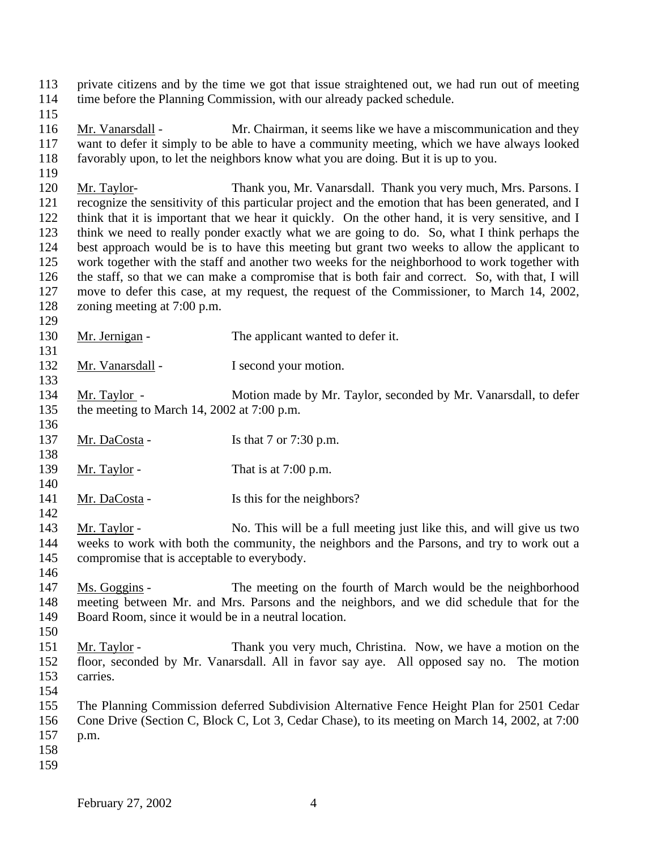private citizens and by the time we got that issue straightened out, we had run out of meeting time before the Planning Commission, with our already packed schedule. Mr. Vanarsdall - Mr. Chairman, it seems like we have a miscommunication and they want to defer it simply to be able to have a community meeting, which we have always looked favorably upon, to let the neighbors know what you are doing. But it is up to you. Mr. Taylor- Thank you, Mr. Vanarsdall. Thank you very much, Mrs. Parsons. I recognize the sensitivity of this particular project and the emotion that has been generated, and I think that it is important that we hear it quickly. On the other hand, it is very sensitive, and I think we need to really ponder exactly what we are going to do. So, what I think perhaps the best approach would be is to have this meeting but grant two weeks to allow the applicant to work together with the staff and another two weeks for the neighborhood to work together with the staff, so that we can make a compromise that is both fair and correct. So, with that, I will move to defer this case, at my request, the request of the Commissioner, to March 14, 2002, zoning meeting at 7:00 p.m. 130 Mr. Jernigan - The applicant wanted to defer it. 132 Mr. Vanarsdall - I second your motion. Mr. Taylor - Motion made by Mr. Taylor, seconded by Mr. Vanarsdall, to defer the meeting to March 14, 2002 at 7:00 p.m. 137 Mr. DaCosta - Is that 7 or 7:30 p.m. 139 Mr. Taylor - That is at 7:00 p.m. 141 Mr. DaCosta - Is this for the neighbors? Mr. Taylor - No. This will be a full meeting just like this, and will give us two weeks to work with both the community, the neighbors and the Parsons, and try to work out a compromise that is acceptable to everybody. Ms. Goggins - The meeting on the fourth of March would be the neighborhood meeting between Mr. and Mrs. Parsons and the neighbors, and we did schedule that for the Board Room, since it would be in a neutral location. Mr. Taylor - Thank you very much, Christina. Now, we have a motion on the floor, seconded by Mr. Vanarsdall. All in favor say aye. All opposed say no. The motion carries. The Planning Commission deferred Subdivision Alternative Fence Height Plan for 2501 Cedar Cone Drive (Section C, Block C, Lot 3, Cedar Chase), to its meeting on March 14, 2002, at 7:00 p.m.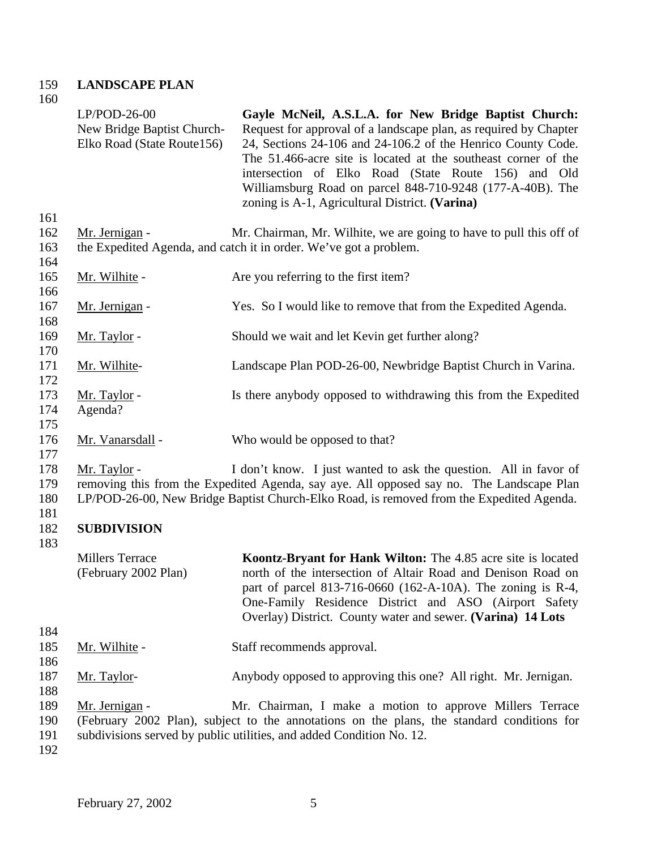#### 159 **LANDSCAPE PLAN** 160

|                                 | $LP/POD-26-00$<br>New Bridge Baptist Church-<br>Elko Road (State Route156) | Gayle McNeil, A.S.L.A. for New Bridge Baptist Church:<br>Request for approval of a landscape plan, as required by Chapter<br>24, Sections 24-106 and 24-106.2 of the Henrico County Code.<br>The 51.466-acre site is located at the southeast corner of the<br>intersection of Elko Road (State Route 156) and Old<br>Williamsburg Road on parcel 848-710-9248 (177-A-40B). The<br>zoning is A-1, Agricultural District. (Varina) |
|---------------------------------|----------------------------------------------------------------------------|-----------------------------------------------------------------------------------------------------------------------------------------------------------------------------------------------------------------------------------------------------------------------------------------------------------------------------------------------------------------------------------------------------------------------------------|
| 161<br>162<br>163               | Mr. Jernigan -                                                             | Mr. Chairman, Mr. Wilhite, we are going to have to pull this off of<br>the Expedited Agenda, and catch it in order. We've got a problem.                                                                                                                                                                                                                                                                                          |
| 164<br>165                      | Mr. Wilhite -                                                              | Are you referring to the first item?                                                                                                                                                                                                                                                                                                                                                                                              |
| 166<br>167                      | Mr. Jernigan -                                                             | Yes. So I would like to remove that from the Expedited Agenda.                                                                                                                                                                                                                                                                                                                                                                    |
| 168<br>169<br>170               | Mr. Taylor -                                                               | Should we wait and let Kevin get further along?                                                                                                                                                                                                                                                                                                                                                                                   |
| 171<br>172                      | Mr. Wilhite-                                                               | Landscape Plan POD-26-00, Newbridge Baptist Church in Varina.                                                                                                                                                                                                                                                                                                                                                                     |
| 173<br>174<br>175               | Mr. Taylor -<br>Agenda?                                                    | Is there anybody opposed to withdrawing this from the Expedited                                                                                                                                                                                                                                                                                                                                                                   |
| 176<br>177                      | Mr. Vanarsdall -                                                           | Who would be opposed to that?                                                                                                                                                                                                                                                                                                                                                                                                     |
| 178<br>179<br>180               | <u>Mr. Taylor</u> -                                                        | I don't know. I just wanted to ask the question. All in favor of<br>removing this from the Expedited Agenda, say aye. All opposed say no. The Landscape Plan<br>LP/POD-26-00, New Bridge Baptist Church-Elko Road, is removed from the Expedited Agenda.                                                                                                                                                                          |
| 181<br>182                      | <b>SUBDIVISION</b>                                                         |                                                                                                                                                                                                                                                                                                                                                                                                                                   |
| 183                             | <b>Millers Terrace</b><br>(February 2002 Plan)                             | Koontz-Bryant for Hank Wilton: The 4.85 acre site is located<br>north of the intersection of Altair Road and Denison Road on<br>part of parcel 813-716-0660 (162-A-10A). The zoning is R-4,<br>One-Family Residence District and ASO (Airport Safety<br>Overlay) District. County water and sewer. (Varina) 14 Lots                                                                                                               |
| 184<br>185                      | <u>Mr. Wilhite</u> -                                                       | Staff recommends approval.                                                                                                                                                                                                                                                                                                                                                                                                        |
| 186<br>187                      | Mr. Taylor-                                                                | Anybody opposed to approving this one? All right. Mr. Jernigan.                                                                                                                                                                                                                                                                                                                                                                   |
| 188<br>189<br>190<br>191<br>192 | Mr. Jernigan -                                                             | Mr. Chairman, I make a motion to approve Millers Terrace<br>(February 2002 Plan), subject to the annotations on the plans, the standard conditions for<br>subdivisions served by public utilities, and added Condition No. 12.                                                                                                                                                                                                    |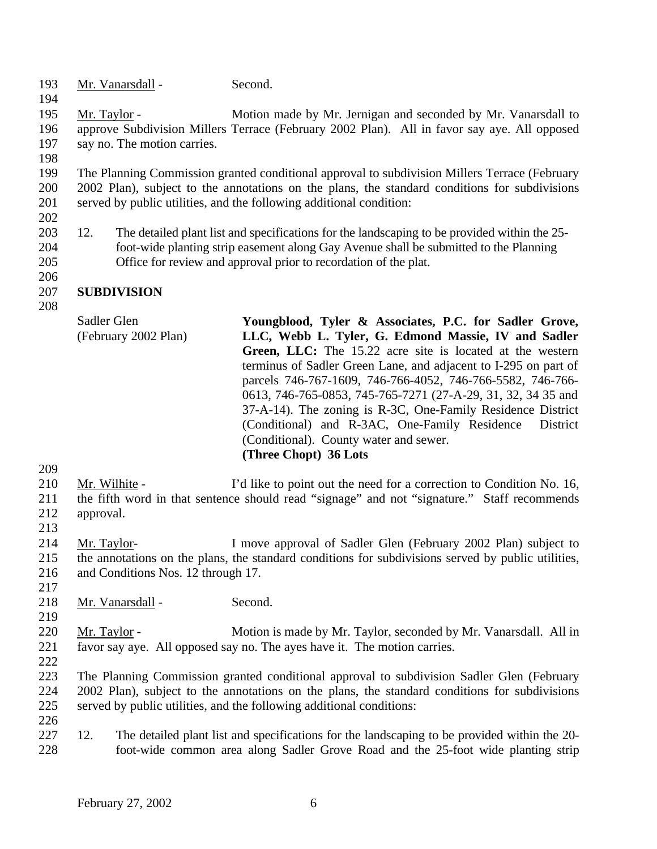193 Mr. Vanarsdall - Second.

 Mr. Taylor - Motion made by Mr. Jernigan and seconded by Mr. Vanarsdall to approve Subdivision Millers Terrace (February 2002 Plan). All in favor say aye. All opposed say no. The motion carries.

 The Planning Commission granted conditional approval to subdivision Millers Terrace (February 2002 Plan), subject to the annotations on the plans, the standard conditions for subdivisions served by public utilities, and the following additional condition:

- 
- 12. The detailed plant list and specifications for the landscaping to be provided within the 25- foot-wide planting strip easement along Gay Avenue shall be submitted to the Planning Office for review and approval prior to recordation of the plat.

#### **SUBDIVISION**

Sadler Glen (February 2002 Plan) **Youngblood, Tyler & Associates, P.C. for Sadler Grove, LLC, Webb L. Tyler, G. Edmond Massie, IV and Sadler Green, LLC:** The 15.22 acre site is located at the western terminus of Sadler Green Lane, and adjacent to I-295 on part of parcels 746-767-1609, 746-766-4052, 746-766-5582, 746-766- 0613, 746-765-0853, 745-765-7271 (27-A-29, 31, 32, 34 35 and 37-A-14). The zoning is R-3C, One-Family Residence District (Conditional) and R-3AC, One-Family Residence District (Conditional). County water and sewer. **(Three Chopt) 36 Lots**

- Mr. Wilhite I'd like to point out the need for a correction to Condition No. 16, the fifth word in that sentence should read "signage" and not "signature." Staff recommends approval.
- 
- Mr. Taylor- I move approval of Sadler Glen (February 2002 Plan) subject to the annotations on the plans, the standard conditions for subdivisions served by public utilities, and Conditions Nos. 12 through 17.
- 

- 218 Mr. Vanarsdall Second.
- Mr. Taylor Motion is made by Mr. Taylor, seconded by Mr. Vanarsdall. All in favor say aye. All opposed say no. The ayes have it. The motion carries.
- The Planning Commission granted conditional approval to subdivision Sadler Glen (February 2002 Plan), subject to the annotations on the plans, the standard conditions for subdivisions served by public utilities, and the following additional conditions:
- 
- 12. The detailed plant list and specifications for the landscaping to be provided within the 20- foot-wide common area along Sadler Grove Road and the 25-foot wide planting strip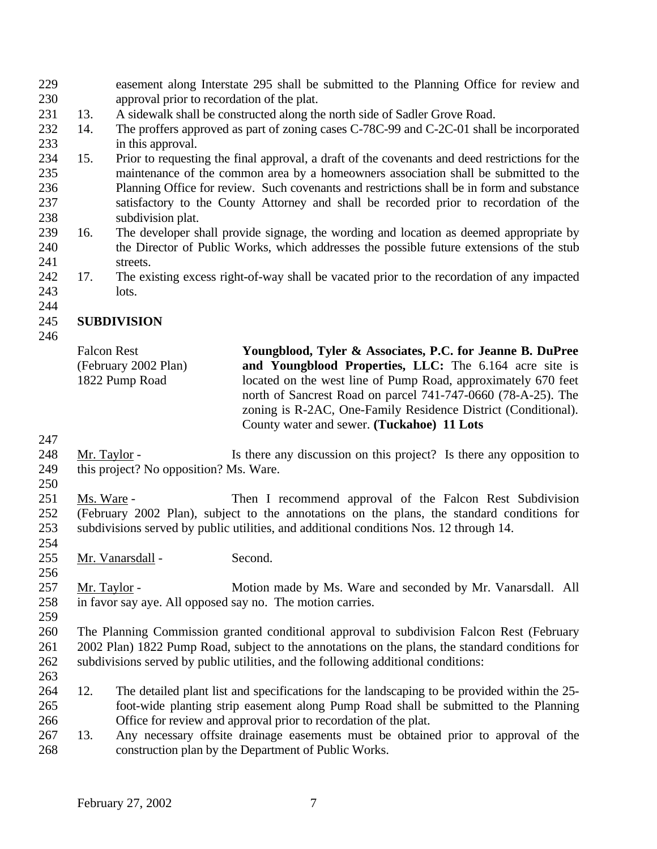easement along Interstate 295 shall be submitted to the Planning Office for review and approval prior to recordation of the plat.

- 13. A sidewalk shall be constructed along the north side of Sadler Grove Road.
- 14. The proffers approved as part of zoning cases C-78C-99 and C-2C-01 shall be incorporated in this approval.
- 15. Prior to requesting the final approval, a draft of the covenants and deed restrictions for the maintenance of the common area by a homeowners association shall be submitted to the Planning Office for review. Such covenants and restrictions shall be in form and substance satisfactory to the County Attorney and shall be recorded prior to recordation of the subdivision plat.
- 16. The developer shall provide signage, the wording and location as deemed appropriate by the Director of Public Works, which addresses the possible future extensions of the stub streets.
- 17. The existing excess right-of-way shall be vacated prior to the recordation of any impacted lots.
- 

## **SUBDIVISION**

| Youngblood, Tyler & Associates, P.C. for Jeanne B. DuPree     |
|---------------------------------------------------------------|
| and Youngblood Properties, LLC: The 6.164 acre site is        |
| located on the west line of Pump Road, approximately 670 feet |
| north of Sancrest Road on parcel 741-747-0660 (78-A-25). The  |
| zoning is R-2AC, One-Family Residence District (Conditional). |
| County water and sewer. (Tuckahoe) 11 Lots                    |
|                                                               |

- Mr. Taylor Is there any discussion on this project? Is there any opposition to this project? No opposition? Ms. Ware.
- 

 Ms. Ware - Then I recommend approval of the Falcon Rest Subdivision (February 2002 Plan), subject to the annotations on the plans, the standard conditions for subdivisions served by public utilities, and additional conditions Nos. 12 through 14.

Mr. Vanarsdall - Second.

257 Mr. Taylor - Motion made by Ms. Ware and seconded by Mr. Vanarsdall. All in favor say aye. All opposed say no. The motion carries.

 The Planning Commission granted conditional approval to subdivision Falcon Rest (February 2002 Plan) 1822 Pump Road, subject to the annotations on the plans, the standard conditions for subdivisions served by public utilities, and the following additional conditions: 

- 12. The detailed plant list and specifications for the landscaping to be provided within the 25- foot-wide planting strip easement along Pump Road shall be submitted to the Planning Office for review and approval prior to recordation of the plat.
- 13. Any necessary offsite drainage easements must be obtained prior to approval of the construction plan by the Department of Public Works.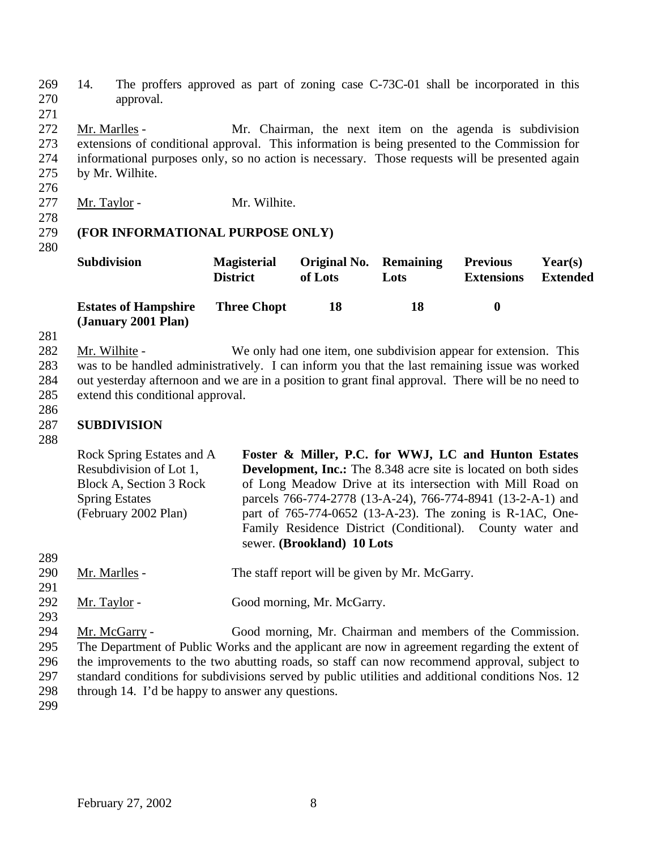269 14. The proffers approved as part of zoning case C-73C-01 shall be incorporated in this 270 approval.

 Mr. Marlles - Mr. Chairman, the next item on the agenda is subdivision extensions of conditional approval. This information is being presented to the Commission for informational purposes only, so no action is necessary. Those requests will be presented again by Mr. Wilhite.

276

271

- 277 Mr. Taylor Mr. Wilhite.
- 278

## 279 **(FOR INFORMATIONAL PURPOSE ONLY)**

280

| <b>Subdivision</b>                                 | <b>Magisterial</b><br><b>District</b> | <b>Original No. Remaining</b><br>of Lots | Lots | <b>Previous</b><br><b>Extensions</b> | Year(s)<br><b>Extended</b> |
|----------------------------------------------------|---------------------------------------|------------------------------------------|------|--------------------------------------|----------------------------|
| <b>Estates of Hampshire</b><br>(January 2001 Plan) | <b>Three Chopt</b>                    | 18                                       | 18   | $\bullet$                            |                            |

281

 Mr. Wilhite - We only had one item, one subdivision appear for extension. This was to be handled administratively. I can inform you that the last remaining issue was worked out yesterday afternoon and we are in a position to grant final approval. There will be no need to extend this conditional approval.

286

## 287 **SUBDIVISION**

288

289

291

293

|                                 | Rock Spring Estates and A<br>Resubdivision of Lot 1,<br>Block A, Section 3 Rock<br><b>Spring Estates</b><br>(February 2002 Plan) | Foster & Miller, P.C. for WWJ, LC and Hunton Estates<br><b>Development, Inc.:</b> The 8.348 acre site is located on both sides<br>of Long Meadow Drive at its intersection with Mill Road on<br>parcels 766-774-2778 (13-A-24), 766-774-8941 (13-2-A-1) and<br>part of 765-774-0652 (13-A-23). The zoning is R-1AC, One-<br>Family Residence District (Conditional). County water and<br>sewer. (Brookland) 10 Lots |
|---------------------------------|----------------------------------------------------------------------------------------------------------------------------------|---------------------------------------------------------------------------------------------------------------------------------------------------------------------------------------------------------------------------------------------------------------------------------------------------------------------------------------------------------------------------------------------------------------------|
| 289<br>290<br>291<br>292<br>293 | Mr. Marlles -<br>Mr. Taylor -                                                                                                    | The staff report will be given by Mr. McGarry.<br>Good morning, Mr. McGarry.                                                                                                                                                                                                                                                                                                                                        |

 Mr. McGarry - Good morning, Mr. Chairman and members of the Commission. The Department of Public Works and the applicant are now in agreement regarding the extent of the improvements to the two abutting roads, so staff can now recommend approval, subject to standard conditions for subdivisions served by public utilities and additional conditions Nos. 12 through 14. I'd be happy to answer any questions.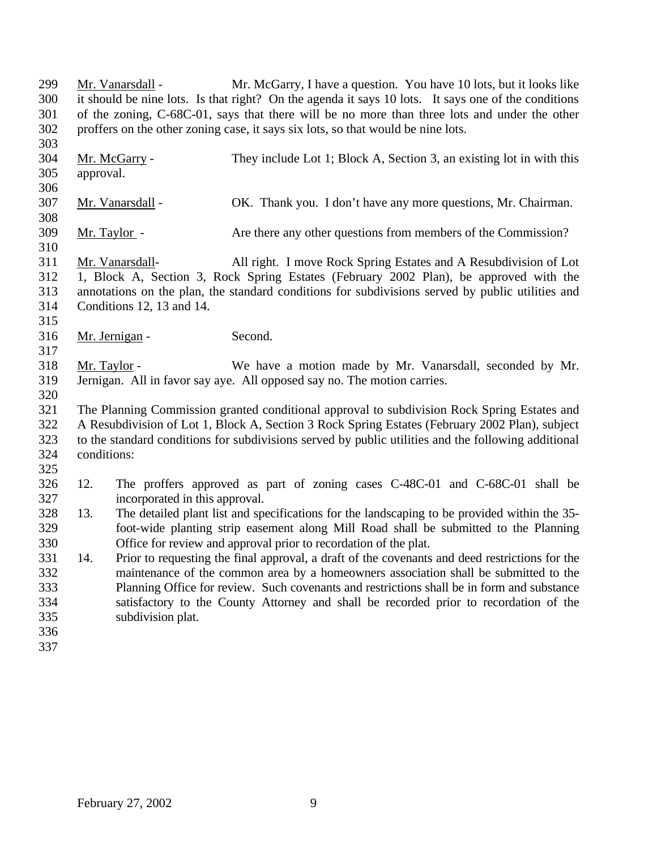Mr. Vanarsdall - Mr. McGarry, I have a question. You have 10 lots, but it looks like it should be nine lots. Is that right? On the agenda it says 10 lots. It says one of the conditions of the zoning, C-68C-01, says that there will be no more than three lots and under the other proffers on the other zoning case, it says six lots, so that would be nine lots.

- Mr. McGarry - They include Lot 1; Block A, Section 3, an existing lot in with this approval. Mr. Vanarsdall - OK. Thank you. I don't have any more questions, Mr. Chairman. Mr. Taylor - Are there any other questions from members of the Commission? Mr. Vanarsdall- All right. I move Rock Spring Estates and A Resubdivision of Lot
- 1, Block A, Section 3, Rock Spring Estates (February 2002 Plan), be approved with the annotations on the plan, the standard conditions for subdivisions served by public utilities and Conditions 12, 13 and 14.
- Mr. Jernigan Second.

 Mr. Taylor - We have a motion made by Mr. Vanarsdall, seconded by Mr. Jernigan. All in favor say aye. All opposed say no. The motion carries.

- The Planning Commission granted conditional approval to subdivision Rock Spring Estates and A Resubdivision of Lot 1, Block A, Section 3 Rock Spring Estates (February 2002 Plan), subject to the standard conditions for subdivisions served by public utilities and the following additional conditions:
- 

- 12. The proffers approved as part of zoning cases C-48C-01 and C-68C-01 shall be incorporated in this approval.
- 13. The detailed plant list and specifications for the landscaping to be provided within the 35- foot-wide planting strip easement along Mill Road shall be submitted to the Planning Office for review and approval prior to recordation of the plat.
- 14. Prior to requesting the final approval, a draft of the covenants and deed restrictions for the maintenance of the common area by a homeowners association shall be submitted to the Planning Office for review. Such covenants and restrictions shall be in form and substance satisfactory to the County Attorney and shall be recorded prior to recordation of the subdivision plat.
- 
-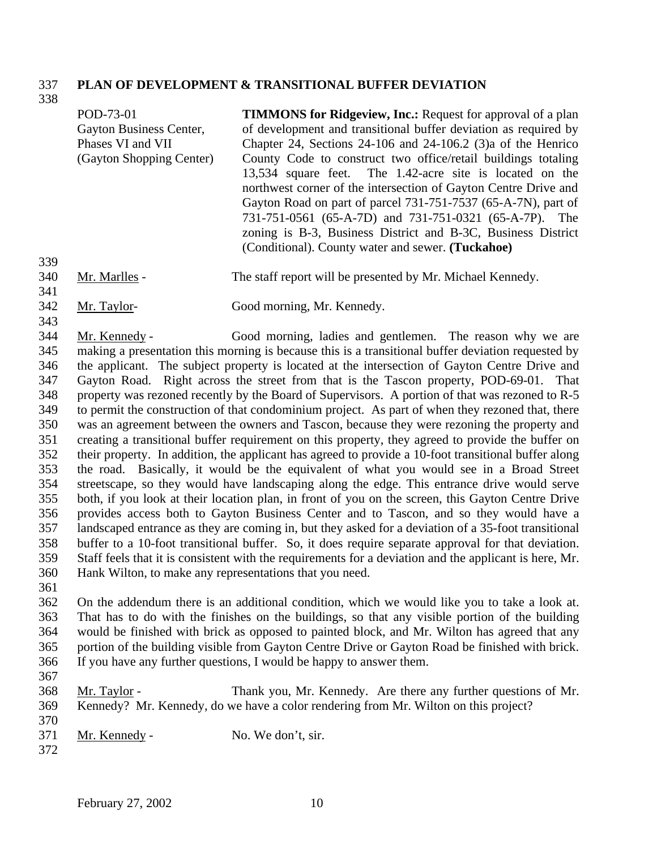#### **PLAN OF DEVELOPMENT & TRANSITIONAL BUFFER DEVIATION**

| 338 |                          |                                                                    |
|-----|--------------------------|--------------------------------------------------------------------|
|     | POD-73-01                | <b>TIMMONS for Ridgeview, Inc.:</b> Request for approval of a plan |
|     | Gayton Business Center,  | of development and transitional buffer deviation as required by    |
|     | Phases VI and VII        | Chapter 24, Sections $24-106$ and $24-106.2$ (3) a of the Henrico  |
|     | (Gayton Shopping Center) | County Code to construct two office/retail buildings totaling      |
|     |                          | 13,534 square feet. The 1.42-acre site is located on the           |
|     |                          | northwest corner of the intersection of Gayton Centre Drive and    |
|     |                          | Gayton Road on part of parcel 731-751-7537 (65-A-7N), part of      |
|     |                          | 731-751-0561 (65-A-7D) and 731-751-0321 (65-A-7P). The             |
|     |                          | zoning is B-3, Business District and B-3C, Business District       |
|     |                          | (Conditional). County water and sewer. (Tuckahoe)                  |
| 339 |                          |                                                                    |
| 340 | Mr. Marlles -            | The staff report will be presented by Mr. Michael Kennedy.         |
| 341 |                          |                                                                    |

- Mr. Taylor- Good morning, Mr. Kennedy.
- 

 Mr. Kennedy - Good morning, ladies and gentlemen. The reason why we are making a presentation this morning is because this is a transitional buffer deviation requested by the applicant. The subject property is located at the intersection of Gayton Centre Drive and Gayton Road. Right across the street from that is the Tascon property, POD-69-01. That property was rezoned recently by the Board of Supervisors. A portion of that was rezoned to R-5 to permit the construction of that condominium project. As part of when they rezoned that, there was an agreement between the owners and Tascon, because they were rezoning the property and creating a transitional buffer requirement on this property, they agreed to provide the buffer on their property. In addition, the applicant has agreed to provide a 10-foot transitional buffer along the road. Basically, it would be the equivalent of what you would see in a Broad Street streetscape, so they would have landscaping along the edge. This entrance drive would serve both, if you look at their location plan, in front of you on the screen, this Gayton Centre Drive provides access both to Gayton Business Center and to Tascon, and so they would have a landscaped entrance as they are coming in, but they asked for a deviation of a 35-foot transitional buffer to a 10-foot transitional buffer. So, it does require separate approval for that deviation. Staff feels that it is consistent with the requirements for a deviation and the applicant is here, Mr. Hank Wilton, to make any representations that you need.

 On the addendum there is an additional condition, which we would like you to take a look at. That has to do with the finishes on the buildings, so that any visible portion of the building would be finished with brick as opposed to painted block, and Mr. Wilton has agreed that any portion of the building visible from Gayton Centre Drive or Gayton Road be finished with brick. If you have any further questions, I would be happy to answer them.

- 
- Mr. Taylor Thank you, Mr. Kennedy. Are there any further questions of Mr. Kennedy? Mr. Kennedy, do we have a color rendering from Mr. Wilton on this project?
- 371 Mr. Kennedy No. We don't, sir.
-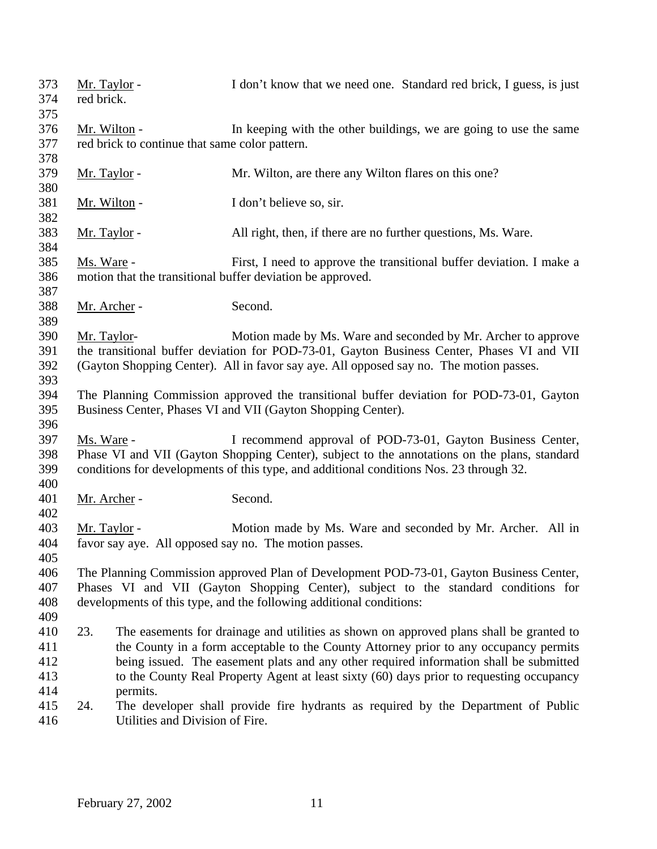| 373 | Mr. Taylor -        |                                                | I don't know that we need one. Standard red brick, I guess, is just                          |
|-----|---------------------|------------------------------------------------|----------------------------------------------------------------------------------------------|
| 374 | red brick.          |                                                |                                                                                              |
| 375 |                     |                                                |                                                                                              |
| 376 | Mr. Wilton -        |                                                | In keeping with the other buildings, we are going to use the same                            |
| 377 |                     | red brick to continue that same color pattern. |                                                                                              |
| 378 |                     |                                                |                                                                                              |
| 379 | <u>Mr. Taylor</u> - |                                                | Mr. Wilton, are there any Wilton flares on this one?                                         |
| 380 |                     |                                                |                                                                                              |
| 381 | Mr. Wilton -        |                                                | I don't believe so, sir.                                                                     |
| 382 |                     |                                                |                                                                                              |
| 383 | Mr. Taylor -        |                                                | All right, then, if there are no further questions, Ms. Ware.                                |
| 384 |                     |                                                |                                                                                              |
| 385 | Ms. Ware -          |                                                | First, I need to approve the transitional buffer deviation. I make a                         |
| 386 |                     |                                                | motion that the transitional buffer deviation be approved.                                   |
| 387 |                     |                                                |                                                                                              |
| 388 | Mr. Archer -        |                                                | Second.                                                                                      |
| 389 |                     |                                                |                                                                                              |
| 390 |                     |                                                | Motion made by Ms. Ware and seconded by Mr. Archer to approve                                |
|     | Mr. Taylor-         |                                                |                                                                                              |
| 391 |                     |                                                | the transitional buffer deviation for POD-73-01, Gayton Business Center, Phases VI and VII   |
| 392 |                     |                                                | (Gayton Shopping Center). All in favor say aye. All opposed say no. The motion passes.       |
| 393 |                     |                                                |                                                                                              |
| 394 |                     |                                                | The Planning Commission approved the transitional buffer deviation for POD-73-01, Gayton     |
| 395 |                     |                                                | Business Center, Phases VI and VII (Gayton Shopping Center).                                 |
| 396 |                     |                                                |                                                                                              |
| 397 | Ms. Ware -          |                                                | I recommend approval of POD-73-01, Gayton Business Center,                                   |
| 398 |                     |                                                | Phase VI and VII (Gayton Shopping Center), subject to the annotations on the plans, standard |
| 399 |                     |                                                | conditions for developments of this type, and additional conditions Nos. 23 through 32.      |
| 400 |                     |                                                |                                                                                              |
| 401 | Mr. Archer -        |                                                | Second.                                                                                      |
| 402 |                     |                                                |                                                                                              |
| 403 | Mr. Taylor -        |                                                | Motion made by Ms. Ware and seconded by Mr. Archer. All in                                   |
| 404 |                     |                                                | favor say aye. All opposed say no. The motion passes.                                        |
| 405 |                     |                                                |                                                                                              |
| 406 |                     |                                                | The Planning Commission approved Plan of Development POD-73-01, Gayton Business Center,      |
| 407 |                     |                                                | Phases VI and VII (Gayton Shopping Center), subject to the standard conditions for           |
| 408 |                     |                                                | developments of this type, and the following additional conditions:                          |
| 409 |                     |                                                |                                                                                              |
| 410 | 23.                 |                                                | The easements for drainage and utilities as shown on approved plans shall be granted to      |
| 411 |                     |                                                | the County in a form acceptable to the County Attorney prior to any occupancy permits        |
| 412 |                     |                                                | being issued. The easement plats and any other required information shall be submitted       |
| 413 |                     |                                                | to the County Real Property Agent at least sixty (60) days prior to requesting occupancy     |
| 414 |                     | permits.                                       |                                                                                              |
| 415 | 24.                 |                                                | The developer shall provide fire hydrants as required by the Department of Public            |
| 416 |                     | Utilities and Division of Fire.                |                                                                                              |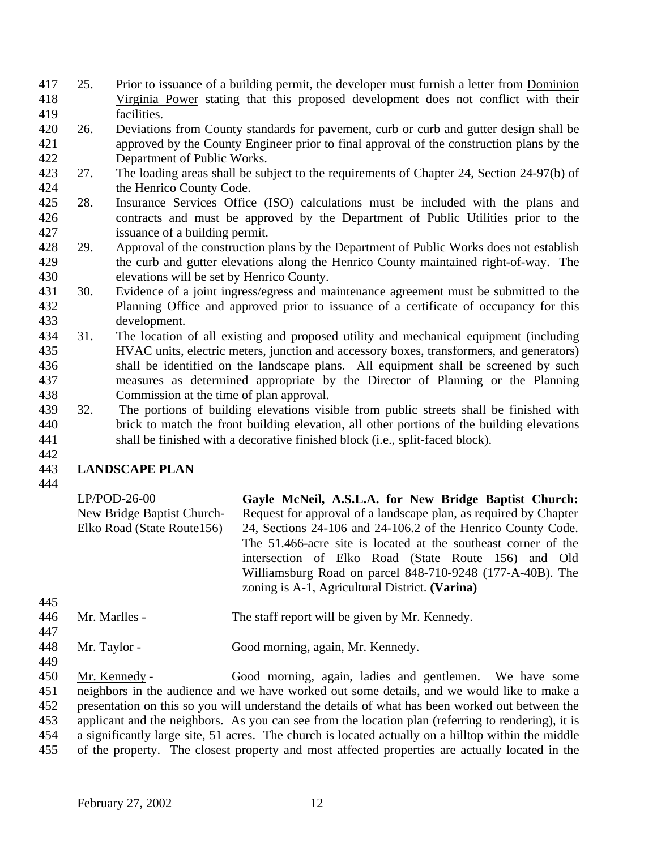- 25. Prior to issuance of a building permit, the developer must furnish a letter from Dominion Virginia Power stating that this proposed development does not conflict with their facilities.
- 26. Deviations from County standards for pavement, curb or curb and gutter design shall be approved by the County Engineer prior to final approval of the construction plans by the Department of Public Works.
- 27. The loading areas shall be subject to the requirements of Chapter 24, Section 24-97(b) of the Henrico County Code.
- 28. Insurance Services Office (ISO) calculations must be included with the plans and 426 contracts and must be approved by the Department of Public Utilities prior to the 427 sisuance of a building permit. issuance of a building permit.
- 29. Approval of the construction plans by the Department of Public Works does not establish the curb and gutter elevations along the Henrico County maintained right-of-way. The elevations will be set by Henrico County.
- 30. Evidence of a joint ingress/egress and maintenance agreement must be submitted to the Planning Office and approved prior to issuance of a certificate of occupancy for this development.
- 31. The location of all existing and proposed utility and mechanical equipment (including HVAC units, electric meters, junction and accessory boxes, transformers, and generators) 436 shall be identified on the landscape plans. All equipment shall be screened by such measures as determined appropriate by the Director of Planning or the Planning Commission at the time of plan approval.
- 32. The portions of building elevations visible from public streets shall be finished with brick to match the front building elevation, all other portions of the building elevations shall be finished with a decorative finished block (i.e., split-faced block).

#### 

## **LANDSCAPE PLAN**

| $LP/POD-26-00$             | Gayle McNeil, A.S.L.A. for New Bridge Baptist Church:            |
|----------------------------|------------------------------------------------------------------|
| New Bridge Baptist Church- | Request for approval of a landscape plan, as required by Chapter |
| Elko Road (State Route156) | 24, Sections 24-106 and 24-106.2 of the Henrico County Code.     |
|                            | The 51.466-acre site is located at the southeast corner of the   |
|                            | intersection of Elko Road (State Route 156) and Old              |
|                            | Williamsburg Road on parcel 848-710-9248 (177-A-40B). The        |
|                            | zoning is A-1, Agricultural District. (Varina)                   |

- 446 Mr. Marlles The staff report will be given by Mr. Kennedy. 448 Mr. Taylor - Good morning, again, Mr. Kennedy.
- Mr. Kennedy Good morning, again, ladies and gentlemen. We have some neighbors in the audience and we have worked out some details, and we would like to make a presentation on this so you will understand the details of what has been worked out between the applicant and the neighbors. As you can see from the location plan (referring to rendering), it is a significantly large site, 51 acres. The church is located actually on a hilltop within the middle of the property. The closest property and most affected properties are actually located in the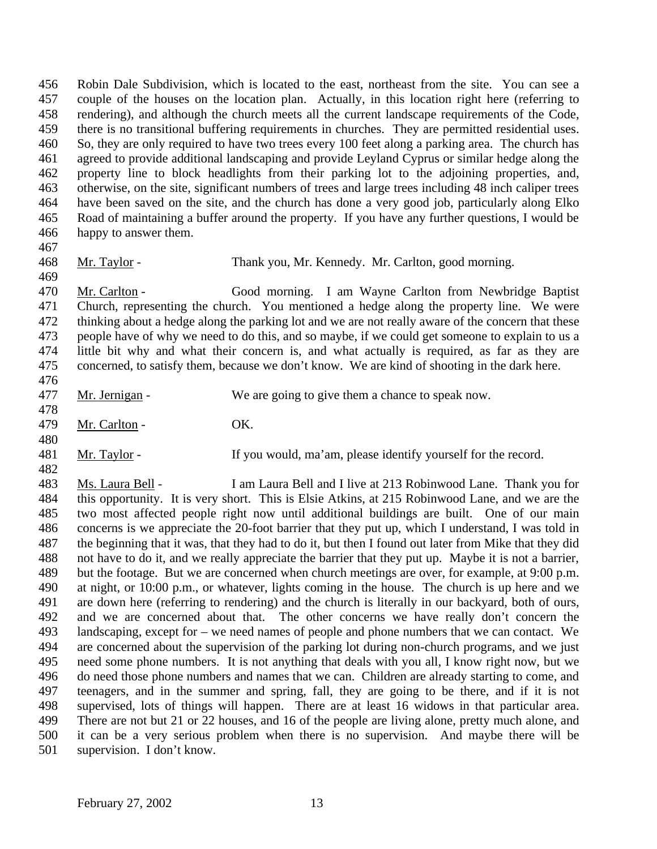Robin Dale Subdivision, which is located to the east, northeast from the site. You can see a couple of the houses on the location plan. Actually, in this location right here (referring to rendering), and although the church meets all the current landscape requirements of the Code, there is no transitional buffering requirements in churches. They are permitted residential uses. So, they are only required to have two trees every 100 feet along a parking area. The church has agreed to provide additional landscaping and provide Leyland Cyprus or similar hedge along the property line to block headlights from their parking lot to the adjoining properties, and, otherwise, on the site, significant numbers of trees and large trees including 48 inch caliper trees have been saved on the site, and the church has done a very good job, particularly along Elko Road of maintaining a buffer around the property. If you have any further questions, I would be happy to answer them.

Mr. Taylor - Thank you, Mr. Kennedy. Mr. Carlton, good morning.

 Mr. Carlton - Good morning. I am Wayne Carlton from Newbridge Baptist Church, representing the church. You mentioned a hedge along the property line. We were thinking about a hedge along the parking lot and we are not really aware of the concern that these people have of why we need to do this, and so maybe, if we could get someone to explain to us a little bit why and what their concern is, and what actually is required, as far as they are concerned, to satisfy them, because we don't know. We are kind of shooting in the dark here. 

- Mr. Jernigan We are going to give them a chance to speak now. Mr. Carlton - OK. Mr. Taylor - If you would, ma'am, please identify yourself for the record.
- 

 Ms. Laura Bell - I am Laura Bell and I live at 213 Robinwood Lane. Thank you for this opportunity. It is very short. This is Elsie Atkins, at 215 Robinwood Lane, and we are the two most affected people right now until additional buildings are built. One of our main concerns is we appreciate the 20-foot barrier that they put up, which I understand, I was told in the beginning that it was, that they had to do it, but then I found out later from Mike that they did not have to do it, and we really appreciate the barrier that they put up. Maybe it is not a barrier, but the footage. But we are concerned when church meetings are over, for example, at 9:00 p.m. at night, or 10:00 p.m., or whatever, lights coming in the house. The church is up here and we are down here (referring to rendering) and the church is literally in our backyard, both of ours, and we are concerned about that. The other concerns we have really don't concern the landscaping, except for – we need names of people and phone numbers that we can contact. We are concerned about the supervision of the parking lot during non-church programs, and we just need some phone numbers. It is not anything that deals with you all, I know right now, but we do need those phone numbers and names that we can. Children are already starting to come, and teenagers, and in the summer and spring, fall, they are going to be there, and if it is not supervised, lots of things will happen. There are at least 16 widows in that particular area. There are not but 21 or 22 houses, and 16 of the people are living alone, pretty much alone, and it can be a very serious problem when there is no supervision. And maybe there will be supervision. I don't know.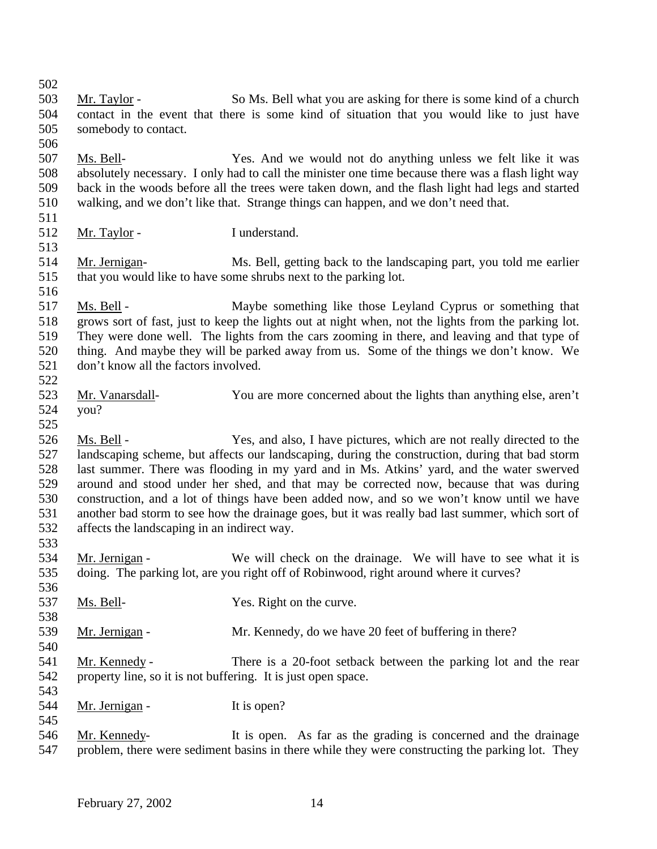503 Mr. Taylor - So Ms. Bell what you are asking for there is some kind of a church contact in the event that there is some kind of situation that you would like to just have somebody to contact. Ms. Bell- Yes. And we would not do anything unless we felt like it was absolutely necessary. I only had to call the minister one time because there was a flash light way back in the woods before all the trees were taken down, and the flash light had legs and started walking, and we don't like that. Strange things can happen, and we don't need that. Mr. Taylor - I understand. Mr. Jernigan- Ms. Bell, getting back to the landscaping part, you told me earlier that you would like to have some shrubs next to the parking lot. Ms. Bell - Maybe something like those Leyland Cyprus or something that grows sort of fast, just to keep the lights out at night when, not the lights from the parking lot. They were done well. The lights from the cars zooming in there, and leaving and that type of thing. And maybe they will be parked away from us. Some of the things we don't know. We don't know all the factors involved. Mr. Vanarsdall- You are more concerned about the lights than anything else, aren't you? 526 Ms. Bell - Yes, and also, I have pictures, which are not really directed to the landscaping scheme, but affects our landscaping, during the construction, during that bad storm last summer. There was flooding in my yard and in Ms. Atkins' yard, and the water swerved around and stood under her shed, and that may be corrected now, because that was during construction, and a lot of things have been added now, and so we won't know until we have another bad storm to see how the drainage goes, but it was really bad last summer, which sort of affects the landscaping in an indirect way. Mr. Jernigan - We will check on the drainage. We will have to see what it is doing. The parking lot, are you right off of Robinwood, right around where it curves? Ms. Bell- Yes. Right on the curve. 539 Mr. Jernigan - Mr. Kennedy, do we have 20 feet of buffering in there? Mr. Kennedy - There is a 20-foot setback between the parking lot and the rear property line, so it is not buffering. It is just open space. 544 Mr. Jernigan - It is open? Mr. Kennedy- It is open. As far as the grading is concerned and the drainage problem, there were sediment basins in there while they were constructing the parking lot. They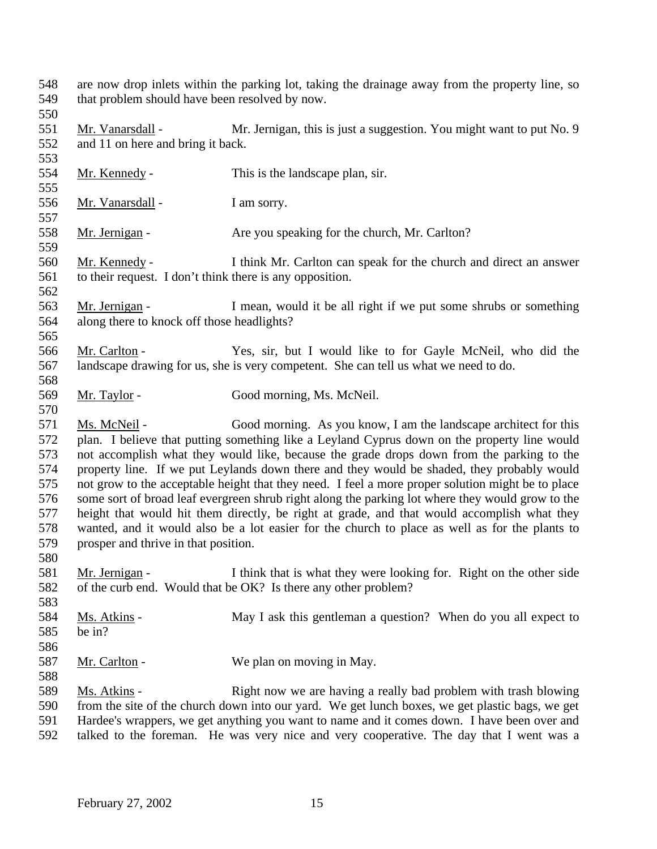are now drop inlets within the parking lot, taking the drainage away from the property line, so that problem should have been resolved by now. 551 Mr. Vanarsdall - Mr. Jernigan, this is just a suggestion. You might want to put No. 9 and 11 on here and bring it back. 554 Mr. Kennedy - This is the landscape plan, sir. Mr. Vanarsdall - I am sorry. Mr. Jernigan - Are you speaking for the church, Mr. Carlton? Mr. Kennedy - I think Mr. Carlton can speak for the church and direct an answer to their request. I don't think there is any opposition. Mr. Jernigan - I mean, would it be all right if we put some shrubs or something along there to knock off those headlights? Mr. Carlton - Yes, sir, but I would like to for Gayle McNeil, who did the landscape drawing for us, she is very competent. She can tell us what we need to do. Mr. Taylor - Good morning, Ms. McNeil. Ms. McNeil - Good morning. As you know, I am the landscape architect for this plan. I believe that putting something like a Leyland Cyprus down on the property line would not accomplish what they would like, because the grade drops down from the parking to the property line. If we put Leylands down there and they would be shaded, they probably would not grow to the acceptable height that they need. I feel a more proper solution might be to place some sort of broad leaf evergreen shrub right along the parking lot where they would grow to the height that would hit them directly, be right at grade, and that would accomplish what they wanted, and it would also be a lot easier for the church to place as well as for the plants to prosper and thrive in that position. Mr. Jernigan - I think that is what they were looking for. Right on the other side of the curb end. Would that be OK? Is there any other problem? 584 Ms. Atkins - May I ask this gentleman a question? When do you all expect to be in? 587 Mr. Carlton - We plan on moving in May. Ms. Atkins - Right now we are having a really bad problem with trash blowing from the site of the church down into our yard. We get lunch boxes, we get plastic bags, we get Hardee's wrappers, we get anything you want to name and it comes down. I have been over and talked to the foreman. He was very nice and very cooperative. The day that I went was a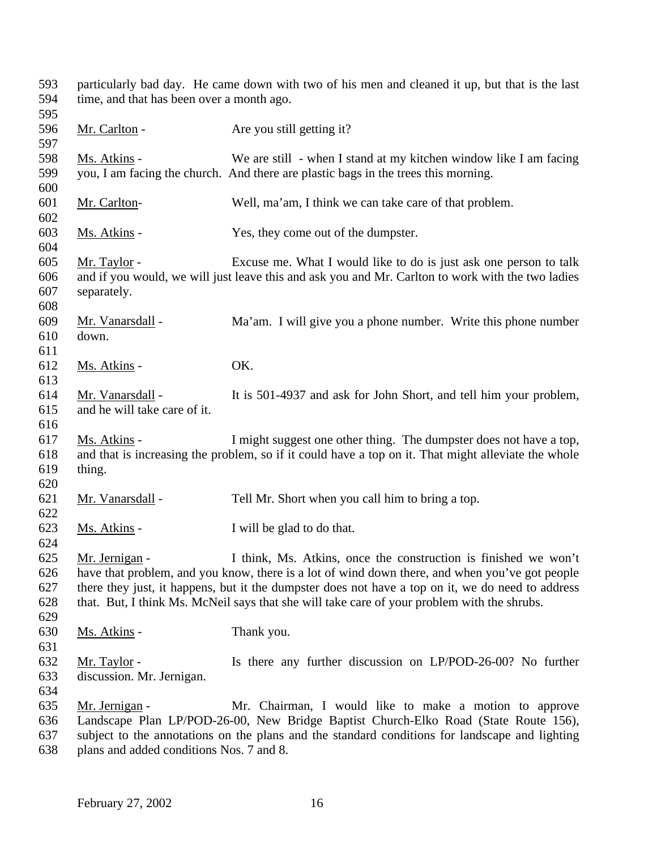particularly bad day. He came down with two of his men and cleaned it up, but that is the last time, and that has been over a month ago. 596 Mr. Carlton - Are you still getting it? Ms. Atkins - We are still - when I stand at my kitchen window like I am facing you, I am facing the church. And there are plastic bags in the trees this morning. Mr. Carlton- Well, ma'am, I think we can take care of that problem. Ms. Atkins - Yes, they come out of the dumpster. Mr. Taylor - Excuse me. What I would like to do is just ask one person to talk and if you would, we will just leave this and ask you and Mr. Carlton to work with the two ladies separately. Mr. Vanarsdall - Ma'am. I will give you a phone number. Write this phone number down. 612 Ms. Atkins - OK. Mr. Vanarsdall - It is 501-4937 and ask for John Short, and tell him your problem, and he will take care of it. Ms. Atkins - I might suggest one other thing. The dumpster does not have a top, and that is increasing the problem, so if it could have a top on it. That might alleviate the whole thing. 621 Mr. Vanarsdall - Tell Mr. Short when you call him to bring a top. Ms. Atkins - I will be glad to do that. Mr. Jernigan - I think, Ms. Atkins, once the construction is finished we won't have that problem, and you know, there is a lot of wind down there, and when you've got people there they just, it happens, but it the dumpster does not have a top on it, we do need to address that. But, I think Ms. McNeil says that she will take care of your problem with the shrubs. Ms. Atkins - Thank you. Mr. Taylor - Is there any further discussion on LP/POD-26-00? No further discussion. Mr. Jernigan. Mr. Jernigan - Mr. Chairman, I would like to make a motion to approve Landscape Plan LP/POD-26-00, New Bridge Baptist Church-Elko Road (State Route 156), subject to the annotations on the plans and the standard conditions for landscape and lighting

plans and added conditions Nos. 7 and 8.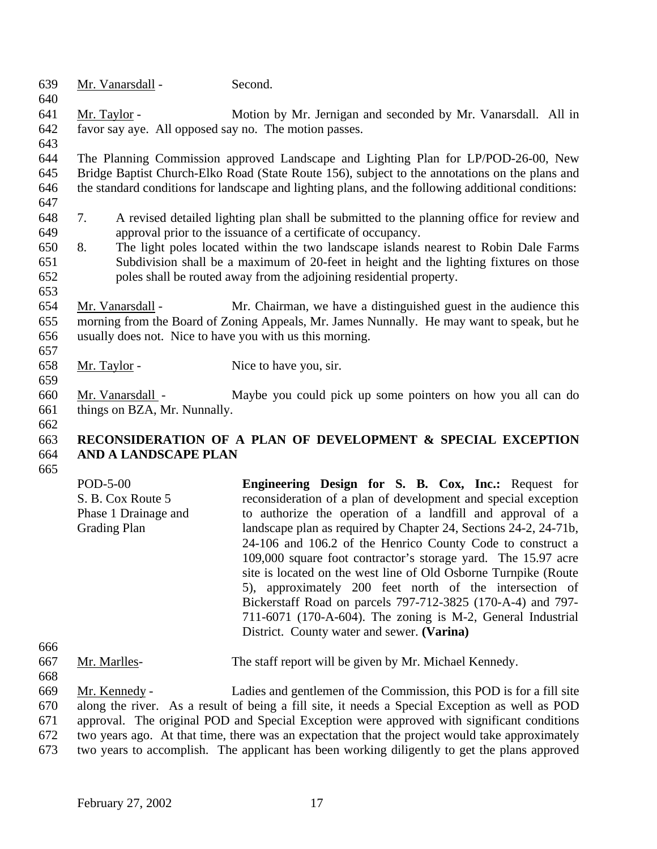| 639 |                     | Mr. Vanarsdall -             | Second.                                                                                            |
|-----|---------------------|------------------------------|----------------------------------------------------------------------------------------------------|
| 640 |                     |                              |                                                                                                    |
| 641 | Mr. Taylor -        |                              | Motion by Mr. Jernigan and seconded by Mr. Vanarsdall. All in                                      |
| 642 |                     |                              | favor say aye. All opposed say no. The motion passes.                                              |
| 643 |                     |                              |                                                                                                    |
| 644 |                     |                              | The Planning Commission approved Landscape and Lighting Plan for LP/POD-26-00, New                 |
| 645 |                     |                              | Bridge Baptist Church-Elko Road (State Route 156), subject to the annotations on the plans and     |
| 646 |                     |                              | the standard conditions for landscape and lighting plans, and the following additional conditions: |
| 647 |                     |                              |                                                                                                    |
| 648 | 7.                  |                              | A revised detailed lighting plan shall be submitted to the planning office for review and          |
| 649 |                     |                              | approval prior to the issuance of a certificate of occupancy.                                      |
| 650 | 8.                  |                              | The light poles located within the two landscape islands nearest to Robin Dale Farms               |
| 651 |                     |                              | Subdivision shall be a maximum of 20-feet in height and the lighting fixtures on those             |
| 652 |                     |                              | poles shall be routed away from the adjoining residential property.                                |
| 653 |                     |                              |                                                                                                    |
| 654 |                     | Mr. Vanarsdall -             | Mr. Chairman, we have a distinguished guest in the audience this                                   |
| 655 |                     |                              | morning from the Board of Zoning Appeals, Mr. James Nunnally. He may want to speak, but he         |
| 656 |                     |                              | usually does not. Nice to have you with us this morning.                                           |
| 657 |                     |                              |                                                                                                    |
| 658 | <u>Mr. Taylor</u> - |                              | Nice to have you, sir.                                                                             |
| 659 |                     |                              |                                                                                                    |
| 660 |                     | Mr. Vanarsdall -             | Maybe you could pick up some pointers on how you all can do                                        |
| 661 |                     | things on BZA, Mr. Nunnally. |                                                                                                    |
| 662 |                     |                              |                                                                                                    |
| 663 |                     |                              | RECONSIDERATION OF A PLAN OF DEVELOPMENT & SPECIAL EXCEPTION                                       |
| 664 |                     | AND A LANDSCAPE PLAN         |                                                                                                    |

665

| $POD-5-00$<br>S. B. Cox Route 5<br>Phase 1 Drainage and<br><b>Grading Plan</b> | <b>Engineering Design for S. B. Cox, Inc.: Request for</b><br>reconsideration of a plan of development and special exception<br>to authorize the operation of a landfill and approval of a<br>landscape plan as required by Chapter 24, Sections 24-2, 24-71b,<br>24-106 and 106.2 of the Henrico County Code to construct a<br>109,000 square foot contractor's storage yard. The 15.97 acre<br>site is located on the west line of Old Osborne Turnpike (Route<br>5), approximately 200 feet north of the intersection of<br>Bickerstaff Road on parcels 797-712-3825 (170-A-4) and 797-<br>711-6071 (170-A-604). The zoning is M-2, General Industrial |
|--------------------------------------------------------------------------------|-----------------------------------------------------------------------------------------------------------------------------------------------------------------------------------------------------------------------------------------------------------------------------------------------------------------------------------------------------------------------------------------------------------------------------------------------------------------------------------------------------------------------------------------------------------------------------------------------------------------------------------------------------------|
|                                                                                | District. County water and sewer. (Varina)                                                                                                                                                                                                                                                                                                                                                                                                                                                                                                                                                                                                                |
|                                                                                |                                                                                                                                                                                                                                                                                                                                                                                                                                                                                                                                                                                                                                                           |

- 667 Mr. Marlles- The staff report will be given by Mr. Michael Kennedy.
- 668

666

 Mr. Kennedy - Ladies and gentlemen of the Commission, this POD is for a fill site along the river. As a result of being a fill site, it needs a Special Exception as well as POD approval. The original POD and Special Exception were approved with significant conditions 672 two years ago. At that time, there was an expectation that the project would take approximately<br>673 two years to accomplish. The applicant has been working diligently to get the plans approved

two years to accomplish. The applicant has been working diligently to get the plans approved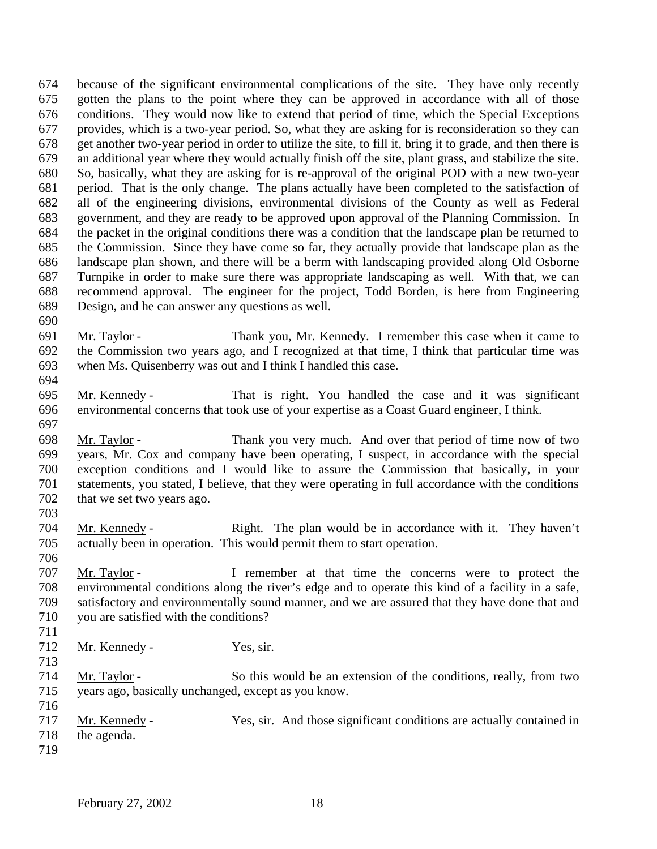because of the significant environmental complications of the site. They have only recently gotten the plans to the point where they can be approved in accordance with all of those conditions. They would now like to extend that period of time, which the Special Exceptions provides, which is a two-year period. So, what they are asking for is reconsideration so they can get another two-year period in order to utilize the site, to fill it, bring it to grade, and then there is an additional year where they would actually finish off the site, plant grass, and stabilize the site. So, basically, what they are asking for is re-approval of the original POD with a new two-year period. That is the only change. The plans actually have been completed to the satisfaction of all of the engineering divisions, environmental divisions of the County as well as Federal government, and they are ready to be approved upon approval of the Planning Commission. In the packet in the original conditions there was a condition that the landscape plan be returned to the Commission. Since they have come so far, they actually provide that landscape plan as the landscape plan shown, and there will be a berm with landscaping provided along Old Osborne Turnpike in order to make sure there was appropriate landscaping as well. With that, we can recommend approval. The engineer for the project, Todd Borden, is here from Engineering Design, and he can answer any questions as well.

- Mr. Taylor Thank you, Mr. Kennedy. I remember this case when it came to the Commission two years ago, and I recognized at that time, I think that particular time was when Ms. Quisenberry was out and I think I handled this case.
- 

- Mr. Kennedy That is right. You handled the case and it was significant environmental concerns that took use of your expertise as a Coast Guard engineer, I think.
- Mr. Taylor Thank you very much. And over that period of time now of two years, Mr. Cox and company have been operating, I suspect, in accordance with the special exception conditions and I would like to assure the Commission that basically, in your statements, you stated, I believe, that they were operating in full accordance with the conditions 702 that we set two years ago.
- Mr. Kennedy Right. The plan would be in accordance with it. They haven't actually been in operation. This would permit them to start operation.
- 

- Mr. Taylor I remember at that time the concerns were to protect the environmental conditions along the river's edge and to operate this kind of a facility in a safe, satisfactory and environmentally sound manner, and we are assured that they have done that and you are satisfied with the conditions?
- 
- 712 Mr. Kennedy Yes, sir.
- 
- 
- Mr. Taylor So this would be an extension of the conditions, really, from two years ago, basically unchanged, except as you know.
- Mr. Kennedy Yes, sir. And those significant conditions are actually contained in the agenda.
-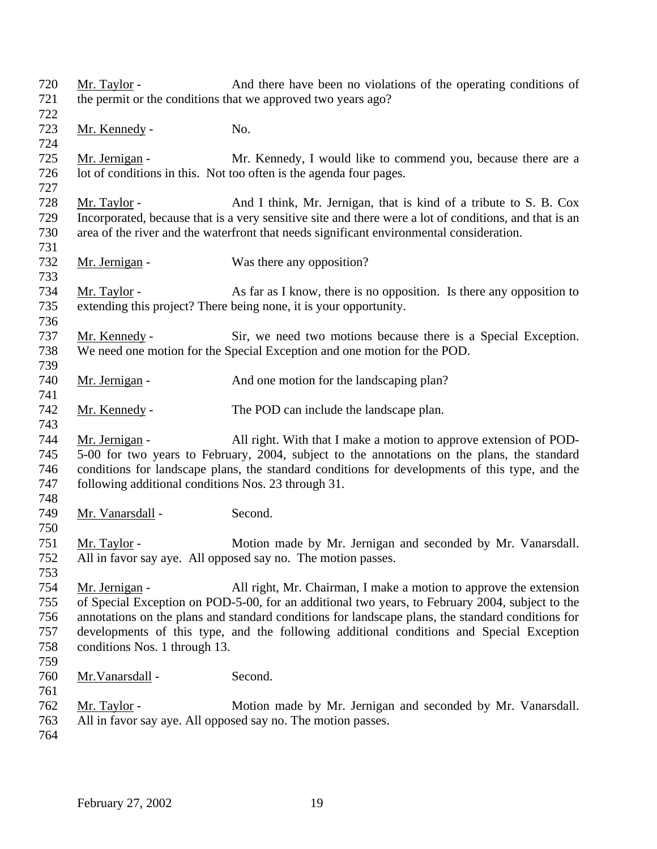| 720<br>721 | Mr. Taylor -                                        | And there have been no violations of the operating conditions of                                       |
|------------|-----------------------------------------------------|--------------------------------------------------------------------------------------------------------|
|            |                                                     | the permit or the conditions that we approved two years ago?                                           |
| 722        |                                                     |                                                                                                        |
| 723        | Mr. Kennedy -                                       | No.                                                                                                    |
| 724        |                                                     |                                                                                                        |
| 725        | Mr. Jernigan -                                      | Mr. Kennedy, I would like to commend you, because there are a                                          |
| 726<br>727 |                                                     | lot of conditions in this. Not too often is the agenda four pages.                                     |
| 728        | Mr. Taylor -                                        | And I think, Mr. Jernigan, that is kind of a tribute to S. B. Cox                                      |
| 729        |                                                     | Incorporated, because that is a very sensitive site and there were a lot of conditions, and that is an |
| 730        |                                                     | area of the river and the waterfront that needs significant environmental consideration.               |
| 731        |                                                     |                                                                                                        |
| 732        | Mr. Jernigan -                                      | Was there any opposition?                                                                              |
| 733        |                                                     |                                                                                                        |
| 734        | Mr. Taylor -                                        | As far as I know, there is no opposition. Is there any opposition to                                   |
| 735        |                                                     | extending this project? There being none, it is your opportunity.                                      |
| 736        |                                                     |                                                                                                        |
| 737        | Mr. Kennedy -                                       | Sir, we need two motions because there is a Special Exception.                                         |
| 738        |                                                     | We need one motion for the Special Exception and one motion for the POD.                               |
| 739        |                                                     |                                                                                                        |
| 740        | Mr. Jernigan -                                      | And one motion for the landscaping plan?                                                               |
| 741        |                                                     |                                                                                                        |
| 742        | Mr. Kennedy -                                       | The POD can include the landscape plan.                                                                |
| 743        |                                                     |                                                                                                        |
| 744        | Mr. Jernigan -                                      | All right. With that I make a motion to approve extension of POD-                                      |
| 745        |                                                     | 5-00 for two years to February, 2004, subject to the annotations on the plans, the standard            |
| 746        |                                                     | conditions for landscape plans, the standard conditions for developments of this type, and the         |
| 747        | following additional conditions Nos. 23 through 31. |                                                                                                        |
| 748        |                                                     |                                                                                                        |
| 749        | Mr. Vanarsdall -                                    | Second.                                                                                                |
| 750        |                                                     |                                                                                                        |
| 751        | <u>Mr. Taylor</u> -                                 | Motion made by Mr. Jernigan and seconded by Mr. Vanarsdall.                                            |
| 752        |                                                     | All in favor say aye. All opposed say no. The motion passes.                                           |
| 753        |                                                     |                                                                                                        |
| 754        | Mr. Jernigan -                                      | All right, Mr. Chairman, I make a motion to approve the extension                                      |
| 755        |                                                     | of Special Exception on POD-5-00, for an additional two years, to February 2004, subject to the        |
| 756        |                                                     | annotations on the plans and standard conditions for landscape plans, the standard conditions for      |
| 757        |                                                     | developments of this type, and the following additional conditions and Special Exception               |
| 758        | conditions Nos. 1 through 13.                       |                                                                                                        |
| 759        |                                                     |                                                                                                        |
| 760        | Mr. Vanarsdall -                                    | Second.                                                                                                |
| 761        |                                                     |                                                                                                        |
| 762        | Mr. Taylor -                                        | Motion made by Mr. Jernigan and seconded by Mr. Vanarsdall.                                            |
| 763        |                                                     | All in favor say aye. All opposed say no. The motion passes.                                           |
| 764        |                                                     |                                                                                                        |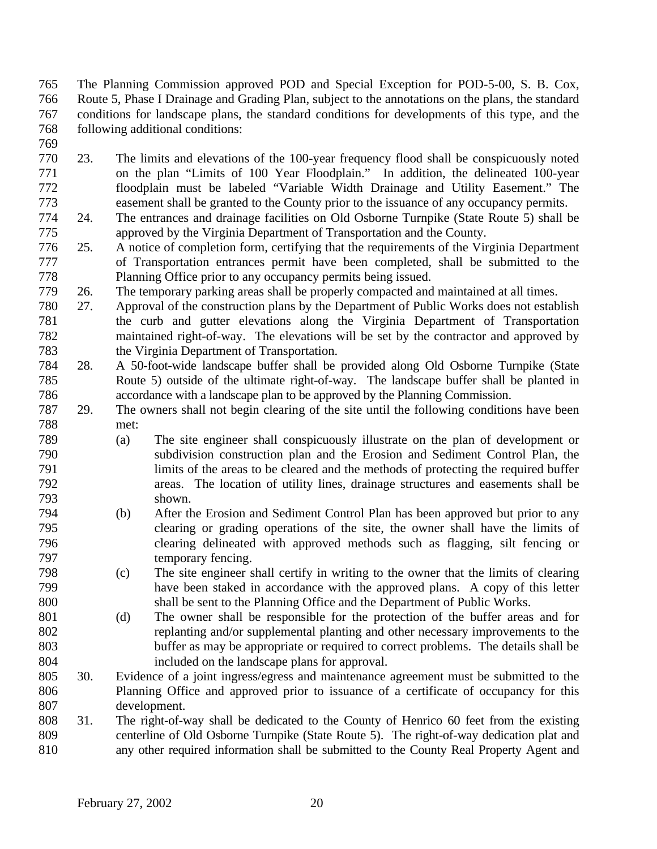The Planning Commission approved POD and Special Exception for POD-5-00, S. B. Cox, Route 5, Phase I Drainage and Grading Plan, subject to the annotations on the plans, the standard conditions for landscape plans, the standard conditions for developments of this type, and the following additional conditions:

- 23. The limits and elevations of the 100-year frequency flood shall be conspicuously noted on the plan "Limits of 100 Year Floodplain." In addition, the delineated 100-year floodplain must be labeled "Variable Width Drainage and Utility Easement." The easement shall be granted to the County prior to the issuance of any occupancy permits.
- 24. The entrances and drainage facilities on Old Osborne Turnpike (State Route 5) shall be approved by the Virginia Department of Transportation and the County.
- 25. A notice of completion form, certifying that the requirements of the Virginia Department of Transportation entrances permit have been completed, shall be submitted to the Planning Office prior to any occupancy permits being issued.
- 26. The temporary parking areas shall be properly compacted and maintained at all times.
- 27. Approval of the construction plans by the Department of Public Works does not establish the curb and gutter elevations along the Virginia Department of Transportation maintained right-of-way. The elevations will be set by the contractor and approved by the Virginia Department of Transportation.
- 28. A 50-foot-wide landscape buffer shall be provided along Old Osborne Turnpike (State Route 5) outside of the ultimate right-of-way. The landscape buffer shall be planted in accordance with a landscape plan to be approved by the Planning Commission.
- 29. The owners shall not begin clearing of the site until the following conditions have been met:
- (a) The site engineer shall conspicuously illustrate on the plan of development or subdivision construction plan and the Erosion and Sediment Control Plan, the limits of the areas to be cleared and the methods of protecting the required buffer areas. The location of utility lines, drainage structures and easements shall be shown.
- (b) After the Erosion and Sediment Control Plan has been approved but prior to any clearing or grading operations of the site, the owner shall have the limits of clearing delineated with approved methods such as flagging, silt fencing or temporary fencing.
- (c) The site engineer shall certify in writing to the owner that the limits of clearing have been staked in accordance with the approved plans. A copy of this letter shall be sent to the Planning Office and the Department of Public Works.
- (d) The owner shall be responsible for the protection of the buffer areas and for replanting and/or supplemental planting and other necessary improvements to the buffer as may be appropriate or required to correct problems. The details shall be included on the landscape plans for approval.
- 30. Evidence of a joint ingress/egress and maintenance agreement must be submitted to the Planning Office and approved prior to issuance of a certificate of occupancy for this development.
- 31. The right-of-way shall be dedicated to the County of Henrico 60 feet from the existing centerline of Old Osborne Turnpike (State Route 5). The right-of-way dedication plat and any other required information shall be submitted to the County Real Property Agent and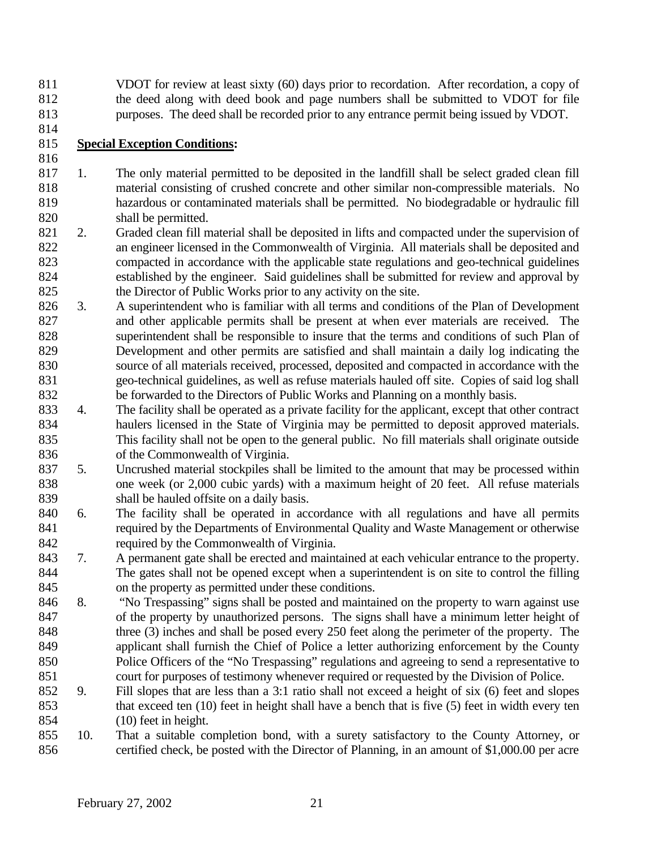VDOT for review at least sixty (60) days prior to recordation. After recordation, a copy of the deed along with deed book and page numbers shall be submitted to VDOT for file purposes. The deed shall be recorded prior to any entrance permit being issued by VDOT.

## **Special Exception Conditions:**

- 1. The only material permitted to be deposited in the landfill shall be select graded clean fill material consisting of crushed concrete and other similar non-compressible materials. No hazardous or contaminated materials shall be permitted. No biodegradable or hydraulic fill shall be permitted.
- 2. Graded clean fill material shall be deposited in lifts and compacted under the supervision of an engineer licensed in the Commonwealth of Virginia. All materials shall be deposited and compacted in accordance with the applicable state regulations and geo-technical guidelines established by the engineer. Said guidelines shall be submitted for review and approval by the Director of Public Works prior to any activity on the site.
- 3. A superintendent who is familiar with all terms and conditions of the Plan of Development and other applicable permits shall be present at when ever materials are received. The superintendent shall be responsible to insure that the terms and conditions of such Plan of Development and other permits are satisfied and shall maintain a daily log indicating the source of all materials received, processed, deposited and compacted in accordance with the geo-technical guidelines, as well as refuse materials hauled off site. Copies of said log shall be forwarded to the Directors of Public Works and Planning on a monthly basis.
- 4. The facility shall be operated as a private facility for the applicant, except that other contract haulers licensed in the State of Virginia may be permitted to deposit approved materials. This facility shall not be open to the general public. No fill materials shall originate outside of the Commonwealth of Virginia.
- 5. Uncrushed material stockpiles shall be limited to the amount that may be processed within one week (or 2,000 cubic yards) with a maximum height of 20 feet. All refuse materials shall be hauled offsite on a daily basis.
- 6. The facility shall be operated in accordance with all regulations and have all permits required by the Departments of Environmental Quality and Waste Management or otherwise required by the Commonwealth of Virginia.
- 7. A permanent gate shall be erected and maintained at each vehicular entrance to the property. The gates shall not be opened except when a superintendent is on site to control the filling on the property as permitted under these conditions.
- 8. "No Trespassing" signs shall be posted and maintained on the property to warn against use of the property by unauthorized persons. The signs shall have a minimum letter height of three (3) inches and shall be posed every 250 feet along the perimeter of the property. The applicant shall furnish the Chief of Police a letter authorizing enforcement by the County Police Officers of the "No Trespassing" regulations and agreeing to send a representative to court for purposes of testimony whenever required or requested by the Division of Police.
- 9. Fill slopes that are less than a 3:1 ratio shall not exceed a height of six (6) feet and slopes that exceed ten (10) feet in height shall have a bench that is five (5) feet in width every ten (10) feet in height.
- 10. That a suitable completion bond, with a surety satisfactory to the County Attorney, or certified check, be posted with the Director of Planning, in an amount of \$1,000.00 per acre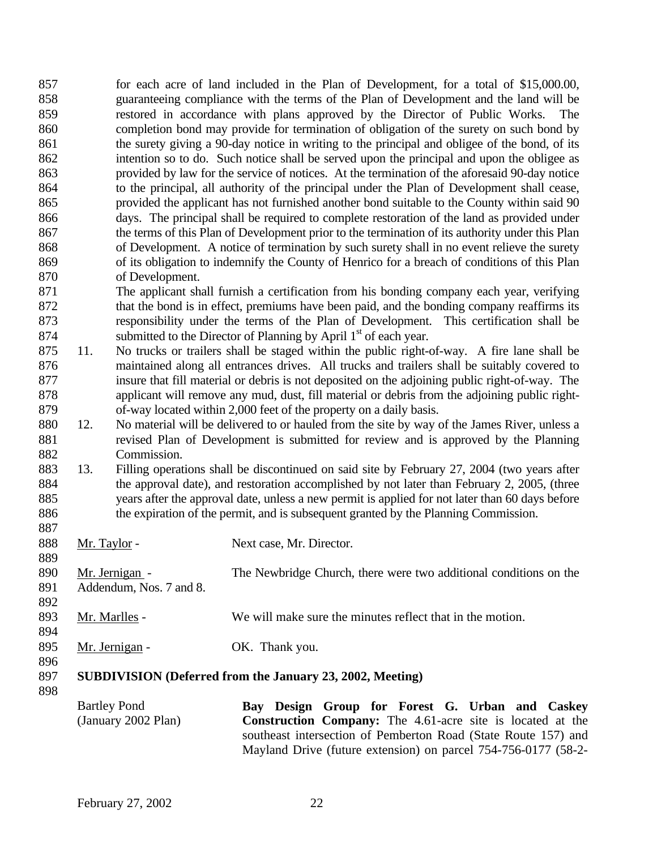857 for each acre of land included in the Plan of Development, for a total of \$15,000.00, guaranteeing compliance with the terms of the Plan of Development and the land will be restored in accordance with plans approved by the Director of Public Works. The completion bond may provide for termination of obligation of the surety on such bond by the surety giving a 90-day notice in writing to the principal and obligee of the bond, of its intention so to do. Such notice shall be served upon the principal and upon the obligee as provided by law for the service of notices. At the termination of the aforesaid 90-day notice to the principal, all authority of the principal under the Plan of Development shall cease, provided the applicant has not furnished another bond suitable to the County within said 90 days. The principal shall be required to complete restoration of the land as provided under the terms of this Plan of Development prior to the termination of its authority under this Plan of Development. A notice of termination by such surety shall in no event relieve the surety of its obligation to indemnify the County of Henrico for a breach of conditions of this Plan of Development. The applicant shall furnish a certification from his bonding company each year, verifying 872 that the bond is in effect, premiums have been paid, and the bonding company reaffirms its responsibility under the terms of the Plan of Development. This certification shall be 874 submitted to the Director of Planning by April  $1<sup>st</sup>$  of each year. 11. No trucks or trailers shall be staged within the public right-of-way. A fire lane shall be 876 maintained along all entrances drives. All trucks and trailers shall be suitably covered to insure that fill material or debris is not deposited on the adjoining public right-of-way. The applicant will remove any mud, dust, fill material or debris from the adjoining public right- of-way located within 2,000 feet of the property on a daily basis. 12. No material will be delivered to or hauled from the site by way of the James River, unless a revised Plan of Development is submitted for review and is approved by the Planning Commission. 13. Filling operations shall be discontinued on said site by February 27, 2004 (two years after 884 the approval date), and restoration accomplished by not later than February 2, 2005, (three years after the approval date, unless a new permit is applied for not later than 60 days before the expiration of the permit, and is subsequent granted by the Planning Commission. 888 Mr. Taylor - Next case, Mr. Director. Mr. Jernigan - The Newbridge Church, there were two additional conditions on the Addendum, Nos. 7 and 8. 893 Mr. Marlles - We will make sure the minutes reflect that in the motion. 895 Mr. Jernigan - OK. Thank you. **SUBDIVISION (Deferred from the January 23, 2002, Meeting)**  Bartley Pond (January 2002 Plan) **Bay Design Group for Forest G. Urban and Caskey Construction Company:** The 4.61-acre site is located at the southeast intersection of Pemberton Road (State Route 157) and Mayland Drive (future extension) on parcel 754-756-0177 (58-2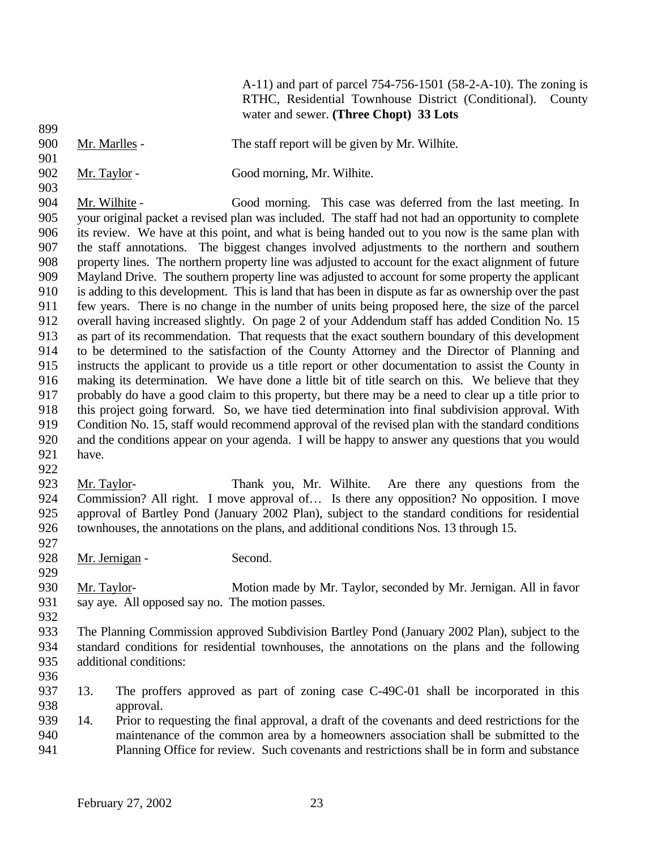A-11) and part of parcel 754-756-1501 (58-2-A-10). The zoning is RTHC, Residential Townhouse District (Conditional). County water and sewer. **(Three Chopt) 33 Lots**

- Mr. Marlles The staff report will be given by Mr. Wilhite.
- 902 Mr. Taylor Good morning, Mr. Wilhite.

- Mr. Wilhite Good morning. This case was deferred from the last meeting. In your original packet a revised plan was included. The staff had not had an opportunity to complete its review. We have at this point, and what is being handed out to you now is the same plan with the staff annotations. The biggest changes involved adjustments to the northern and southern property lines. The northern property line was adjusted to account for the exact alignment of future Mayland Drive. The southern property line was adjusted to account for some property the applicant is adding to this development. This is land that has been in dispute as far as ownership over the past few years. There is no change in the number of units being proposed here, the size of the parcel overall having increased slightly. On page 2 of your Addendum staff has added Condition No. 15 as part of its recommendation. That requests that the exact southern boundary of this development to be determined to the satisfaction of the County Attorney and the Director of Planning and instructs the applicant to provide us a title report or other documentation to assist the County in making its determination. We have done a little bit of title search on this. We believe that they probably do have a good claim to this property, but there may be a need to clear up a title prior to this project going forward. So, we have tied determination into final subdivision approval. With Condition No. 15, staff would recommend approval of the revised plan with the standard conditions and the conditions appear on your agenda. I will be happy to answer any questions that you would have.
- 
- Mr. Taylor- Thank you, Mr. Wilhite. Are there any questions from the 924 Commission? All right. I move approval of... Is there any opposition? No opposition. I move approval of Bartley Pond (January 2002 Plan), subject to the standard conditions for residential townhouses, the annotations on the plans, and additional conditions Nos. 13 through 15.
- 

- 928 Mr. Jernigan Second.
- 930 Mr. Taylor- Motion made by Mr. Taylor, seconded by Mr. Jernigan. All in favor say aye. All opposed say no. The motion passes.
- 
- The Planning Commission approved Subdivision Bartley Pond (January 2002 Plan), subject to the standard conditions for residential townhouses, the annotations on the plans and the following additional conditions:
- 
- 13. The proffers approved as part of zoning case C-49C-01 shall be incorporated in this approval.
- 14. Prior to requesting the final approval, a draft of the covenants and deed restrictions for the maintenance of the common area by a homeowners association shall be submitted to the Planning Office for review. Such covenants and restrictions shall be in form and substance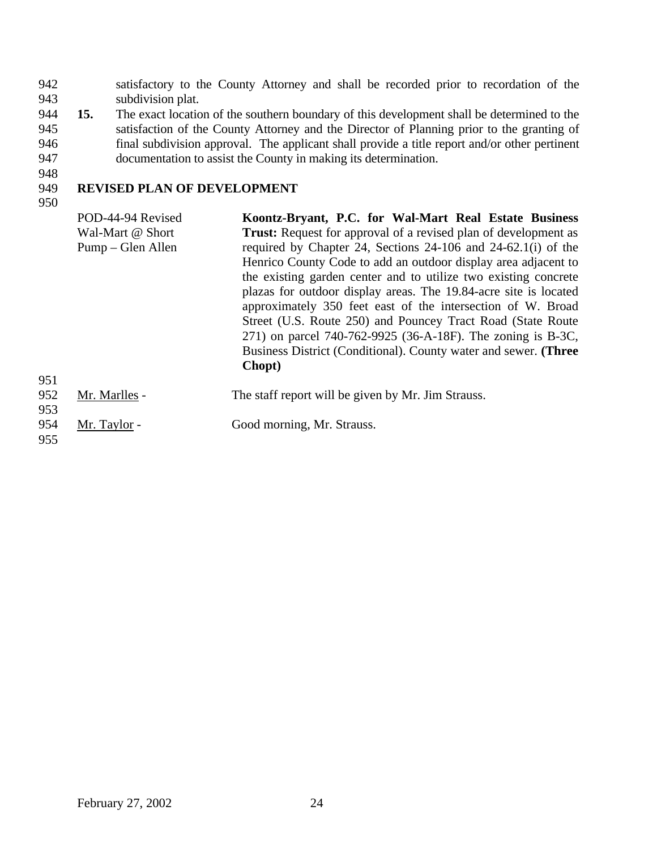942 satisfactory to the County Attorney and shall be recorded prior to recordation of the 943 subdivision plat.

- 944 **15.** The exact location of the southern boundary of this development shall be determined to the 945 satisfaction of the County Attorney and the Director of Planning prior to the granting of 946 final subdivision approval. The applicant shall provide a title report and/or other pertinent 947 documentation to assist the County in making its determination.
- 948

## 949 **REVISED PLAN OF DEVELOPMENT**

950

POD-44-94 Revised Wal-Mart @ Short Pump – Glen Allen **Koontz-Bryant, P.C. for Wal-Mart Real Estate Business Trust:** Request for approval of a revised plan of development as required by Chapter 24, Sections 24-106 and 24-62.1(i) of the Henrico County Code to add an outdoor display area adjacent to the existing garden center and to utilize two existing concrete plazas for outdoor display areas. The 19.84-acre site is located approximately 350 feet east of the intersection of W. Broad Street (U.S. Route 250) and Pouncey Tract Road (State Route 271) on parcel 740-762-9925 (36-A-18F). The zoning is B-3C, Business District (Conditional). County water and sewer. **(Three Chopt)** 952 Mr. Marlles - The staff report will be given by Mr. Jim Strauss.

- 954 Mr. Taylor Good morning, Mr. Strauss.
- 955

951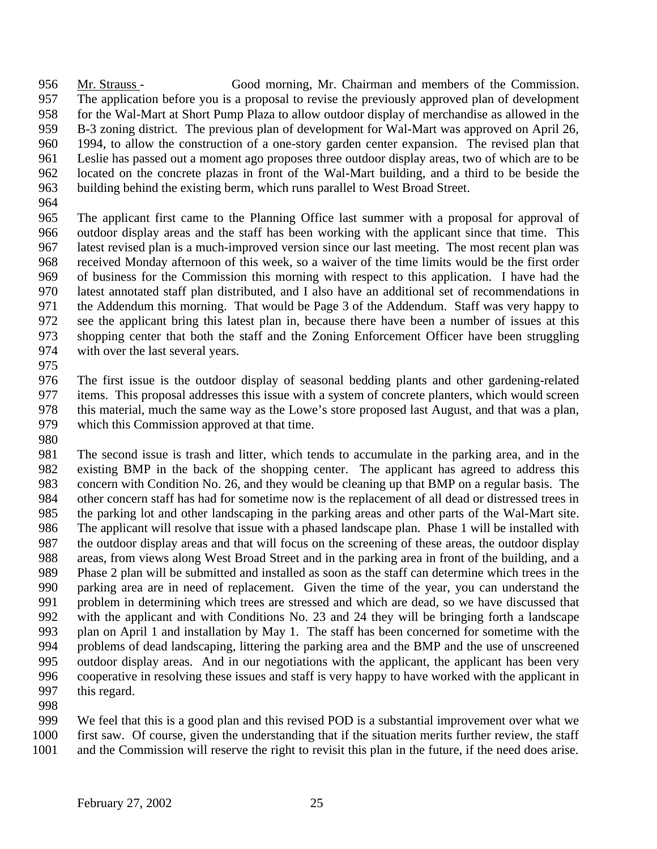Mr. Strauss - Good morning, Mr. Chairman and members of the Commission. The application before you is a proposal to revise the previously approved plan of development for the Wal-Mart at Short Pump Plaza to allow outdoor display of merchandise as allowed in the B-3 zoning district. The previous plan of development for Wal-Mart was approved on April 26, 1994, to allow the construction of a one-story garden center expansion. The revised plan that Leslie has passed out a moment ago proposes three outdoor display areas, two of which are to be located on the concrete plazas in front of the Wal-Mart building, and a third to be beside the building behind the existing berm, which runs parallel to West Broad Street.

 The applicant first came to the Planning Office last summer with a proposal for approval of outdoor display areas and the staff has been working with the applicant since that time. This latest revised plan is a much-improved version since our last meeting. The most recent plan was received Monday afternoon of this week, so a waiver of the time limits would be the first order of business for the Commission this morning with respect to this application. I have had the latest annotated staff plan distributed, and I also have an additional set of recommendations in the Addendum this morning. That would be Page 3 of the Addendum. Staff was very happy to see the applicant bring this latest plan in, because there have been a number of issues at this shopping center that both the staff and the Zoning Enforcement Officer have been struggling with over the last several years.

 The first issue is the outdoor display of seasonal bedding plants and other gardening-related items. This proposal addresses this issue with a system of concrete planters, which would screen this material, much the same way as the Lowe's store proposed last August, and that was a plan, which this Commission approved at that time.

 The second issue is trash and litter, which tends to accumulate in the parking area, and in the existing BMP in the back of the shopping center. The applicant has agreed to address this concern with Condition No. 26, and they would be cleaning up that BMP on a regular basis. The other concern staff has had for sometime now is the replacement of all dead or distressed trees in the parking lot and other landscaping in the parking areas and other parts of the Wal-Mart site. The applicant will resolve that issue with a phased landscape plan. Phase 1 will be installed with the outdoor display areas and that will focus on the screening of these areas, the outdoor display areas, from views along West Broad Street and in the parking area in front of the building, and a Phase 2 plan will be submitted and installed as soon as the staff can determine which trees in the parking area are in need of replacement. Given the time of the year, you can understand the problem in determining which trees are stressed and which are dead, so we have discussed that with the applicant and with Conditions No. 23 and 24 they will be bringing forth a landscape plan on April 1 and installation by May 1. The staff has been concerned for sometime with the problems of dead landscaping, littering the parking area and the BMP and the use of unscreened outdoor display areas. And in our negotiations with the applicant, the applicant has been very cooperative in resolving these issues and staff is very happy to have worked with the applicant in this regard.

 We feel that this is a good plan and this revised POD is a substantial improvement over what we first saw. Of course, given the understanding that if the situation merits further review, the staff and the Commission will reserve the right to revisit this plan in the future, if the need does arise.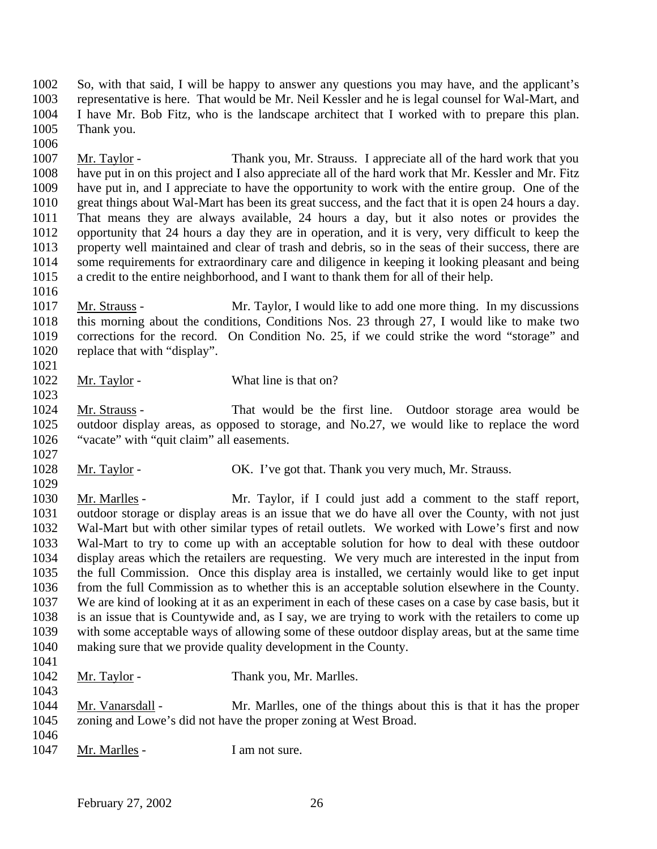So, with that said, I will be happy to answer any questions you may have, and the applicant's representative is here. That would be Mr. Neil Kessler and he is legal counsel for Wal-Mart, and I have Mr. Bob Fitz, who is the landscape architect that I worked with to prepare this plan. Thank you.

 Mr. Taylor - Thank you, Mr. Strauss. I appreciate all of the hard work that you have put in on this project and I also appreciate all of the hard work that Mr. Kessler and Mr. Fitz have put in, and I appreciate to have the opportunity to work with the entire group. One of the great things about Wal-Mart has been its great success, and the fact that it is open 24 hours a day. That means they are always available, 24 hours a day, but it also notes or provides the opportunity that 24 hours a day they are in operation, and it is very, very difficult to keep the property well maintained and clear of trash and debris, so in the seas of their success, there are some requirements for extraordinary care and diligence in keeping it looking pleasant and being a credit to the entire neighborhood, and I want to thank them for all of their help. 

 Mr. Strauss - Mr. Taylor, I would like to add one more thing. In my discussions this morning about the conditions, Conditions Nos. 23 through 27, I would like to make two corrections for the record. On Condition No. 25, if we could strike the word "storage" and replace that with "display". 

## 1022 Mr. Taylor - What line is that on?

 Mr. Strauss - That would be the first line. Outdoor storage area would be outdoor display areas, as opposed to storage, and No.27, we would like to replace the word "vacate" with "quit claim" all easements.

1028 Mr. Taylor - OK. I've got that. Thank you very much, Mr. Strauss. 

1030 Mr. Marlles - Mr. Taylor, if I could just add a comment to the staff report, outdoor storage or display areas is an issue that we do have all over the County, with not just Wal-Mart but with other similar types of retail outlets. We worked with Lowe's first and now Wal-Mart to try to come up with an acceptable solution for how to deal with these outdoor display areas which the retailers are requesting. We very much are interested in the input from the full Commission. Once this display area is installed, we certainly would like to get input from the full Commission as to whether this is an acceptable solution elsewhere in the County. We are kind of looking at it as an experiment in each of these cases on a case by case basis, but it is an issue that is Countywide and, as I say, we are trying to work with the retailers to come up with some acceptable ways of allowing some of these outdoor display areas, but at the same time making sure that we provide quality development in the County. 

- 1042 Mr. Taylor Thank you, Mr. Marlles.
- Mr. Vanarsdall Mr. Marlles, one of the things about this is that it has the proper zoning and Lowe's did not have the proper zoning at West Broad.
- 1047 Mr. Marlles I am not sure.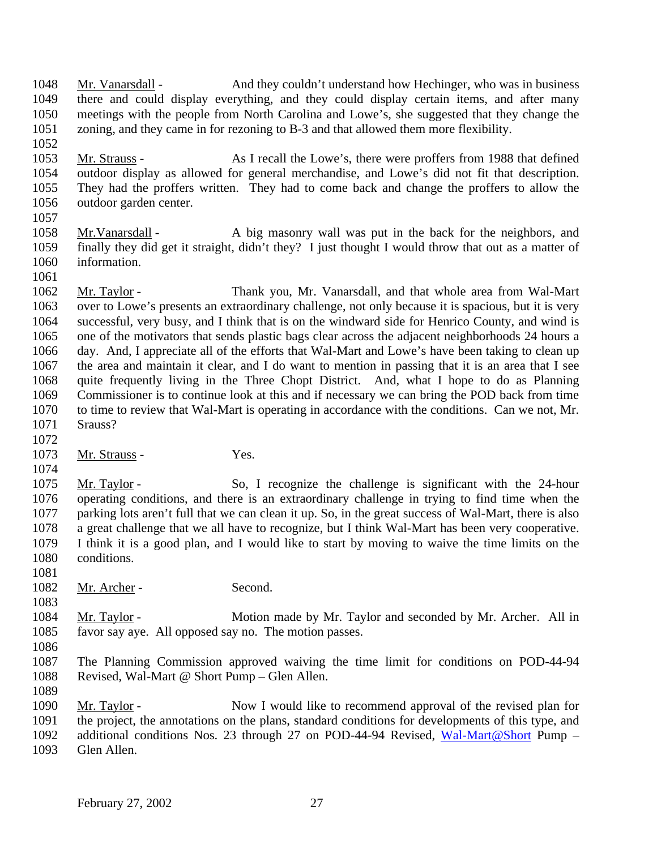Mr. Vanarsdall - And they couldn't understand how Hechinger, who was in business there and could display everything, and they could display certain items, and after many meetings with the people from North Carolina and Lowe's, she suggested that they change the zoning, and they came in for rezoning to B-3 and that allowed them more flexibility.

 Mr. Strauss - As I recall the Lowe's, there were proffers from 1988 that defined outdoor display as allowed for general merchandise, and Lowe's did not fit that description. They had the proffers written. They had to come back and change the proffers to allow the outdoor garden center.

 Mr.Vanarsdall - A big masonry wall was put in the back for the neighbors, and finally they did get it straight, didn't they? I just thought I would throw that out as a matter of information.

 Mr. Taylor - Thank you, Mr. Vanarsdall, and that whole area from Wal-Mart over to Lowe's presents an extraordinary challenge, not only because it is spacious, but it is very successful, very busy, and I think that is on the windward side for Henrico County, and wind is one of the motivators that sends plastic bags clear across the adjacent neighborhoods 24 hours a day. And, I appreciate all of the efforts that Wal-Mart and Lowe's have been taking to clean up the area and maintain it clear, and I do want to mention in passing that it is an area that I see quite frequently living in the Three Chopt District. And, what I hope to do as Planning Commissioner is to continue look at this and if necessary we can bring the POD back from time 1070 to time to review that Wal-Mart is operating in accordance with the conditions. Can we not, Mr. Srauss? 

1073 Mr. Strauss - Yes.

 Mr. Taylor - So, I recognize the challenge is significant with the 24-hour operating conditions, and there is an extraordinary challenge in trying to find time when the parking lots aren't full that we can clean it up. So, in the great success of Wal-Mart, there is also a great challenge that we all have to recognize, but I think Wal-Mart has been very cooperative. I think it is a good plan, and I would like to start by moving to waive the time limits on the conditions.

1082 Mr. Archer - Second.

 Mr. Taylor - Motion made by Mr. Taylor and seconded by Mr. Archer. All in favor say aye. All opposed say no. The motion passes.

 The Planning Commission approved waiving the time limit for conditions on POD-44-94 Revised, Wal-Mart @ Short Pump – Glen Allen.

 Mr. Taylor - Now I would like to recommend approval of the revised plan for the project, the annotations on the plans, standard conditions for developments of this type, and 1092 additional conditions Nos. 23 through 27 on POD-44-94 Revised, Wal-Mart@Short Pump – 1093 Glen Allen.

Glen Allen.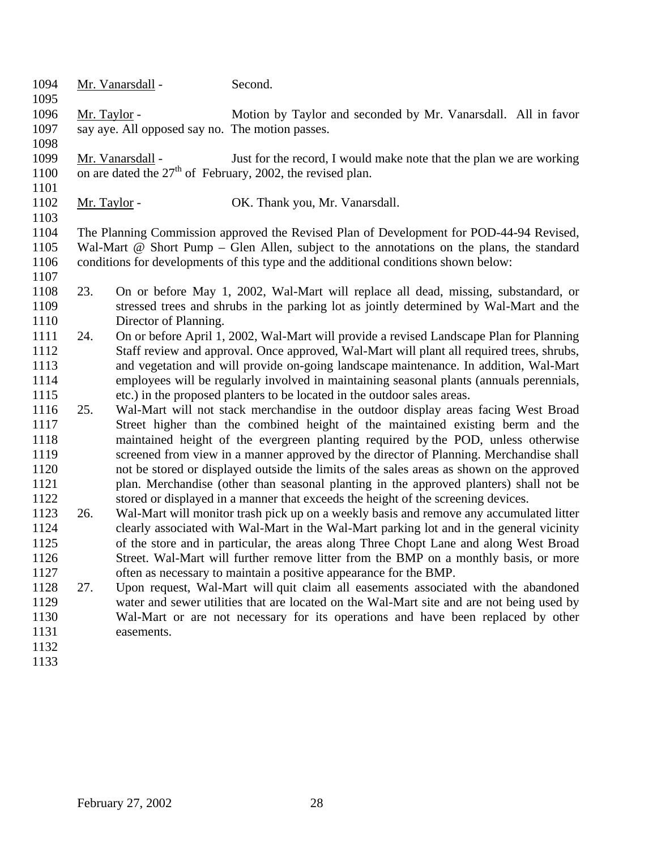| 1094         |              | Mr. Vanarsdall -                                | Second.                                                                                   |
|--------------|--------------|-------------------------------------------------|-------------------------------------------------------------------------------------------|
| 1095         |              |                                                 |                                                                                           |
| 1096         | Mr. Taylor - |                                                 | Motion by Taylor and seconded by Mr. Vanarsdall. All in favor                             |
| 1097<br>1098 |              | say aye. All opposed say no. The motion passes. |                                                                                           |
| 1099         |              | Mr. Vanarsdall -                                | Just for the record, I would make note that the plan we are working                       |
| 1100         |              |                                                 | on are dated the $27th$ of February, 2002, the revised plan.                              |
| 1101         |              |                                                 |                                                                                           |
| 1102         | Mr. Taylor - |                                                 | OK. Thank you, Mr. Vanarsdall.                                                            |
| 1103         |              |                                                 |                                                                                           |
| 1104         |              |                                                 | The Planning Commission approved the Revised Plan of Development for POD-44-94 Revised,   |
| 1105         |              |                                                 | Wal-Mart @ Short Pump – Glen Allen, subject to the annotations on the plans, the standard |
| 1106         |              |                                                 | conditions for developments of this type and the additional conditions shown below:       |
| 1107         |              |                                                 |                                                                                           |
| 1108         | 23.          |                                                 | On or before May 1, 2002, Wal-Mart will replace all dead, missing, substandard, or        |
| 1109         |              |                                                 | stressed trees and shrubs in the parking lot as jointly determined by Wal-Mart and the    |
| 1110         |              | Director of Planning.                           |                                                                                           |
| 1111         | 24.          |                                                 | On or before April 1, 2002, Wal-Mart will provide a revised Landscape Plan for Planning   |
| 1112         |              |                                                 | Staff review and approval. Once approved, Wal-Mart will plant all required trees, shrubs, |
| 1113         |              |                                                 | and vegetation and will provide on-going landscape maintenance. In addition, Wal-Mart     |
| 1114         |              |                                                 | employees will be regularly involved in maintaining seasonal plants (annuals perennials,  |
| 1115         |              |                                                 | etc.) in the proposed planters to be located in the outdoor sales areas.                  |
| 1116         | 25.          |                                                 | Wal-Mart will not stack merchandise in the outdoor display areas facing West Broad        |
| 1117         |              |                                                 | Street higher than the combined height of the maintained existing berm and the            |
| 1118         |              |                                                 | maintained height of the evergreen planting required by the POD, unless otherwise         |
| 1119         |              |                                                 | screened from view in a manner approved by the director of Planning. Merchandise shall    |
| 1120         |              |                                                 | not be stored or displayed outside the limits of the sales areas as shown on the approved |
| 1121         |              |                                                 | plan. Merchandise (other than seasonal planting in the approved planters) shall not be    |
| 1122         |              |                                                 | stored or displayed in a manner that exceeds the height of the screening devices.         |
| 1123         | 26.          |                                                 | Wal-Mart will monitor trash pick up on a weekly basis and remove any accumulated litter   |
| 1124         |              |                                                 | clearly associated with Wal-Mart in the Wal-Mart parking lot and in the general vicinity  |
| 1125         |              |                                                 | of the store and in particular, the areas along Three Chopt Lane and along West Broad     |
| 1126         |              |                                                 | Street. Wal-Mart will further remove litter from the BMP on a monthly basis, or more      |
| 1127         |              |                                                 | often as necessary to maintain a positive appearance for the BMP.                         |
| 1128         | 27.          |                                                 | Upon request, Wal-Mart will quit claim all easements associated with the abandoned        |
| 1129         |              |                                                 | water and sewer utilities that are located on the Wal-Mart site and are not being used by |
| 1130         |              |                                                 | Wal-Mart or are not necessary for its operations and have been replaced by other          |
| 1131         |              | easements.                                      |                                                                                           |
| 1132         |              |                                                 |                                                                                           |
| 1133         |              |                                                 |                                                                                           |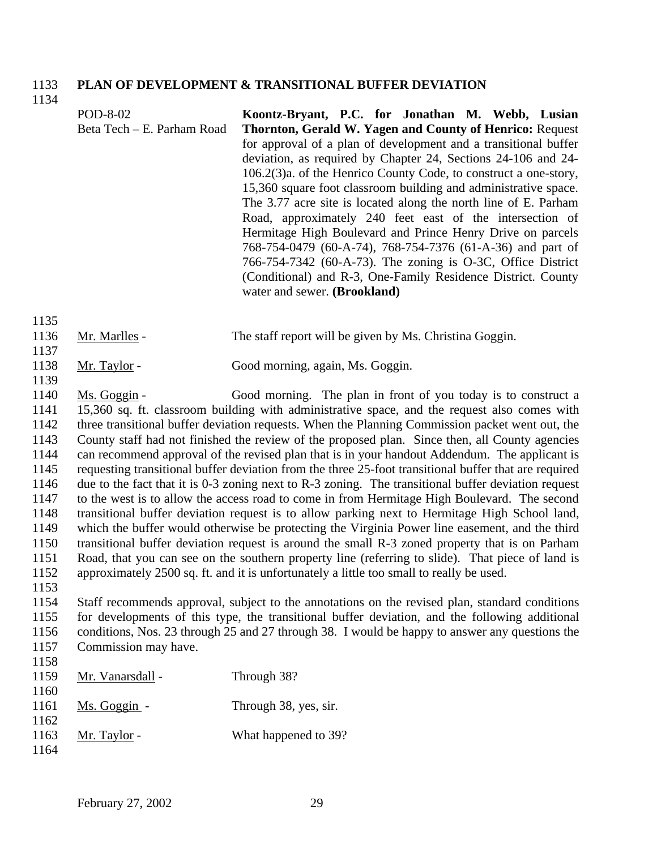#### 1133 **PLAN OF DEVELOPMENT & TRANSITIONAL BUFFER DEVIATION**

1134

|                      | POD-8-02<br>Beta Tech – E. Parham Road | Koontz-Bryant, P.C. for Jonathan M. Webb, Lusian<br>Thornton, Gerald W. Yagen and County of Henrico: Request<br>for approval of a plan of development and a transitional buffer<br>deviation, as required by Chapter 24, Sections 24-106 and 24-<br>106.2(3)a. of the Henrico County Code, to construct a one-story,<br>15,360 square foot classroom building and administrative space.<br>The 3.77 acre site is located along the north line of E. Parham<br>Road, approximately 240 feet east of the intersection of<br>Hermitage High Boulevard and Prince Henry Drive on parcels<br>768-754-0479 (60-A-74), 768-754-7376 (61-A-36) and part of<br>766-754-7342 (60-A-73). The zoning is O-3C, Office District<br>(Conditional) and R-3, One-Family Residence District. County<br>water and sewer. (Brookland) |
|----------------------|----------------------------------------|-------------------------------------------------------------------------------------------------------------------------------------------------------------------------------------------------------------------------------------------------------------------------------------------------------------------------------------------------------------------------------------------------------------------------------------------------------------------------------------------------------------------------------------------------------------------------------------------------------------------------------------------------------------------------------------------------------------------------------------------------------------------------------------------------------------------|
| 1135<br>1136<br>1137 | Mr. Marlles -                          | The staff report will be given by Ms. Christina Goggin.                                                                                                                                                                                                                                                                                                                                                                                                                                                                                                                                                                                                                                                                                                                                                           |

- 1138 Mr. Taylor Good morning, again, Ms. Goggin.
- 1139

1137

 Ms. Goggin - Good morning. The plan in front of you today is to construct a 15,360 sq. ft. classroom building with administrative space, and the request also comes with three transitional buffer deviation requests. When the Planning Commission packet went out, the County staff had not finished the review of the proposed plan. Since then, all County agencies can recommend approval of the revised plan that is in your handout Addendum. The applicant is requesting transitional buffer deviation from the three 25-foot transitional buffer that are required due to the fact that it is 0-3 zoning next to R-3 zoning. The transitional buffer deviation request to the west is to allow the access road to come in from Hermitage High Boulevard. The second transitional buffer deviation request is to allow parking next to Hermitage High School land, which the buffer would otherwise be protecting the Virginia Power line easement, and the third transitional buffer deviation request is around the small R-3 zoned property that is on Parham Road, that you can see on the southern property line (referring to slide). That piece of land is approximately 2500 sq. ft. and it is unfortunately a little too small to really be used. 1153

 Staff recommends approval, subject to the annotations on the revised plan, standard conditions for developments of this type, the transitional buffer deviation, and the following additional conditions, Nos. 23 through 25 and 27 through 38. I would be happy to answer any questions the Commission may have. 1158

| .<br>1159 | Mr. Vanarsdall - | Through 38?           |
|-----------|------------------|-----------------------|
| 1160      |                  |                       |
| 1161      | Ms. Goggin -     | Through 38, yes, sir. |
| 1162      |                  |                       |
| 1163      | Mr. Taylor -     | What happened to 39?  |
| 1164      |                  |                       |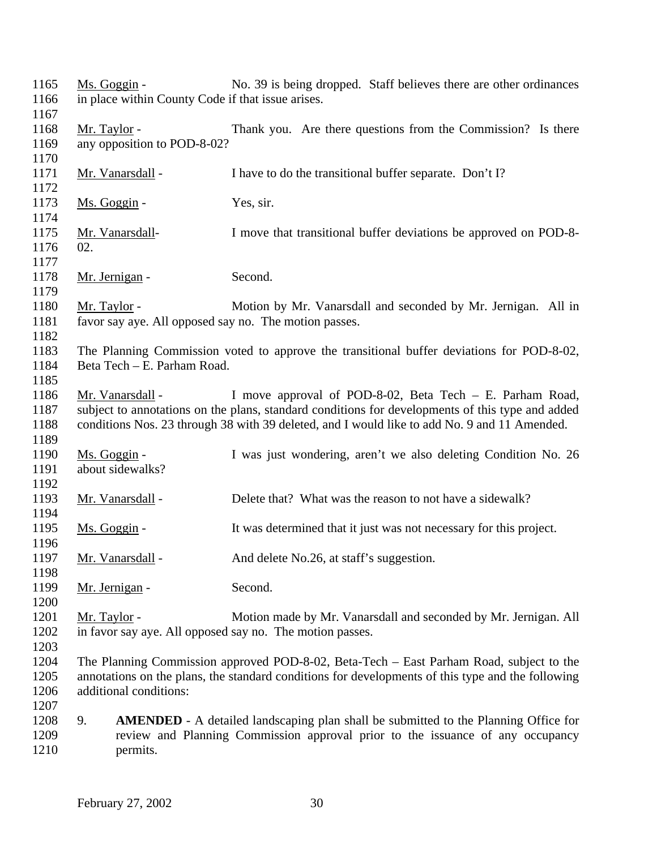| 1165<br>1166<br>1167         | Ms. Goggin -<br>in place within County Code if that issue arises.        | No. 39 is being dropped. Staff believes there are other ordinances                                                                                                                                                                                           |
|------------------------------|--------------------------------------------------------------------------|--------------------------------------------------------------------------------------------------------------------------------------------------------------------------------------------------------------------------------------------------------------|
| 1168<br>1169<br>1170         | Mr. Taylor -<br>any opposition to POD-8-02?                              | Thank you. Are there questions from the Commission? Is there                                                                                                                                                                                                 |
| 1171<br>1172                 | Mr. Vanarsdall -                                                         | I have to do the transitional buffer separate. Don't I?                                                                                                                                                                                                      |
| 1173<br>1174                 | Ms. Goggin -                                                             | Yes, sir.                                                                                                                                                                                                                                                    |
| 1175<br>1176<br>1177         | Mr. Vanarsdall-<br>02.                                                   | I move that transitional buffer deviations be approved on POD-8-                                                                                                                                                                                             |
| 1178<br>1179                 | Mr. Jernigan -                                                           | Second.                                                                                                                                                                                                                                                      |
| 1180<br>1181<br>1182         | Mr. Taylor -<br>favor say aye. All opposed say no. The motion passes.    | Motion by Mr. Vanarsdall and seconded by Mr. Jernigan. All in                                                                                                                                                                                                |
| 1183<br>1184<br>1185         | Beta Tech - E. Parham Road.                                              | The Planning Commission voted to approve the transitional buffer deviations for POD-8-02,                                                                                                                                                                    |
| 1186<br>1187<br>1188<br>1189 | Mr. Vanarsdall -                                                         | I move approval of POD-8-02, Beta Tech – E. Parham Road,<br>subject to annotations on the plans, standard conditions for developments of this type and added<br>conditions Nos. 23 through 38 with 39 deleted, and I would like to add No. 9 and 11 Amended. |
| 1190<br>1191<br>1192         | Ms. Goggin -<br>about sidewalks?                                         | I was just wondering, aren't we also deleting Condition No. 26                                                                                                                                                                                               |
| 1193<br>1194                 | Mr. Vanarsdall -                                                         | Delete that? What was the reason to not have a sidewalk?                                                                                                                                                                                                     |
| 1195<br>1196                 | <u>Ms. Goggin</u> -                                                      | It was determined that it just was not necessary for this project.                                                                                                                                                                                           |
| 1197<br>1198                 | Mr. Vanarsdall -                                                         | And delete No.26, at staff's suggestion.                                                                                                                                                                                                                     |
| 1199<br>1200                 | Mr. Jernigan -                                                           | Second.                                                                                                                                                                                                                                                      |
| 1201<br>1202<br>1203         | Mr. Taylor -<br>in favor say aye. All opposed say no. The motion passes. | Motion made by Mr. Vanarsdall and seconded by Mr. Jernigan. All                                                                                                                                                                                              |
| 1204<br>1205<br>1206<br>1207 | additional conditions:                                                   | The Planning Commission approved POD-8-02, Beta-Tech – East Parham Road, subject to the<br>annotations on the plans, the standard conditions for developments of this type and the following                                                                 |
| 1208<br>1209<br>1210         | 9.<br>permits.                                                           | <b>AMENDED</b> - A detailed landscaping plan shall be submitted to the Planning Office for<br>review and Planning Commission approval prior to the issuance of any occupancy                                                                                 |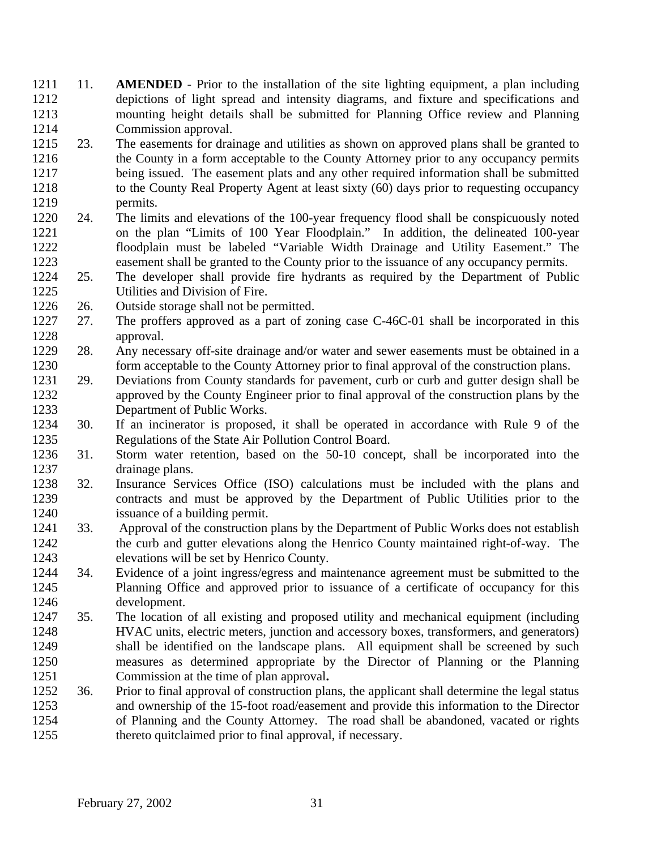- 11. **AMENDED** Prior to the installation of the site lighting equipment, a plan including depictions of light spread and intensity diagrams, and fixture and specifications and mounting height details shall be submitted for Planning Office review and Planning Commission approval.
- 23. The easements for drainage and utilities as shown on approved plans shall be granted to 1216 the County in a form acceptable to the County Attorney prior to any occupancy permits being issued. The easement plats and any other required information shall be submitted to the County Real Property Agent at least sixty (60) days prior to requesting occupancy permits.
- 24. The limits and elevations of the 100-year frequency flood shall be conspicuously noted on the plan "Limits of 100 Year Floodplain." In addition, the delineated 100-year floodplain must be labeled "Variable Width Drainage and Utility Easement." The easement shall be granted to the County prior to the issuance of any occupancy permits.
- 25. The developer shall provide fire hydrants as required by the Department of Public Utilities and Division of Fire.
- 26. Outside storage shall not be permitted.
- 27. The proffers approved as a part of zoning case C-46C-01 shall be incorporated in this approval.
- 28. Any necessary off-site drainage and/or water and sewer easements must be obtained in a form acceptable to the County Attorney prior to final approval of the construction plans.
- 29. Deviations from County standards for pavement, curb or curb and gutter design shall be approved by the County Engineer prior to final approval of the construction plans by the Department of Public Works.
- 30. If an incinerator is proposed, it shall be operated in accordance with Rule 9 of the Regulations of the State Air Pollution Control Board.
- 31. Storm water retention, based on the 50-10 concept, shall be incorporated into the drainage plans.
- 32. Insurance Services Office (ISO) calculations must be included with the plans and contracts and must be approved by the Department of Public Utilities prior to the issuance of a building permit.
- 33. Approval of the construction plans by the Department of Public Works does not establish the curb and gutter elevations along the Henrico County maintained right-of-way. The elevations will be set by Henrico County.
- 34. Evidence of a joint ingress/egress and maintenance agreement must be submitted to the Planning Office and approved prior to issuance of a certificate of occupancy for this development.
- 35. The location of all existing and proposed utility and mechanical equipment (including HVAC units, electric meters, junction and accessory boxes, transformers, and generators) shall be identified on the landscape plans. All equipment shall be screened by such measures as determined appropriate by the Director of Planning or the Planning Commission at the time of plan approval**.**
- 36. Prior to final approval of construction plans, the applicant shall determine the legal status and ownership of the 15-foot road/easement and provide this information to the Director of Planning and the County Attorney. The road shall be abandoned, vacated or rights 1255 thereto quitclaimed prior to final approval, if necessary.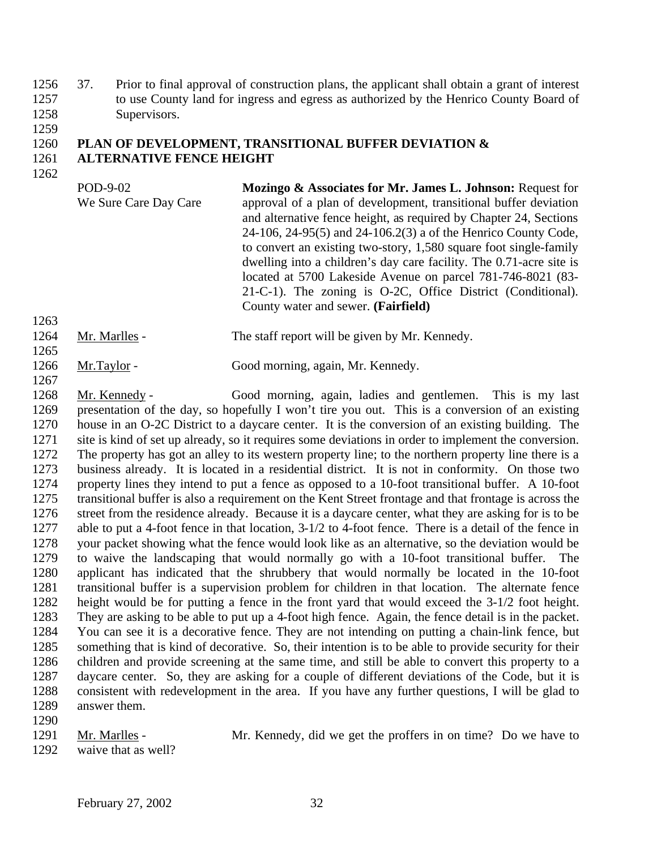37. Prior to final approval of construction plans, the applicant shall obtain a grant of interest to use County land for ingress and egress as authorized by the Henrico County Board of Supervisors.

## **PLAN OF DEVELOPMENT, TRANSITIONAL BUFFER DEVIATION & ALTERNATIVE FENCE HEIGHT**

POD-9-02 We Sure Care Day Care **Mozingo & Associates for Mr. James L. Johnson:** Request for approval of a plan of development, transitional buffer deviation and alternative fence height, as required by Chapter 24, Sections 24-106, 24-95(5) and 24-106.2(3) a of the Henrico County Code, to convert an existing two-story, 1,580 square foot single-family dwelling into a children's day care facility. The 0.71-acre site is located at 5700 Lakeside Avenue on parcel 781-746-8021 (83- 21-C-1). The zoning is O-2C, Office District (Conditional). County water and sewer. **(Fairfield)** 

- Mr. Marlles The staff report will be given by Mr. Kennedy.
- 1266 Mr.Taylor Good morning, again, Mr. Kennedy.

 Mr. Kennedy - Good morning, again, ladies and gentlemen. This is my last presentation of the day, so hopefully I won't tire you out. This is a conversion of an existing house in an O-2C District to a daycare center. It is the conversion of an existing building. The site is kind of set up already, so it requires some deviations in order to implement the conversion. The property has got an alley to its western property line; to the northern property line there is a business already. It is located in a residential district. It is not in conformity. On those two property lines they intend to put a fence as opposed to a 10-foot transitional buffer. A 10-foot transitional buffer is also a requirement on the Kent Street frontage and that frontage is across the street from the residence already. Because it is a daycare center, what they are asking for is to be able to put a 4-foot fence in that location, 3-1/2 to 4-foot fence. There is a detail of the fence in your packet showing what the fence would look like as an alternative, so the deviation would be 1279 to waive the landscaping that would normally go with a 10-foot transitional buffer. applicant has indicated that the shrubbery that would normally be located in the 10-foot transitional buffer is a supervision problem for children in that location. The alternate fence height would be for putting a fence in the front yard that would exceed the 3-1/2 foot height. They are asking to be able to put up a 4-foot high fence. Again, the fence detail is in the packet. You can see it is a decorative fence. They are not intending on putting a chain-link fence, but something that is kind of decorative. So, their intention is to be able to provide security for their children and provide screening at the same time, and still be able to convert this property to a daycare center. So, they are asking for a couple of different deviations of the Code, but it is consistent with redevelopment in the area. If you have any further questions, I will be glad to answer them.

1291 Mr. Marlles - Mr. Kennedy, did we get the proffers in on time? Do we have to

waive that as well?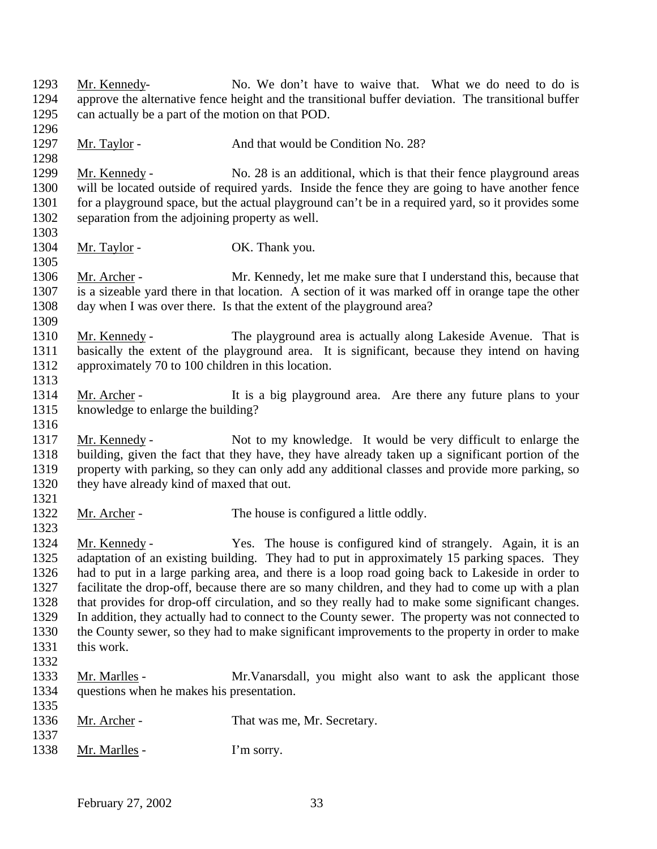Mr. Kennedy- No. We don't have to waive that. What we do need to do is approve the alternative fence height and the transitional buffer deviation. The transitional buffer can actually be a part of the motion on that POD. 1297 Mr. Taylor - And that would be Condition No. 28? Mr. Kennedy - No. 28 is an additional, which is that their fence playground areas will be located outside of required yards. Inside the fence they are going to have another fence for a playground space, but the actual playground can't be in a required yard, so it provides some separation from the adjoining property as well. 1304 Mr. Taylor - OK. Thank you. Mr. Archer - Mr. Kennedy, let me make sure that I understand this, because that is a sizeable yard there in that location. A section of it was marked off in orange tape the other day when I was over there. Is that the extent of the playground area? Mr. Kennedy - The playground area is actually along Lakeside Avenue. That is basically the extent of the playground area. It is significant, because they intend on having approximately 70 to 100 children in this location. 1314 Mr. Archer - It is a big playground area. Are there any future plans to your knowledge to enlarge the building? Mr. Kennedy - Not to my knowledge. It would be very difficult to enlarge the building, given the fact that they have, they have already taken up a significant portion of the property with parking, so they can only add any additional classes and provide more parking, so they have already kind of maxed that out. 1322 Mr. Archer - The house is configured a little oddly. Mr. Kennedy - Yes. The house is configured kind of strangely. Again, it is an adaptation of an existing building. They had to put in approximately 15 parking spaces. They had to put in a large parking area, and there is a loop road going back to Lakeside in order to facilitate the drop-off, because there are so many children, and they had to come up with a plan that provides for drop-off circulation, and so they really had to make some significant changes. In addition, they actually had to connect to the County sewer. The property was not connected to the County sewer, so they had to make significant improvements to the property in order to make this work. Mr. Marlles - Mr.Vanarsdall, you might also want to ask the applicant those questions when he makes his presentation. 1336 Mr. Archer - That was me, Mr. Secretary. 1338 Mr. Marlles - I'm sorry.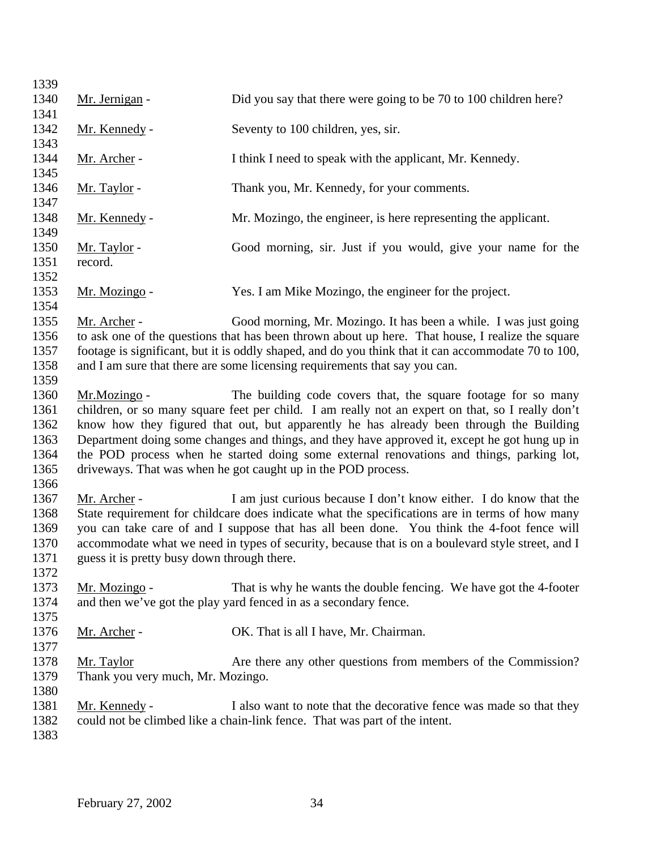| 1339         |                                             |                                                                                                                                                                                   |
|--------------|---------------------------------------------|-----------------------------------------------------------------------------------------------------------------------------------------------------------------------------------|
| 1340         | Mr. Jernigan -                              | Did you say that there were going to be 70 to 100 children here?                                                                                                                  |
| 1341         |                                             |                                                                                                                                                                                   |
| 1342         | Mr. Kennedy -                               | Seventy to 100 children, yes, sir.                                                                                                                                                |
| 1343         |                                             |                                                                                                                                                                                   |
| 1344         | Mr. Archer -                                | I think I need to speak with the applicant, Mr. Kennedy.                                                                                                                          |
| 1345         |                                             |                                                                                                                                                                                   |
| 1346         | <u>Mr. Taylor</u> -                         | Thank you, Mr. Kennedy, for your comments.                                                                                                                                        |
| 1347         |                                             |                                                                                                                                                                                   |
| 1348         | Mr. Kennedy -                               | Mr. Mozingo, the engineer, is here representing the applicant.                                                                                                                    |
| 1349         |                                             |                                                                                                                                                                                   |
| 1350         | Mr. Taylor -                                | Good morning, sir. Just if you would, give your name for the                                                                                                                      |
| 1351         | record.                                     |                                                                                                                                                                                   |
| 1352         |                                             |                                                                                                                                                                                   |
| 1353         | Mr. Mozingo -                               | Yes. I am Mike Mozingo, the engineer for the project.                                                                                                                             |
| 1354         |                                             |                                                                                                                                                                                   |
| 1355         | Mr. Archer -                                | Good morning, Mr. Mozingo. It has been a while. I was just going                                                                                                                  |
| 1356<br>1357 |                                             | to ask one of the questions that has been thrown about up here. That house, I realize the square                                                                                  |
| 1358         |                                             | footage is significant, but it is oddly shaped, and do you think that it can accommodate 70 to 100,<br>and I am sure that there are some licensing requirements that say you can. |
| 1359         |                                             |                                                                                                                                                                                   |
| 1360         | Mr.Mozingo -                                | The building code covers that, the square footage for so many                                                                                                                     |
| 1361         |                                             | children, or so many square feet per child. I am really not an expert on that, so I really don't                                                                                  |
| 1362         |                                             | know how they figured that out, but apparently he has already been through the Building                                                                                           |
| 1363         |                                             | Department doing some changes and things, and they have approved it, except he got hung up in                                                                                     |
| 1364         |                                             | the POD process when he started doing some external renovations and things, parking lot,                                                                                          |
| 1365         |                                             | driveways. That was when he got caught up in the POD process.                                                                                                                     |
| 1366         |                                             |                                                                                                                                                                                   |
| 1367         | Mr. Archer -                                | I am just curious because I don't know either. I do know that the                                                                                                                 |
| 1368         |                                             | State requirement for childcare does indicate what the specifications are in terms of how many                                                                                    |
| 1369         |                                             | you can take care of and I suppose that has all been done. You think the 4-foot fence will                                                                                        |
| 1370         |                                             | accommodate what we need in types of security, because that is on a boulevard style street, and I                                                                                 |
| 1371         | guess it is pretty busy down through there. |                                                                                                                                                                                   |
| 1372         |                                             |                                                                                                                                                                                   |
| 1373         | Mr. Mozingo -                               | That is why he wants the double fencing. We have got the 4-footer                                                                                                                 |
| 1374         |                                             | and then we've got the play yard fenced in as a secondary fence.                                                                                                                  |
| 1375         |                                             |                                                                                                                                                                                   |
| 1376         | Mr. Archer -                                | OK. That is all I have, Mr. Chairman.                                                                                                                                             |
| 1377         |                                             |                                                                                                                                                                                   |
| 1378         | Mr. Taylor                                  | Are there any other questions from members of the Commission?                                                                                                                     |
| 1379         | Thank you very much, Mr. Mozingo.           |                                                                                                                                                                                   |
| 1380         |                                             |                                                                                                                                                                                   |
| 1381         | Mr. Kennedy -                               | I also want to note that the decorative fence was made so that they                                                                                                               |
| 1382         |                                             | could not be climbed like a chain-link fence. That was part of the intent.                                                                                                        |
| 1383         |                                             |                                                                                                                                                                                   |
|              |                                             |                                                                                                                                                                                   |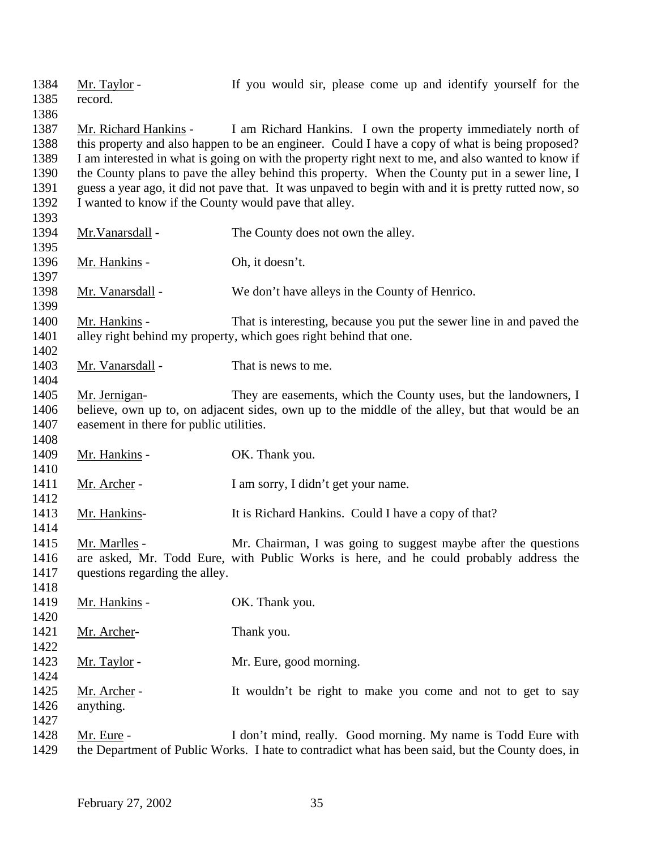record. 1387 Mr. Richard Hankins - I am Richard Hankins. I own the property immediately north of this property and also happen to be an engineer. Could I have a copy of what is being proposed? I am interested in what is going on with the property right next to me, and also wanted to know if the County plans to pave the alley behind this property. When the County put in a sewer line, I guess a year ago, it did not pave that. It was unpaved to begin with and it is pretty rutted now, so I wanted to know if the County would pave that alley. 1394 Mr. Vanarsdall - The County does not own the alley. 1396 Mr. Hankins - Oh, it doesn't. 1398 Mr. Vanarsdall - We don't have alleys in the County of Henrico. Mr. Hankins - That is interesting, because you put the sewer line in and paved the alley right behind my property, which goes right behind that one. 

Mr. Taylor - If you would sir, please come up and identify yourself for the

1403 Mr. Vanarsdall - That is news to me.

 Mr. Jernigan- They are easements, which the County uses, but the landowners, I believe, own up to, on adjacent sides, own up to the middle of the alley, but that would be an easement in there for public utilities.

1409 Mr. Hankins - OK. Thank you. 1411 Mr. Archer - I am sorry, I didn't get your name.

1413 Mr. Hankins- It is Richard Hankins. Could I have a copy of that?

 Mr. Marlles - Mr. Chairman, I was going to suggest maybe after the questions are asked, Mr. Todd Eure, with Public Works is here, and he could probably address the questions regarding the alley.

| 1419 | Mr. Hankins - | OK. Thank you.                                                |
|------|---------------|---------------------------------------------------------------|
| 1420 |               |                                                               |
| 1421 | Mr. Archer-   | Thank you.                                                    |
| 1422 |               |                                                               |
| 1423 | Mr. Taylor -  | Mr. Eure, good morning.                                       |
| 1424 |               |                                                               |
| 1425 | Mr. Archer -  | It wouldn't be right to make you come and not to get to say   |
| 1426 | anything.     |                                                               |
| 1427 |               |                                                               |
| 1428 | Mr. Eure -    | I don't mind, really. Good morning. My name is Todd Eure with |

the Department of Public Works. I hate to contradict what has been said, but the County does, in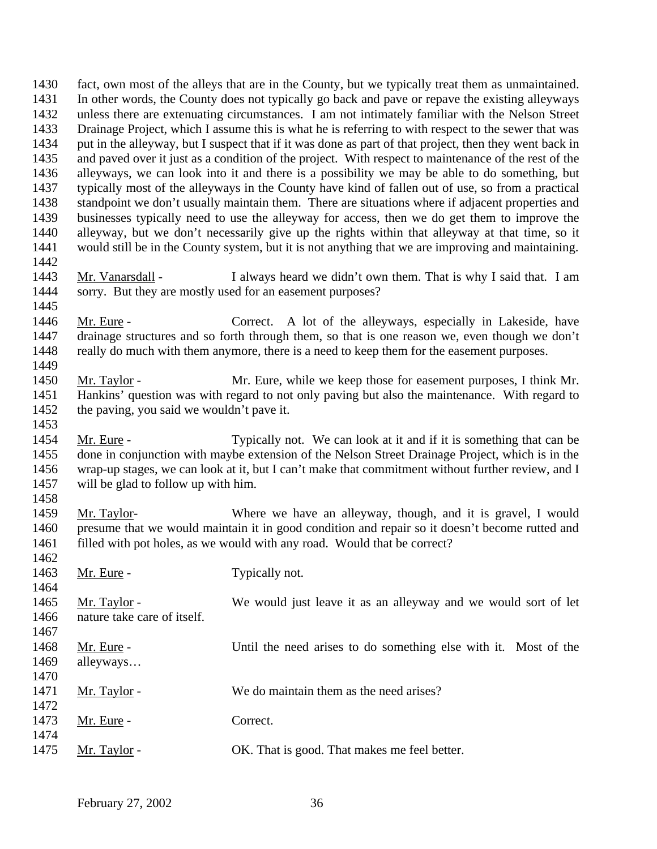fact, own most of the alleys that are in the County, but we typically treat them as unmaintained. In other words, the County does not typically go back and pave or repave the existing alleyways unless there are extenuating circumstances. I am not intimately familiar with the Nelson Street Drainage Project, which I assume this is what he is referring to with respect to the sewer that was put in the alleyway, but I suspect that if it was done as part of that project, then they went back in and paved over it just as a condition of the project. With respect to maintenance of the rest of the alleyways, we can look into it and there is a possibility we may be able to do something, but typically most of the alleyways in the County have kind of fallen out of use, so from a practical standpoint we don't usually maintain them. There are situations where if adjacent properties and businesses typically need to use the alleyway for access, then we do get them to improve the alleyway, but we don't necessarily give up the rights within that alleyway at that time, so it would still be in the County system, but it is not anything that we are improving and maintaining. 1443 Mr. Vanarsdall - I always heard we didn't own them. That is why I said that. I am sorry. But they are mostly used for an easement purposes? Mr. Eure - Correct. A lot of the alleyways, especially in Lakeside, have drainage structures and so forth through them, so that is one reason we, even though we don't 1448 really do much with them anymore, there is a need to keep them for the easement purposes. Mr. Taylor - Mr. Eure, while we keep those for easement purposes, I think Mr. Hankins' question was with regard to not only paving but also the maintenance. With regard to the paving, you said we wouldn't pave it. 1454 Mr. Eure - Typically not. We can look at it and if it is something that can be done in conjunction with maybe extension of the Nelson Street Drainage Project, which is in the wrap-up stages, we can look at it, but I can't make that commitment without further review, and I will be glad to follow up with him. Mr. Taylor- Where we have an alleyway, though, and it is gravel, I would presume that we would maintain it in good condition and repair so it doesn't become rutted and 1461 filled with pot holes, as we would with any road. Would that be correct? 1463 Mr. Eure - Typically not. Mr. Taylor - We would just leave it as an alleyway and we would sort of let nature take care of itself. 1468 Mr. Eure - Until the need arises to do something else with it. Most of the alleyways… 1471 Mr. Taylor - We do maintain them as the need arises? 1473 Mr. Eure - Correct. Mr. Taylor - OK. That is good. That makes me feel better.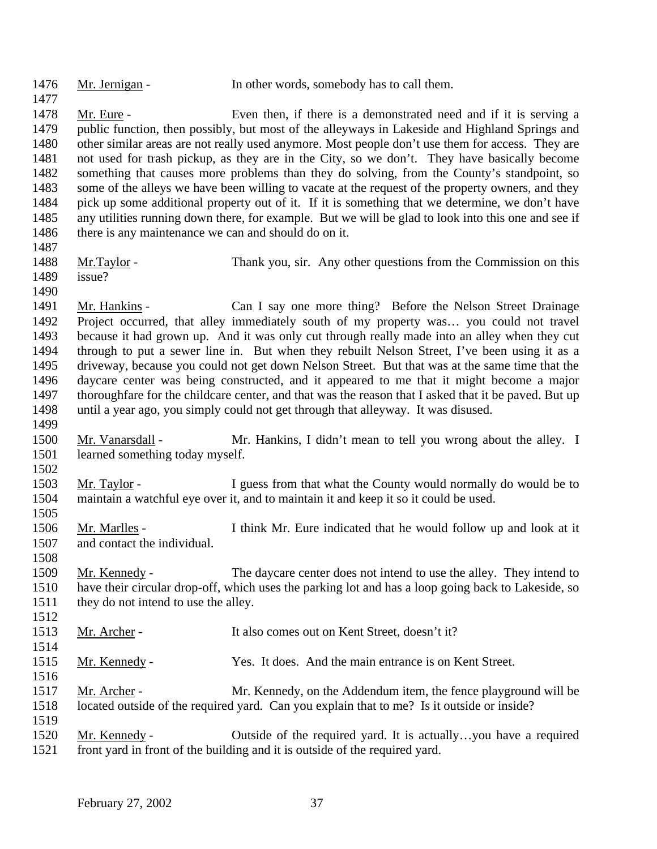| 1476<br>1477                                                         | Mr. Jernigan -                                        | In other words, somebody has to call them.                                                                                                                                                                                                                                                                                                                                                                                                                                                                                                                                                                                                                                                                                                       |
|----------------------------------------------------------------------|-------------------------------------------------------|--------------------------------------------------------------------------------------------------------------------------------------------------------------------------------------------------------------------------------------------------------------------------------------------------------------------------------------------------------------------------------------------------------------------------------------------------------------------------------------------------------------------------------------------------------------------------------------------------------------------------------------------------------------------------------------------------------------------------------------------------|
| 1478<br>1479<br>1480<br>1481<br>1482                                 | Mr. Eure -                                            | Even then, if there is a demonstrated need and if it is serving a<br>public function, then possibly, but most of the alleyways in Lakeside and Highland Springs and<br>other similar areas are not really used anymore. Most people don't use them for access. They are<br>not used for trash pickup, as they are in the City, so we don't. They have basically become<br>something that causes more problems than they do solving, from the County's standpoint, so                                                                                                                                                                                                                                                                             |
| 1483<br>1484<br>1485<br>1486<br>1487                                 | there is any maintenance we can and should do on it.  | some of the alleys we have been willing to vacate at the request of the property owners, and they<br>pick up some additional property out of it. If it is something that we determine, we don't have<br>any utilities running down there, for example. But we will be glad to look into this one and see if                                                                                                                                                                                                                                                                                                                                                                                                                                      |
| 1488<br>1489<br>1490                                                 | Mr.Taylor -<br>issue?                                 | Thank you, sir. Any other questions from the Commission on this                                                                                                                                                                                                                                                                                                                                                                                                                                                                                                                                                                                                                                                                                  |
| 1491<br>1492<br>1493<br>1494<br>1495<br>1496<br>1497<br>1498<br>1499 | Mr. Hankins -                                         | Can I say one more thing? Before the Nelson Street Drainage<br>Project occurred, that alley immediately south of my property was you could not travel<br>because it had grown up. And it was only cut through really made into an alley when they cut<br>through to put a sewer line in. But when they rebuilt Nelson Street, I've been using it as a<br>driveway, because you could not get down Nelson Street. But that was at the same time that the<br>daycare center was being constructed, and it appeared to me that it might become a major<br>thoroughfare for the childcare center, and that was the reason that I asked that it be paved. But up<br>until a year ago, you simply could not get through that alleyway. It was disused. |
| 1500<br>1501<br>1502                                                 | Mr. Vanarsdall -<br>learned something today myself.   | Mr. Hankins, I didn't mean to tell you wrong about the alley. I                                                                                                                                                                                                                                                                                                                                                                                                                                                                                                                                                                                                                                                                                  |
| 1503<br>1504<br>1505                                                 | Mr. Taylor -                                          | I guess from that what the County would normally do would be to<br>maintain a watchful eye over it, and to maintain it and keep it so it could be used.                                                                                                                                                                                                                                                                                                                                                                                                                                                                                                                                                                                          |
| 1506<br>1507<br>1508                                                 | Mr. Marlles -<br>and contact the individual.          | I think Mr. Eure indicated that he would follow up and look at it                                                                                                                                                                                                                                                                                                                                                                                                                                                                                                                                                                                                                                                                                |
| 1509<br>1510<br>1511<br>1512                                         | Mr. Kennedy -<br>they do not intend to use the alley. | The daycare center does not intend to use the alley. They intend to<br>have their circular drop-off, which uses the parking lot and has a loop going back to Lakeside, so                                                                                                                                                                                                                                                                                                                                                                                                                                                                                                                                                                        |
| 1513<br>1514                                                         | Mr. Archer -                                          | It also comes out on Kent Street, doesn't it?                                                                                                                                                                                                                                                                                                                                                                                                                                                                                                                                                                                                                                                                                                    |
| 1515<br>1516                                                         | Mr. Kennedy -                                         | Yes. It does. And the main entrance is on Kent Street.                                                                                                                                                                                                                                                                                                                                                                                                                                                                                                                                                                                                                                                                                           |
| 1517<br>1518<br>1519                                                 | Mr. Archer -                                          | Mr. Kennedy, on the Addendum item, the fence playground will be<br>located outside of the required yard. Can you explain that to me? Is it outside or inside?                                                                                                                                                                                                                                                                                                                                                                                                                                                                                                                                                                                    |
| 1520<br>1521                                                         | Mr. Kennedy -                                         | Outside of the required yard. It is actuallyyou have a required<br>front yard in front of the building and it is outside of the required yard.                                                                                                                                                                                                                                                                                                                                                                                                                                                                                                                                                                                                   |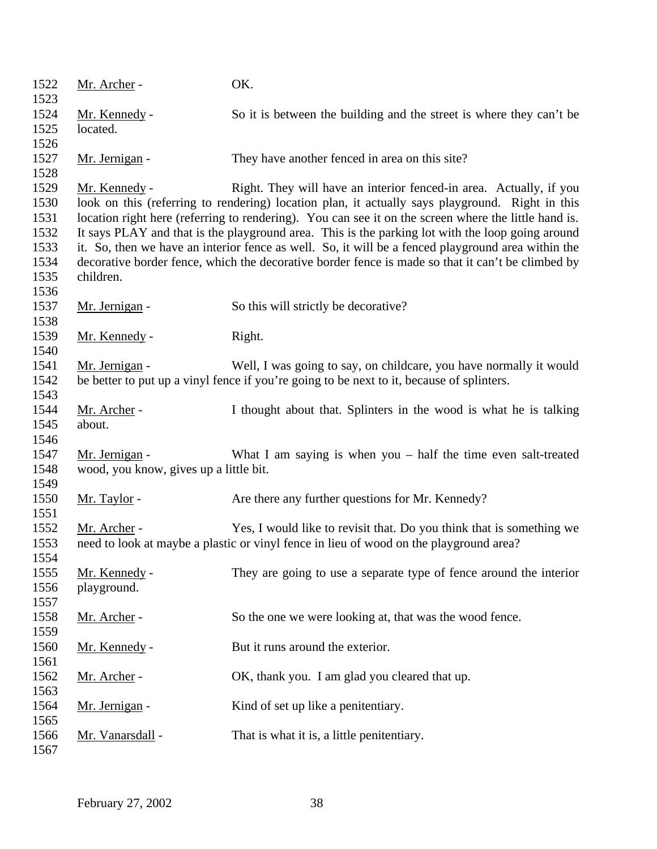| 1522<br>1523 | Mr. Archer -                           | OK.                                                                                                  |
|--------------|----------------------------------------|------------------------------------------------------------------------------------------------------|
| 1524         | Mr. Kennedy -                          | So it is between the building and the street is where they can't be                                  |
| 1525         | located.                               |                                                                                                      |
| 1526         |                                        |                                                                                                      |
| 1527<br>1528 | Mr. Jernigan -                         | They have another fenced in area on this site?                                                       |
| 1529         | Mr. Kennedy -                          | Right. They will have an interior fenced-in area. Actually, if you                                   |
| 1530         |                                        | look on this (referring to rendering) location plan, it actually says playground. Right in this      |
| 1531         |                                        | location right here (referring to rendering). You can see it on the screen where the little hand is. |
| 1532         |                                        | It says PLAY and that is the playground area. This is the parking lot with the loop going around     |
| 1533         |                                        | it. So, then we have an interior fence as well. So, it will be a fenced playground area within the   |
| 1534         |                                        | decorative border fence, which the decorative border fence is made so that it can't be climbed by    |
| 1535         | children.                              |                                                                                                      |
| 1536         |                                        |                                                                                                      |
| 1537         | Mr. Jernigan -                         | So this will strictly be decorative?                                                                 |
| 1538         |                                        |                                                                                                      |
| 1539         | Mr. Kennedy -                          | Right.                                                                                               |
| 1540         |                                        |                                                                                                      |
| 1541         | Mr. Jernigan -                         | Well, I was going to say, on childcare, you have normally it would                                   |
| 1542         |                                        | be better to put up a vinyl fence if you're going to be next to it, because of splinters.            |
| 1543         |                                        |                                                                                                      |
| 1544         | Mr. Archer -                           | I thought about that. Splinters in the wood is what he is talking                                    |
| 1545         | about.                                 |                                                                                                      |
| 1546         |                                        |                                                                                                      |
| 1547         | Mr. Jernigan -                         | What I am saying is when $you$ – half the time even salt-treated                                     |
| 1548         | wood, you know, gives up a little bit. |                                                                                                      |
| 1549         |                                        |                                                                                                      |
| 1550         | Mr. Taylor -                           | Are there any further questions for Mr. Kennedy?                                                     |
| 1551         |                                        |                                                                                                      |
| 1552         | Mr. Archer -                           | Yes, I would like to revisit that. Do you think that is something we                                 |
| 1553         |                                        | need to look at maybe a plastic or vinyl fence in lieu of wood on the playground area?               |
| 1554         |                                        |                                                                                                      |
| 1555         | Mr. Kennedy -                          | They are going to use a separate type of fence around the interior                                   |
| 1556         | playground.                            |                                                                                                      |
| 1557         |                                        |                                                                                                      |
| 1558         | Mr. Archer -                           | So the one we were looking at, that was the wood fence.                                              |
| 1559         |                                        |                                                                                                      |
| 1560         | Mr. Kennedy -                          | But it runs around the exterior.                                                                     |
| 1561         |                                        |                                                                                                      |
| 1562         | Mr. Archer -                           | OK, thank you. I am glad you cleared that up.                                                        |
| 1563         |                                        |                                                                                                      |
| 1564         | Mr. Jernigan -                         | Kind of set up like a penitentiary.                                                                  |
| 1565         |                                        |                                                                                                      |
| 1566         | Mr. Vanarsdall -                       | That is what it is, a little penitentiary.                                                           |
| 1567         |                                        |                                                                                                      |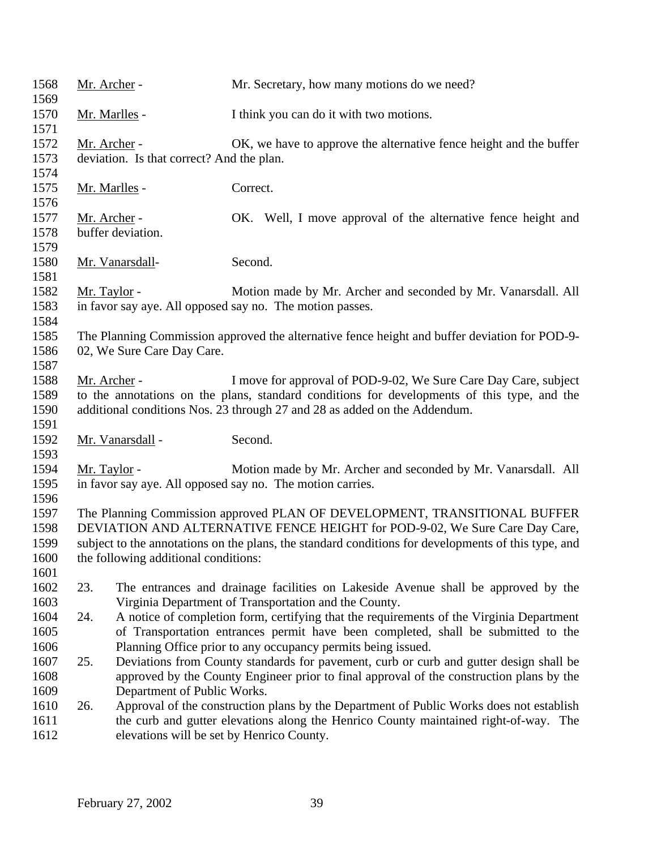| 1568<br>1569                         | Mr. Archer -        |                                           | Mr. Secretary, how many motions do we need?                                                                                                                                                                                                                     |
|--------------------------------------|---------------------|-------------------------------------------|-----------------------------------------------------------------------------------------------------------------------------------------------------------------------------------------------------------------------------------------------------------------|
| 1570<br>1571                         |                     | Mr. Marlles -                             | I think you can do it with two motions.                                                                                                                                                                                                                         |
| 1572<br>1573<br>1574                 | Mr. Archer -        | deviation. Is that correct? And the plan. | OK, we have to approve the alternative fence height and the buffer                                                                                                                                                                                              |
| 1575<br>1576                         |                     | <u>Mr. Marlles</u> -                      | Correct.                                                                                                                                                                                                                                                        |
| 1577<br>1578<br>1579                 | Mr. Archer -        | buffer deviation.                         | OK. Well, I move approval of the alternative fence height and                                                                                                                                                                                                   |
| 1580<br>1581                         |                     | Mr. Vanarsdall-                           | Second.                                                                                                                                                                                                                                                         |
| 1582<br>1583<br>1584                 | Mr. Taylor -        |                                           | Motion made by Mr. Archer and seconded by Mr. Vanarsdall. All<br>in favor say aye. All opposed say no. The motion passes.                                                                                                                                       |
| 1585<br>1586<br>1587                 |                     | 02, We Sure Care Day Care.                | The Planning Commission approved the alternative fence height and buffer deviation for POD-9-                                                                                                                                                                   |
| 1588<br>1589<br>1590<br>1591         | Mr. Archer -        |                                           | I move for approval of POD-9-02, We Sure Care Day Care, subject<br>to the annotations on the plans, standard conditions for developments of this type, and the<br>additional conditions Nos. 23 through 27 and 28 as added on the Addendum.                     |
| 1592<br>1593                         |                     | Mr. Vanarsdall -                          | Second.                                                                                                                                                                                                                                                         |
| 1594<br>1595<br>1596                 | <u>Mr. Taylor</u> - |                                           | Motion made by Mr. Archer and seconded by Mr. Vanarsdall. All<br>in favor say aye. All opposed say no. The motion carries.                                                                                                                                      |
| 1597<br>1598<br>1599<br>1600<br>1601 |                     | the following additional conditions:      | The Planning Commission approved PLAN OF DEVELOPMENT, TRANSITIONAL BUFFER<br>DEVIATION AND ALTERNATIVE FENCE HEIGHT for POD-9-02, We Sure Care Day Care,<br>subject to the annotations on the plans, the standard conditions for developments of this type, and |
| 1602<br>1603                         | 23.                 |                                           | The entrances and drainage facilities on Lakeside Avenue shall be approved by the<br>Virginia Department of Transportation and the County.                                                                                                                      |
| 1604<br>1605<br>1606                 | 24.                 |                                           | A notice of completion form, certifying that the requirements of the Virginia Department<br>of Transportation entrances permit have been completed, shall be submitted to the<br>Planning Office prior to any occupancy permits being issued.                   |
| 1607<br>1608<br>1609                 | 25.                 | Department of Public Works.               | Deviations from County standards for pavement, curb or curb and gutter design shall be<br>approved by the County Engineer prior to final approval of the construction plans by the                                                                              |
| 1610<br>1611<br>1612                 | 26.                 | elevations will be set by Henrico County. | Approval of the construction plans by the Department of Public Works does not establish<br>the curb and gutter elevations along the Henrico County maintained right-of-way. The                                                                                 |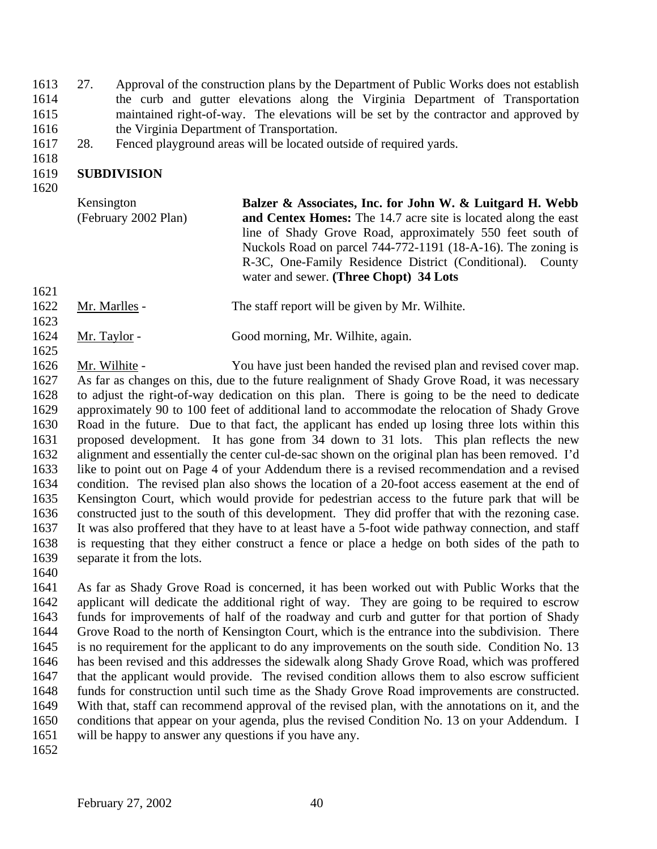27. Approval of the construction plans by the Department of Public Works does not establish the curb and gutter elevations along the Virginia Department of Transportation maintained right-of-way. The elevations will be set by the contractor and approved by the Virginia Department of Transportation.

28. Fenced playground areas will be located outside of required yards.

#### **SUBDIVISION**

Kensington (February 2002 Plan) **Balzer & Associates, Inc. for John W. & Luitgard H. Webb and Centex Homes:** The 14.7 acre site is located along the east line of Shady Grove Road, approximately 550 feet south of Nuckols Road on parcel 744-772-1191 (18-A-16). The zoning is R-3C, One-Family Residence District (Conditional). County water and sewer. **(Three Chopt) 34 Lots** 

- Mr. Marlles The staff report will be given by Mr. Wilhite.
- Mr. Taylor Good morning, Mr. Wilhite, again.

 Mr. Wilhite - You have just been handed the revised plan and revised cover map. As far as changes on this, due to the future realignment of Shady Grove Road, it was necessary to adjust the right-of-way dedication on this plan. There is going to be the need to dedicate approximately 90 to 100 feet of additional land to accommodate the relocation of Shady Grove Road in the future. Due to that fact, the applicant has ended up losing three lots within this proposed development. It has gone from 34 down to 31 lots. This plan reflects the new alignment and essentially the center cul-de-sac shown on the original plan has been removed. I'd like to point out on Page 4 of your Addendum there is a revised recommendation and a revised condition. The revised plan also shows the location of a 20-foot access easement at the end of Kensington Court, which would provide for pedestrian access to the future park that will be constructed just to the south of this development. They did proffer that with the rezoning case. It was also proffered that they have to at least have a 5-foot wide pathway connection, and staff is requesting that they either construct a fence or place a hedge on both sides of the path to separate it from the lots.

 As far as Shady Grove Road is concerned, it has been worked out with Public Works that the applicant will dedicate the additional right of way. They are going to be required to escrow funds for improvements of half of the roadway and curb and gutter for that portion of Shady Grove Road to the north of Kensington Court, which is the entrance into the subdivision. There is no requirement for the applicant to do any improvements on the south side. Condition No. 13 has been revised and this addresses the sidewalk along Shady Grove Road, which was proffered that the applicant would provide. The revised condition allows them to also escrow sufficient funds for construction until such time as the Shady Grove Road improvements are constructed. With that, staff can recommend approval of the revised plan, with the annotations on it, and the conditions that appear on your agenda, plus the revised Condition No. 13 on your Addendum. I will be happy to answer any questions if you have any.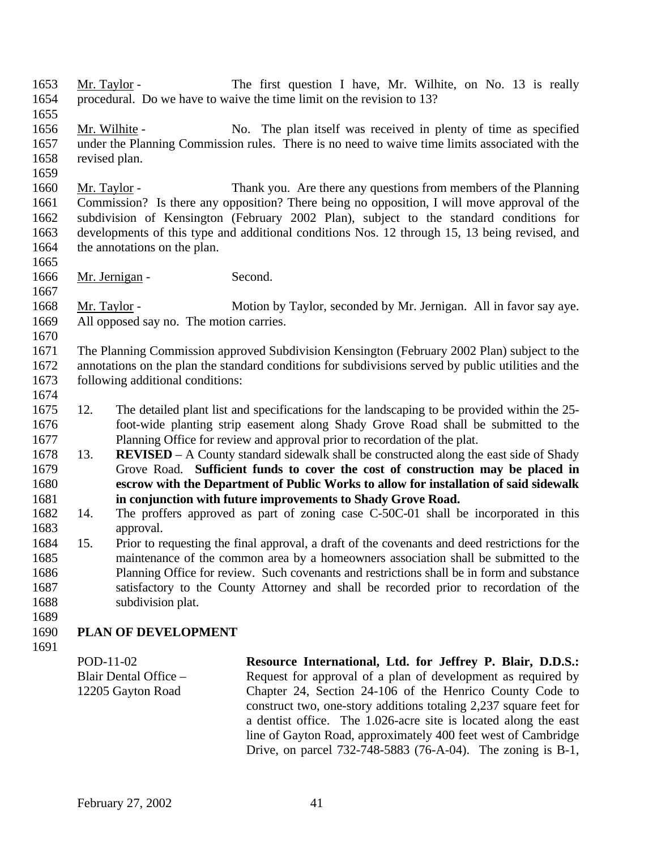- Mr. Taylor The first question I have, Mr. Wilhite, on No. 13 is really procedural. Do we have to waive the time limit on the revision to 13?
- Mr. Wilhite No. The plan itself was received in plenty of time as specified under the Planning Commission rules. There is no need to waive time limits associated with the revised plan.
- Mr. Taylor Thank you. Are there any questions from members of the Planning Commission? Is there any opposition? There being no opposition, I will move approval of the subdivision of Kensington (February 2002 Plan), subject to the standard conditions for developments of this type and additional conditions Nos. 12 through 15, 13 being revised, and 1664 the annotations on the plan.
- 1666 Mr. Jernigan Second.
- Mr. Taylor Motion by Taylor, seconded by Mr. Jernigan. All in favor say aye. All opposed say no. The motion carries.
- 

 The Planning Commission approved Subdivision Kensington (February 2002 Plan) subject to the annotations on the plan the standard conditions for subdivisions served by public utilities and the following additional conditions:

- 12. The detailed plant list and specifications for the landscaping to be provided within the 25- foot-wide planting strip easement along Shady Grove Road shall be submitted to the Planning Office for review and approval prior to recordation of the plat.
- 13. **REVISED** A County standard sidewalk shall be constructed along the east side of Shady Grove Road. **Sufficient funds to cover the cost of construction may be placed in escrow with the Department of Public Works to allow for installation of said sidewalk in conjunction with future improvements to Shady Grove Road.**
- 14. The proffers approved as part of zoning case C-50C-01 shall be incorporated in this approval.
- 15. Prior to requesting the final approval, a draft of the covenants and deed restrictions for the maintenance of the common area by a homeowners association shall be submitted to the Planning Office for review. Such covenants and restrictions shall be in form and substance satisfactory to the County Attorney and shall be recorded prior to recordation of the subdivision plat.
- 

# **PLAN OF DEVELOPMENT**

POD-11-02 Blair Dental Office – 12205 Gayton Road

**Resource International, Ltd. for Jeffrey P. Blair, D.D.S.:** Request for approval of a plan of development as required by Chapter 24, Section 24-106 of the Henrico County Code to construct two, one-story additions totaling 2,237 square feet for a dentist office. The 1.026-acre site is located along the east line of Gayton Road, approximately 400 feet west of Cambridge Drive, on parcel 732-748-5883 (76-A-04). The zoning is B-1,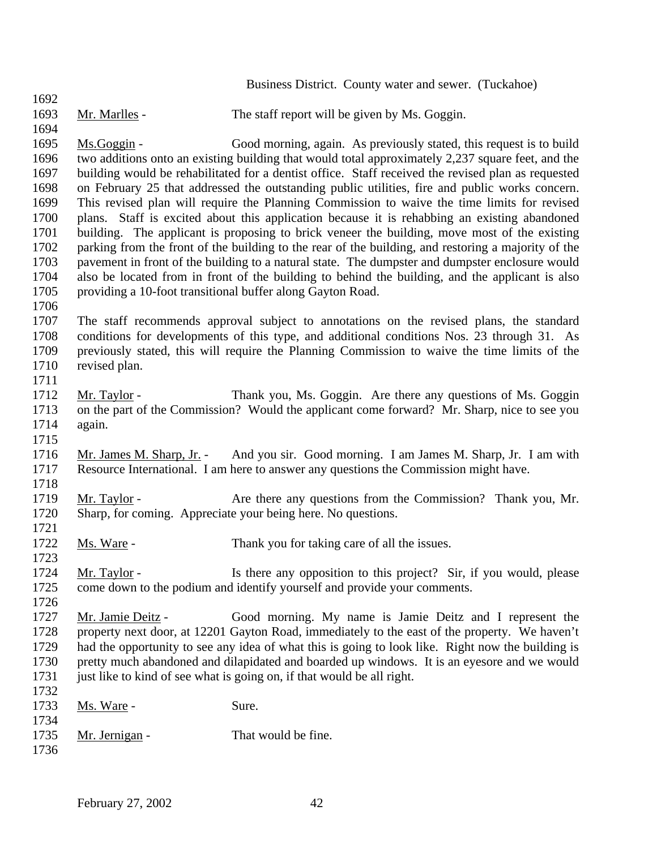|      |                                  | Business District. County water and sewer. (Tuckahoe)                                               |
|------|----------------------------------|-----------------------------------------------------------------------------------------------------|
| 1692 |                                  |                                                                                                     |
| 1693 | Mr. Marlles -                    | The staff report will be given by Ms. Goggin.                                                       |
| 1694 |                                  |                                                                                                     |
| 1695 | $Ms.Goggin -$                    | Good morning, again. As previously stated, this request is to build                                 |
| 1696 |                                  | two additions onto an existing building that would total approximately 2,237 square feet, and the   |
| 1697 |                                  | building would be rehabilitated for a dentist office. Staff received the revised plan as requested  |
| 1698 |                                  | on February 25 that addressed the outstanding public utilities, fire and public works concern.      |
| 1699 |                                  | This revised plan will require the Planning Commission to waive the time limits for revised         |
| 1700 |                                  | plans. Staff is excited about this application because it is rehabbing an existing abandoned        |
| 1701 |                                  | building. The applicant is proposing to brick veneer the building, move most of the existing        |
| 1702 |                                  | parking from the front of the building to the rear of the building, and restoring a majority of the |
| 1703 |                                  | pavement in front of the building to a natural state. The dumpster and dumpster enclosure would     |
| 1704 |                                  | also be located from in front of the building to behind the building, and the applicant is also     |
| 1705 |                                  | providing a 10-foot transitional buffer along Gayton Road.                                          |
| 1706 |                                  |                                                                                                     |
| 1707 |                                  | The staff recommends approval subject to annotations on the revised plans, the standard             |
| 1708 |                                  | conditions for developments of this type, and additional conditions Nos. 23 through 31. As          |
| 1709 |                                  | previously stated, this will require the Planning Commission to waive the time limits of the        |
| 1710 | revised plan.                    |                                                                                                     |
| 1711 |                                  |                                                                                                     |
| 1712 | Mr. Taylor -                     | Thank you, Ms. Goggin. Are there any questions of Ms. Goggin                                        |
| 1713 |                                  | on the part of the Commission? Would the applicant come forward? Mr. Sharp, nice to see you         |
| 1714 | again.                           |                                                                                                     |
| 1715 |                                  |                                                                                                     |
| 1716 | <u>Mr. James M. Sharp, Jr.</u> - | And you sir. Good morning. I am James M. Sharp, Jr. I am with                                       |
| 1717 |                                  | Resource International. I am here to answer any questions the Commission might have.                |
| 1718 |                                  |                                                                                                     |
| 1719 | Mr. Taylor -                     | Are there any questions from the Commission? Thank you, Mr.                                         |
| 1720 |                                  | Sharp, for coming. Appreciate your being here. No questions.                                        |
| 1721 |                                  |                                                                                                     |
| 1722 | Ms. Ware -                       | Thank you for taking care of all the issues.                                                        |
| 1723 |                                  |                                                                                                     |
| 1724 | Mr. Taylor -                     | Is there any opposition to this project? Sir, if you would, please                                  |
| 1725 |                                  | come down to the podium and identify yourself and provide your comments.                            |
| 1726 |                                  |                                                                                                     |
| 1727 | Mr. Jamie Deitz -                | Good morning. My name is Jamie Deitz and I represent the                                            |
| 1728 |                                  | property next door, at 12201 Gayton Road, immediately to the east of the property. We haven't       |
| 1729 |                                  | had the opportunity to see any idea of what this is going to look like. Right now the building is   |
| 1730 |                                  | pretty much abandoned and dilapidated and boarded up windows. It is an eyesore and we would         |
| 1731 |                                  | just like to kind of see what is going on, if that would be all right.                              |
| 1732 |                                  |                                                                                                     |
| 1733 | Ms. Ware -                       | Sure.                                                                                               |
| 1734 |                                  |                                                                                                     |
| 1735 | <u>Mr. Jernigan</u> -            | That would be fine.                                                                                 |
| 1736 |                                  |                                                                                                     |
|      |                                  |                                                                                                     |
|      |                                  |                                                                                                     |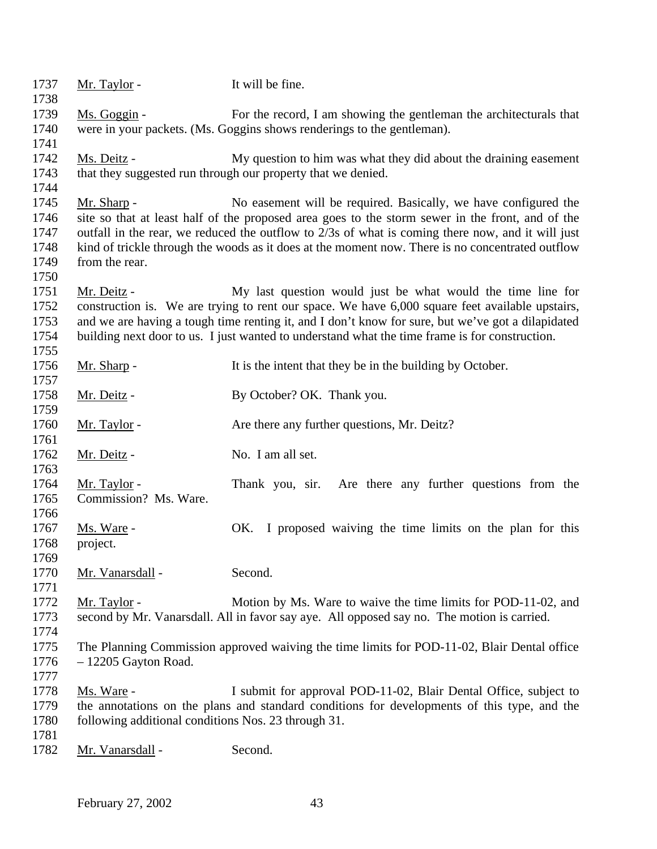| 1737         | Mr. Taylor -                                        | It will be fine.                                                                                  |
|--------------|-----------------------------------------------------|---------------------------------------------------------------------------------------------------|
| 1738         |                                                     |                                                                                                   |
| 1739         | Ms. Goggin -                                        | For the record, I am showing the gentleman the architecturals that                                |
| 1740         |                                                     | were in your packets. (Ms. Goggins shows renderings to the gentleman).                            |
| 1741         |                                                     |                                                                                                   |
| 1742         | Ms. Deitz -                                         | My question to him was what they did about the draining easement                                  |
| 1743         |                                                     | that they suggested run through our property that we denied.                                      |
| 1744         |                                                     |                                                                                                   |
| 1745         | Mr. Sharp -                                         | No easement will be required. Basically, we have configured the                                   |
| 1746         |                                                     | site so that at least half of the proposed area goes to the storm sewer in the front, and of the  |
| 1747         |                                                     | outfall in the rear, we reduced the outflow to 2/3s of what is coming there now, and it will just |
| 1748         |                                                     | kind of trickle through the woods as it does at the moment now. There is no concentrated outflow  |
| 1749         | from the rear.                                      |                                                                                                   |
| 1750         |                                                     |                                                                                                   |
| 1751         | Mr. Deitz -                                         | My last question would just be what would the time line for                                       |
| 1752         |                                                     | construction is. We are trying to rent our space. We have 6,000 square feet available upstairs,   |
| 1753         |                                                     | and we are having a tough time renting it, and I don't know for sure, but we've got a dilapidated |
| 1754         |                                                     | building next door to us. I just wanted to understand what the time frame is for construction.    |
| 1755         |                                                     |                                                                                                   |
| 1756         | Mr. Sharp -                                         | It is the intent that they be in the building by October.                                         |
| 1757         |                                                     |                                                                                                   |
| 1758         | Mr. Deitz -                                         | By October? OK. Thank you.                                                                        |
| 1759         |                                                     |                                                                                                   |
| 1760<br>1761 | Mr. Taylor -                                        | Are there any further questions, Mr. Deitz?                                                       |
| 1762         | <u>Mr. Deitz</u> -                                  | No. I am all set.                                                                                 |
| 1763         |                                                     |                                                                                                   |
| 1764         | <u>Mr. Taylor</u> -                                 | Thank you, sir.<br>Are there any further questions from the                                       |
| 1765         | Commission? Ms. Ware.                               |                                                                                                   |
| 1766         |                                                     |                                                                                                   |
| 1767         | Ms. Ware -                                          | OK. I proposed waiving the time limits on the plan for this                                       |
| 1768         | project.                                            |                                                                                                   |
| 1769         |                                                     |                                                                                                   |
| 1770         | Mr. Vanarsdall -                                    | Second.                                                                                           |
| 1771         |                                                     |                                                                                                   |
| 1772         | Mr. Taylor -                                        | Motion by Ms. Ware to waive the time limits for POD-11-02, and                                    |
| 1773         |                                                     | second by Mr. Vanarsdall. All in favor say aye. All opposed say no. The motion is carried.        |
| 1774         |                                                     |                                                                                                   |
| 1775         |                                                     | The Planning Commission approved waiving the time limits for POD-11-02, Blair Dental office       |
| 1776         | $-12205$ Gayton Road.                               |                                                                                                   |
| 1777         |                                                     |                                                                                                   |
| 1778         | Ms. Ware -                                          | I submit for approval POD-11-02, Blair Dental Office, subject to                                  |
| 1779         |                                                     | the annotations on the plans and standard conditions for developments of this type, and the       |
| 1780         | following additional conditions Nos. 23 through 31. |                                                                                                   |
| 1781         |                                                     |                                                                                                   |
| 1782         | Mr. Vanarsdall -                                    | Second.                                                                                           |
|              |                                                     |                                                                                                   |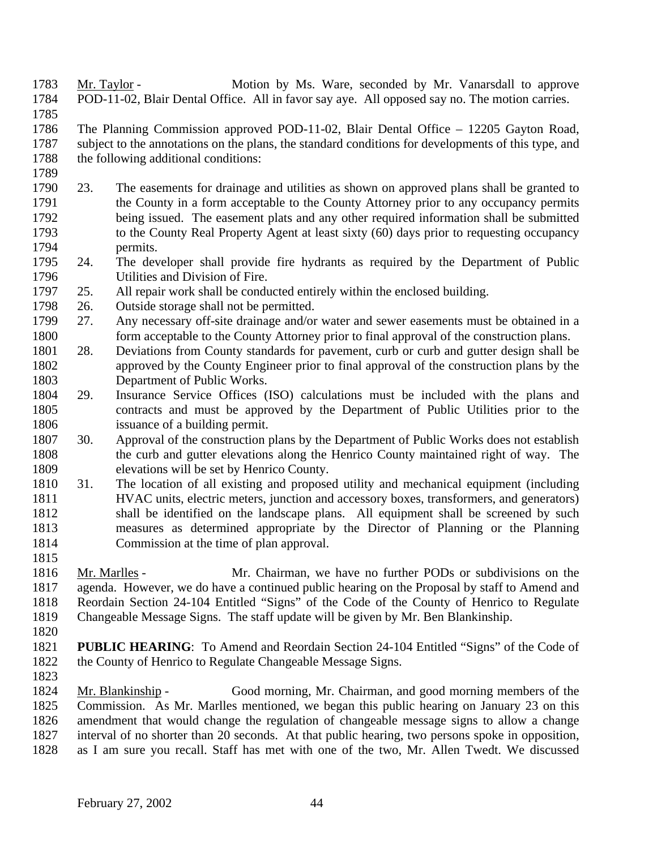- Mr. Taylor Motion by Ms. Ware, seconded by Mr. Vanarsdall to approve POD-11-02, Blair Dental Office. All in favor say aye. All opposed say no. The motion carries.
- The Planning Commission approved POD-11-02, Blair Dental Office 12205 Gayton Road, subject to the annotations on the plans, the standard conditions for developments of this type, and 1788 the following additional conditions:
- 23. The easements for drainage and utilities as shown on approved plans shall be granted to the County in a form acceptable to the County Attorney prior to any occupancy permits 1792 being issued. The easement plats and any other required information shall be submitted<br>1793 to the County Real Property Agent at least sixty (60) days prior to requesting occupancy to the County Real Property Agent at least sixty  $(60)$  days prior to requesting occupancy permits.
- 24. The developer shall provide fire hydrants as required by the Department of Public Utilities and Division of Fire.
- 25. All repair work shall be conducted entirely within the enclosed building.
- 26. Outside storage shall not be permitted.
- 27. Any necessary off-site drainage and/or water and sewer easements must be obtained in a form acceptable to the County Attorney prior to final approval of the construction plans.
- 28. Deviations from County standards for pavement, curb or curb and gutter design shall be approved by the County Engineer prior to final approval of the construction plans by the Department of Public Works.
- 29. Insurance Service Offices (ISO) calculations must be included with the plans and contracts and must be approved by the Department of Public Utilities prior to the issuance of a building permit.
- 30. Approval of the construction plans by the Department of Public Works does not establish the curb and gutter elevations along the Henrico County maintained right of way. The elevations will be set by Henrico County.
- 31. The location of all existing and proposed utility and mechanical equipment (including 1811 HVAC units, electric meters, junction and accessory boxes, transformers, and generators) shall be identified on the landscape plans. All equipment shall be screened by such measures as determined appropriate by the Director of Planning or the Planning Commission at the time of plan approval.
- 

- Mr. Marlles Mr. Chairman, we have no further PODs or subdivisions on the agenda. However, we do have a continued public hearing on the Proposal by staff to Amend and Reordain Section 24-104 Entitled "Signs" of the Code of the County of Henrico to Regulate Changeable Message Signs. The staff update will be given by Mr. Ben Blankinship.
- 
- **PUBLIC HEARING**: To Amend and Reordain Section 24-104 Entitled "Signs" of the Code of the County of Henrico to Regulate Changeable Message Signs.
- 

 Mr. Blankinship - Good morning, Mr. Chairman, and good morning members of the Commission. As Mr. Marlles mentioned, we began this public hearing on January 23 on this amendment that would change the regulation of changeable message signs to allow a change interval of no shorter than 20 seconds. At that public hearing, two persons spoke in opposition, as I am sure you recall. Staff has met with one of the two, Mr. Allen Twedt. We discussed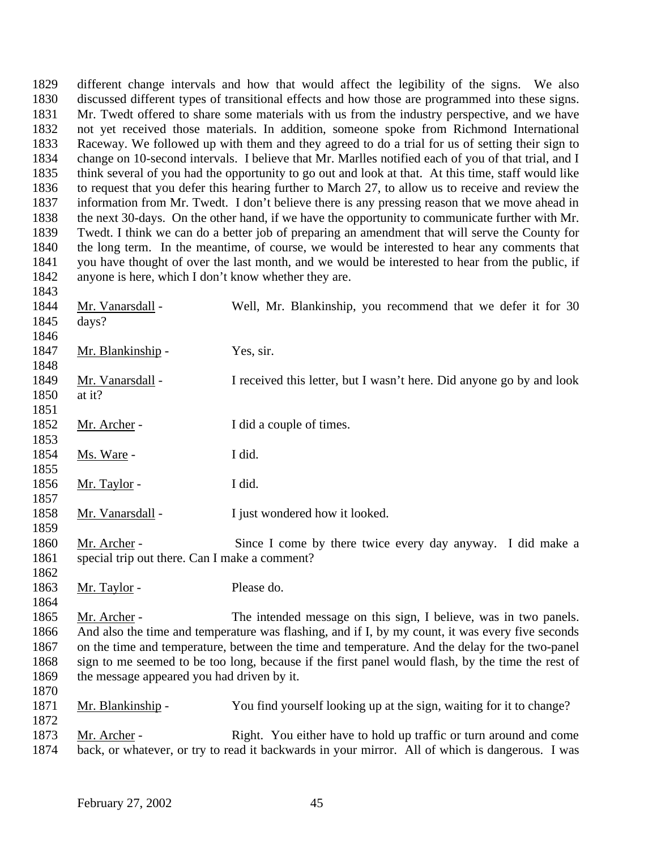different change intervals and how that would affect the legibility of the signs. We also discussed different types of transitional effects and how those are programmed into these signs. Mr. Twedt offered to share some materials with us from the industry perspective, and we have not yet received those materials. In addition, someone spoke from Richmond International Raceway. We followed up with them and they agreed to do a trial for us of setting their sign to change on 10-second intervals. I believe that Mr. Marlles notified each of you of that trial, and I think several of you had the opportunity to go out and look at that. At this time, staff would like to request that you defer this hearing further to March 27, to allow us to receive and review the information from Mr. Twedt. I don't believe there is any pressing reason that we move ahead in the next 30-days. On the other hand, if we have the opportunity to communicate further with Mr. Twedt. I think we can do a better job of preparing an amendment that will serve the County for the long term. In the meantime, of course, we would be interested to hear any comments that you have thought of over the last month, and we would be interested to hear from the public, if anyone is here, which I don't know whether they are. Mr. Vanarsdall - Well, Mr. Blankinship, you recommend that we defer it for 30 days? 1847 Mr. Blankinship - Yes, sir. Mr. Vanarsdall - I received this letter, but I wasn't here. Did anyone go by and look at it? 1852 Mr. Archer - I did a couple of times. Ms. Ware - I did. 1856 Mr. Taylor - I did. Mr. Vanarsdall - I just wondered how it looked. Mr. Archer - Since I come by there twice every day anyway. I did make a special trip out there. Can I make a comment? 1863 Mr. Taylor - Please do. 1865 Mr. Archer - The intended message on this sign, I believe, was in two panels. And also the time and temperature was flashing, and if I, by my count, it was every five seconds on the time and temperature, between the time and temperature. And the delay for the two-panel sign to me seemed to be too long, because if the first panel would flash, by the time the rest of the message appeared you had driven by it. Mr. Blankinship - You find yourself looking up at the sign, waiting for it to change? Mr. Archer - Right. You either have to hold up traffic or turn around and come back, or whatever, or try to read it backwards in your mirror. All of which is dangerous. I was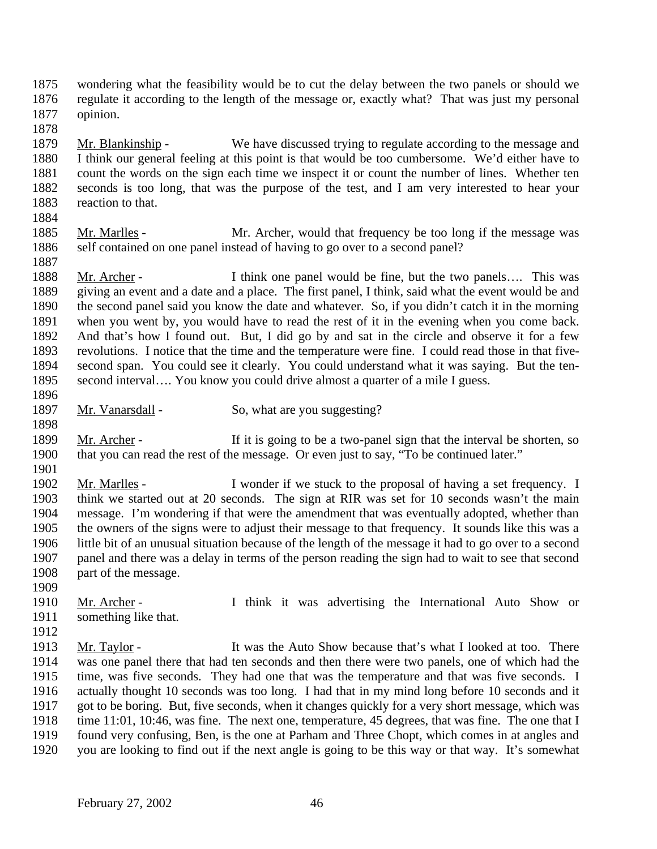- wondering what the feasibility would be to cut the delay between the two panels or should we regulate it according to the length of the message or, exactly what? That was just my personal opinion.
- Mr. Blankinship - We have discussed trying to regulate according to the message and I think our general feeling at this point is that would be too cumbersome. We'd either have to count the words on the sign each time we inspect it or count the number of lines. Whether ten seconds is too long, that was the purpose of the test, and I am very interested to hear your 1883 reaction to that.
- 

- Mr. Marlles Mr. Archer, would that frequency be too long if the message was 1886 self contained on one panel instead of having to go over to a second panel?
- 1888 Mr. Archer I think one panel would be fine, but the two panels.... This was giving an event and a date and a place. The first panel, I think, said what the event would be and the second panel said you know the date and whatever. So, if you didn't catch it in the morning when you went by, you would have to read the rest of it in the evening when you come back. And that's how I found out. But, I did go by and sat in the circle and observe it for a few revolutions. I notice that the time and the temperature were fine. I could read those in that five- second span. You could see it clearly. You could understand what it was saying. But the ten- second interval…. You know you could drive almost a quarter of a mile I guess.
- 1897 Mr. Vanarsdall So, what are you suggesting?
- 1899 Mr. Archer If it is going to be a two-panel sign that the interval be shorten, so that you can read the rest of the message. Or even just to say, "To be continued later."
- 

- Mr. Marlles I wonder if we stuck to the proposal of having a set frequency. I think we started out at 20 seconds. The sign at RIR was set for 10 seconds wasn't the main message. I'm wondering if that were the amendment that was eventually adopted, whether than the owners of the signs were to adjust their message to that frequency. It sounds like this was a little bit of an unusual situation because of the length of the message it had to go over to a second panel and there was a delay in terms of the person reading the sign had to wait to see that second part of the message.
- 
- 1910 Mr. Archer I think it was advertising the International Auto Show or something like that.
- Mr. Taylor It was the Auto Show because that's what I looked at too. There was one panel there that had ten seconds and then there were two panels, one of which had the time, was five seconds. They had one that was the temperature and that was five seconds. I actually thought 10 seconds was too long. I had that in my mind long before 10 seconds and it got to be boring. But, five seconds, when it changes quickly for a very short message, which was time 11:01, 10:46, was fine. The next one, temperature, 45 degrees, that was fine. The one that I found very confusing, Ben, is the one at Parham and Three Chopt, which comes in at angles and you are looking to find out if the next angle is going to be this way or that way. It's somewhat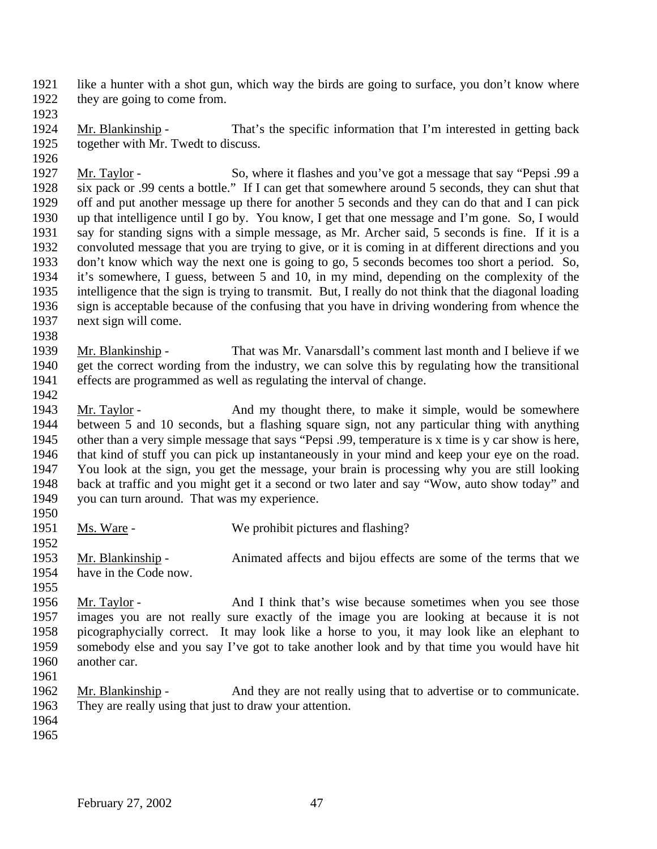like a hunter with a shot gun, which way the birds are going to surface, you don't know where they are going to come from.

1924 Mr. Blankinship - That's the specific information that I'm interested in getting back together with Mr. Twedt to discuss.

 Mr. Taylor - So, where it flashes and you've got a message that say "Pepsi .99 a six pack or .99 cents a bottle." If I can get that somewhere around 5 seconds, they can shut that off and put another message up there for another 5 seconds and they can do that and I can pick up that intelligence until I go by. You know, I get that one message and I'm gone. So, I would say for standing signs with a simple message, as Mr. Archer said, 5 seconds is fine. If it is a convoluted message that you are trying to give, or it is coming in at different directions and you don't know which way the next one is going to go, 5 seconds becomes too short a period. So, 1934 it's somewhere, I guess, between 5 and 10, in my mind, depending on the complexity of the intelligence that the sign is trying to transmit. But, I really do not think that the diagonal loading intelligence that the sign is trying to transmit. But, I really do not think that the diagonal loading sign is acceptable because of the confusing that you have in driving wondering from whence the next sign will come.

 Mr. Blankinship - That was Mr. Vanarsdall's comment last month and I believe if we get the correct wording from the industry, we can solve this by regulating how the transitional effects are programmed as well as regulating the interval of change.

1943 Mr. Taylor - And my thought there, to make it simple, would be somewhere between 5 and 10 seconds, but a flashing square sign, not any particular thing with anything other than a very simple message that says "Pepsi .99, temperature is x time is y car show is here, that kind of stuff you can pick up instantaneously in your mind and keep your eye on the road. You look at the sign, you get the message, your brain is processing why you are still looking back at traffic and you might get it a second or two later and say "Wow, auto show today" and you can turn around. That was my experience.

- 
- Ms. Ware We prohibit pictures and flashing?

 Mr. Blankinship - Animated affects and bijou effects are some of the terms that we have in the Code now.

1956 Mr. Taylor - And I think that's wise because sometimes when you see those images you are not really sure exactly of the image you are looking at because it is not picographycially correct. It may look like a horse to you, it may look like an elephant to somebody else and you say I've got to take another look and by that time you would have hit another car.

 Mr. Blankinship - And they are not really using that to advertise or to communicate. They are really using that just to draw your attention.

- 
-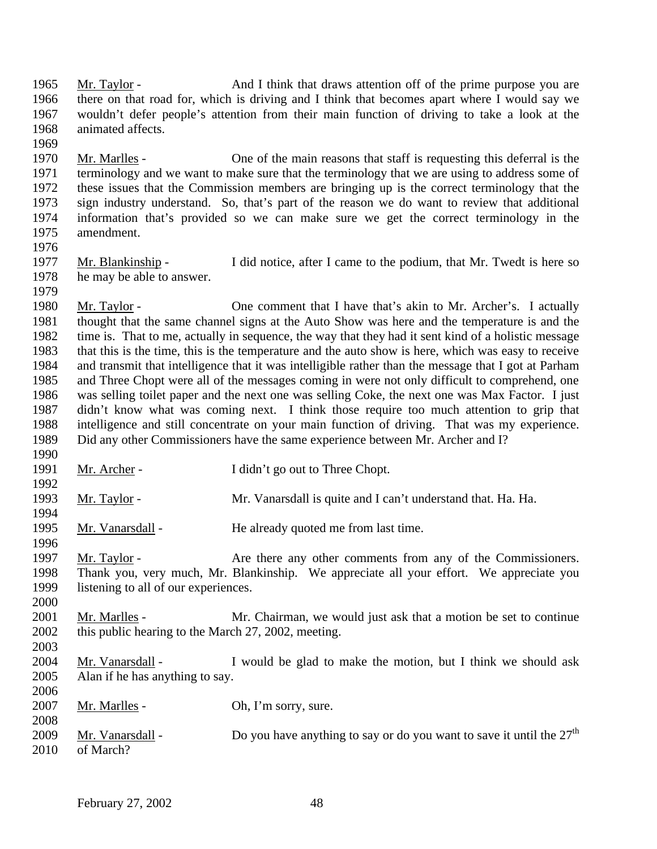Mr. Taylor - And I think that draws attention off of the prime purpose you are there on that road for, which is driving and I think that becomes apart where I would say we wouldn't defer people's attention from their main function of driving to take a look at the animated affects.

 Mr. Marlles - One of the main reasons that staff is requesting this deferral is the terminology and we want to make sure that the terminology that we are using to address some of these issues that the Commission members are bringing up is the correct terminology that the sign industry understand. So, that's part of the reason we do want to review that additional information that's provided so we can make sure we get the correct terminology in the amendment.

1977 Mr. Blankinship - I did notice, after I came to the podium, that Mr. Twedt is here so he may be able to answer. 

 Mr. Taylor - One comment that I have that's akin to Mr. Archer's. I actually thought that the same channel signs at the Auto Show was here and the temperature is and the time is. That to me, actually in sequence, the way that they had it sent kind of a holistic message that this is the time, this is the temperature and the auto show is here, which was easy to receive and transmit that intelligence that it was intelligible rather than the message that I got at Parham and Three Chopt were all of the messages coming in were not only difficult to comprehend, one was selling toilet paper and the next one was selling Coke, the next one was Max Factor. I just didn't know what was coming next. I think those require too much attention to grip that intelligence and still concentrate on your main function of driving. That was my experience. Did any other Commissioners have the same experience between Mr. Archer and I? 

- 1991 Mr. Archer I didn't go out to Three Chopt.
- 1993 Mr. Taylor Mr. Vanarsdall is quite and I can't understand that. Ha. Ha.
- Mr. Vanarsdall He already quoted me from last time.
- Mr. Taylor Are there any other comments from any of the Commissioners. Thank you, very much, Mr. Blankinship. We appreciate all your effort. We appreciate you listening to all of our experiences.
- 2001 Mr. Marlles Mr. Chairman, we would just ask that a motion be set to continue 2002 this public hearing to the March 27, 2002, meeting.
- 
- Mr. Vanarsdall I would be glad to make the motion, but I think we should ask Alan if he has anything to say.

| 2006 |                  |                                                                        |
|------|------------------|------------------------------------------------------------------------|
| 2007 | Mr. Marlles -    | Oh, I'm sorry, sure.                                                   |
| 2008 |                  |                                                                        |
| 2009 | Mr. Vanarsdall - | Do you have anything to say or do you want to save it until the $27th$ |
| 2010 | of March?        |                                                                        |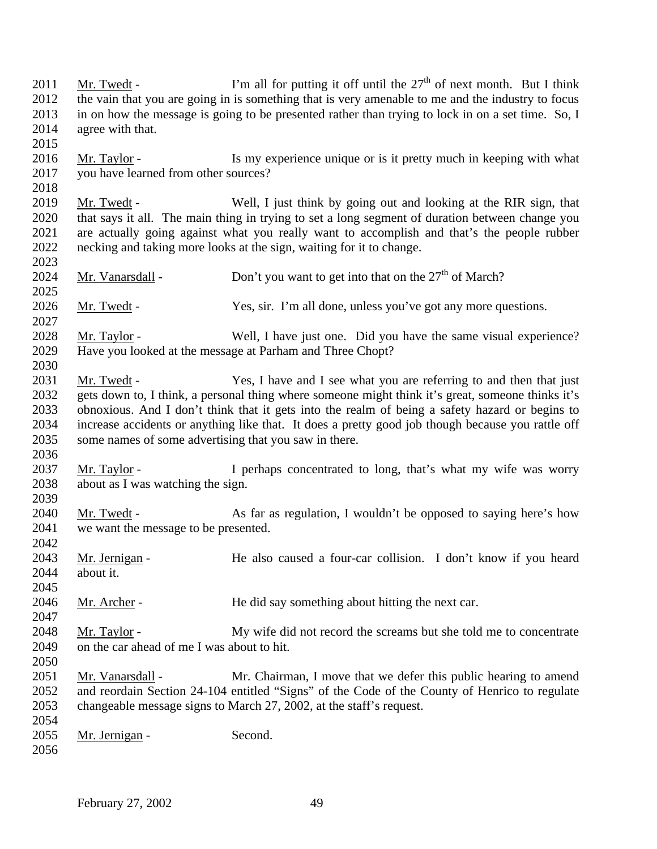2011 Mr. Twedt - I'm all for putting it off until the  $27<sup>th</sup>$  of next month. But I think the vain that you are going in is something that is very amenable to me and the industry to focus in on how the message is going to be presented rather than trying to lock in on a set time. So, I agree with that. Mr. Taylor - Is my experience unique or is it pretty much in keeping with what you have learned from other sources? Mr. Twedt - Well, I just think by going out and looking at the RIR sign, that 2020 that says it all. The main thing in trying to set a long segment of duration between change you<br>2021 are actually going against what you really want to accomplish and that's the people rubber are actually going against what you really want to accomplish and that's the people rubber necking and taking more looks at the sign, waiting for it to change. 2024 Mr. Vanarsdall - Don't you want to get into that on the  $27<sup>th</sup>$  of March? Mr. Twedt - Yes, sir. I'm all done, unless you've got any more questions. Mr. Taylor - Well, I have just one. Did you have the same visual experience? Have you looked at the message at Parham and Three Chopt? Mr. Twedt - Yes, I have and I see what you are referring to and then that just gets down to, I think, a personal thing where someone might think it's great, someone thinks it's obnoxious. And I don't think that it gets into the realm of being a safety hazard or begins to increase accidents or anything like that. It does a pretty good job though because you rattle off some names of some advertising that you saw in there. 2037 Mr. Taylor - I perhaps concentrated to long, that's what my wife was worry about as I was watching the sign. Mr. Twedt - As far as regulation, I wouldn't be opposed to saying here's how we want the message to be presented. Mr. Jernigan - He also caused a four-car collision. I don't know if you heard about it. Mr. Archer - He did say something about hitting the next car. Mr. Taylor - My wife did not record the screams but she told me to concentrate on the car ahead of me I was about to hit. 2051 Mr. Vanarsdall - Mr. Chairman, I move that we defer this public hearing to amend and reordain Section 24-104 entitled "Signs" of the Code of the County of Henrico to regulate changeable message signs to March 27, 2002, at the staff's request. Mr. Jernigan - Second.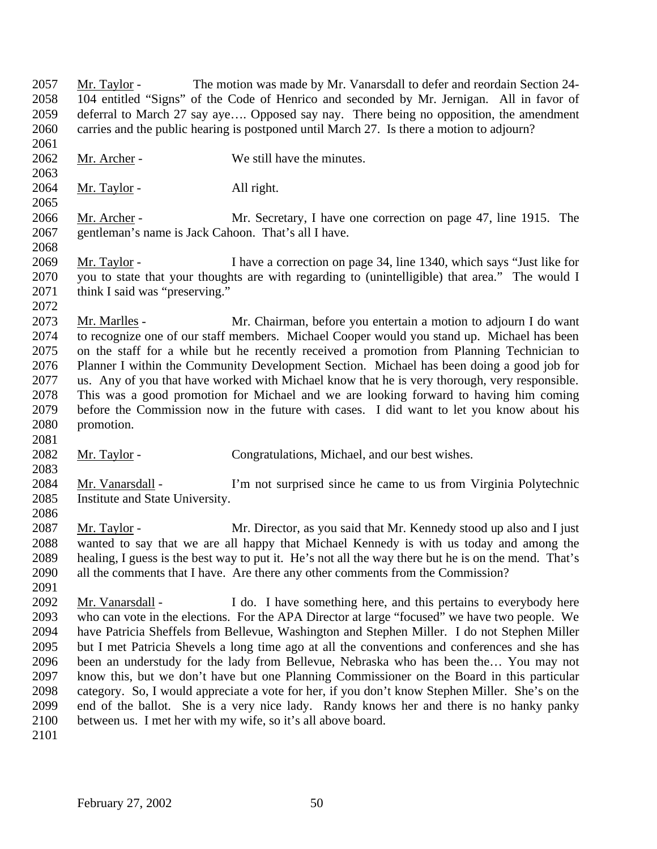Mr. Taylor - The motion was made by Mr. Vanarsdall to defer and reordain Section 24- 104 entitled "Signs" of the Code of Henrico and seconded by Mr. Jernigan. All in favor of deferral to March 27 say aye…. Opposed say nay. There being no opposition, the amendment carries and the public hearing is postponed until March 27. Is there a motion to adjourn? 2062 Mr. Archer - We still have the minutes. 2064 Mr. Taylor - All right. 2066 Mr. Archer - Mr. Secretary, I have one correction on page 47, line 1915. The gentleman's name is Jack Cahoon. That's all I have. Mr. Taylor - I have a correction on page 34, line 1340, which says "Just like for you to state that your thoughts are with regarding to (unintelligible) that area." The would I 2071 think I said was "preserving." Mr. Marlles - Mr. Chairman, before you entertain a motion to adjourn I do want to recognize one of our staff members. Michael Cooper would you stand up. Michael has been on the staff for a while but he recently received a promotion from Planning Technician to Planner I within the Community Development Section. Michael has been doing a good job for us. Any of you that have worked with Michael know that he is very thorough, very responsible. This was a good promotion for Michael and we are looking forward to having him coming before the Commission now in the future with cases. I did want to let you know about his promotion. Mr. Taylor - Congratulations, Michael, and our best wishes. Mr. Vanarsdall - I'm not surprised since he came to us from Virginia Polytechnic Institute and State University. Mr. Taylor - Mr. Director, as you said that Mr. Kennedy stood up also and I just wanted to say that we are all happy that Michael Kennedy is with us today and among the healing, I guess is the best way to put it. He's not all the way there but he is on the mend. That's all the comments that I have. Are there any other comments from the Commission? Mr. Vanarsdall - I do. I have something here, and this pertains to everybody here who can vote in the elections. For the APA Director at large "focused" we have two people. We have Patricia Sheffels from Bellevue, Washington and Stephen Miller. I do not Stephen Miller but I met Patricia Shevels a long time ago at all the conventions and conferences and she has been an understudy for the lady from Bellevue, Nebraska who has been the… You may not know this, but we don't have but one Planning Commissioner on the Board in this particular category. So, I would appreciate a vote for her, if you don't know Stephen Miller. She's on the end of the ballot. She is a very nice lady. Randy knows her and there is no hanky panky between us. I met her with my wife, so it's all above board.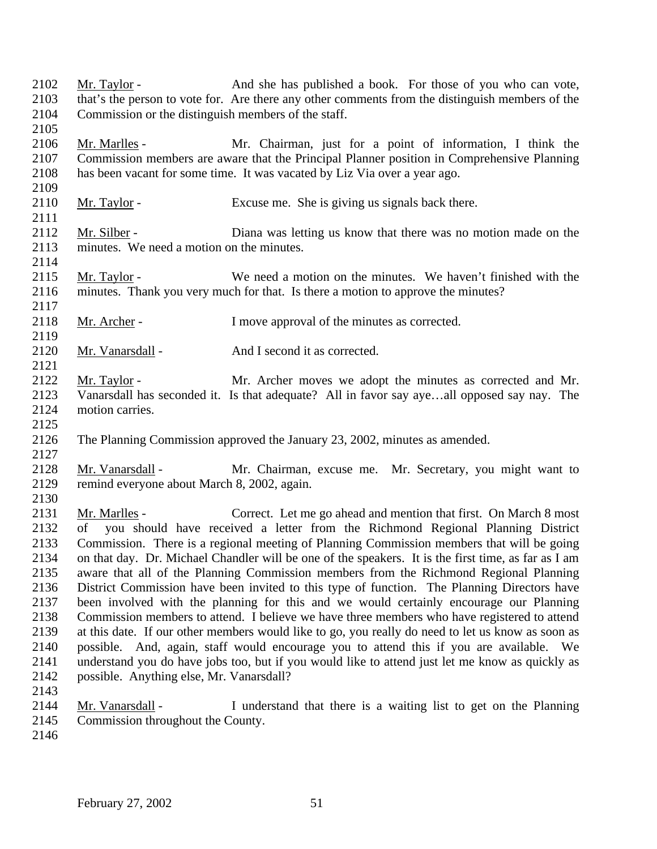Mr. Taylor - And she has published a book. For those of you who can vote, that's the person to vote for. Are there any other comments from the distinguish members of the Commission or the distinguish members of the staff. Mr. Marlles - Mr. Chairman, just for a point of information, I think the Commission members are aware that the Principal Planner position in Comprehensive Planning has been vacant for some time. It was vacated by Liz Via over a year ago. 2110 Mr. Taylor - Excuse me. She is giving us signals back there. 2111<br>2112 Mr. Silber - Diana was letting us know that there was no motion made on the minutes. We need a motion on the minutes. 2115 Mr. Taylor - We need a motion on the minutes. We haven't finished with the minutes. Thank you very much for that. Is there a motion to approve the minutes? 2118 Mr. Archer - I move approval of the minutes as corrected. 2120 Mr. Vanarsdall - And I second it as corrected. Mr. Taylor - Mr. Archer moves we adopt the minutes as corrected and Mr. Vanarsdall has seconded it. Is that adequate? All in favor say aye…all opposed say nay. The motion carries. The Planning Commission approved the January 23, 2002, minutes as amended. 2128 Mr. Vanarsdall - Mr. Chairman, excuse me. Mr. Secretary, you might want to remind everyone about March 8, 2002, again. Mr. Marlles - Correct. Let me go ahead and mention that first. On March 8 most of you should have received a letter from the Richmond Regional Planning District Commission. There is a regional meeting of Planning Commission members that will be going on that day. Dr. Michael Chandler will be one of the speakers. It is the first time, as far as I am aware that all of the Planning Commission members from the Richmond Regional Planning District Commission have been invited to this type of function. The Planning Directors have been involved with the planning for this and we would certainly encourage our Planning Commission members to attend. I believe we have three members who have registered to attend at this date. If our other members would like to go, you really do need to let us know as soon as possible. And, again, staff would encourage you to attend this if you are available. We understand you do have jobs too, but if you would like to attend just let me know as quickly as possible. Anything else, Mr. Vanarsdall? Mr. Vanarsdall - I understand that there is a waiting list to get on the Planning Commission throughout the County.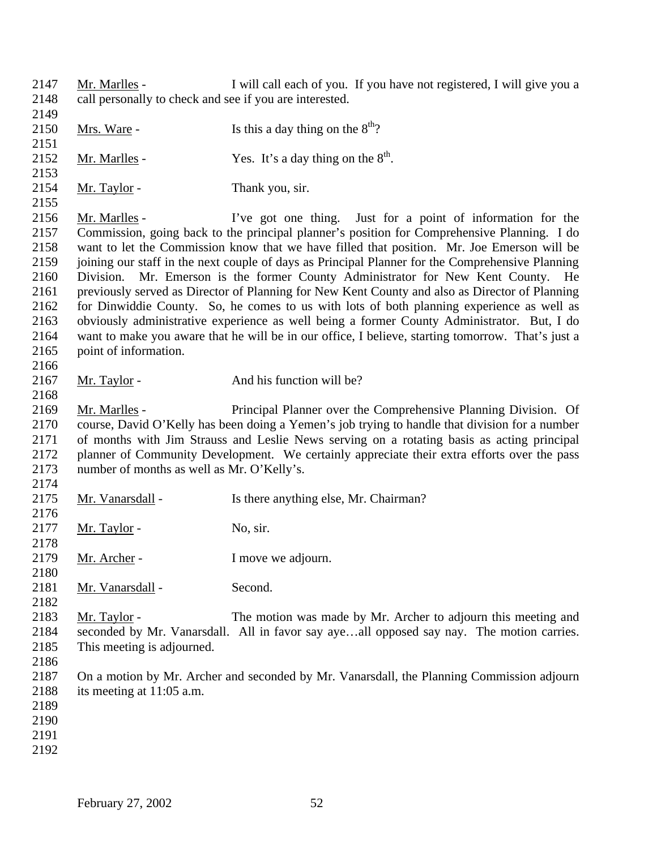Mr. Marlles - I will call each of you. If you have not registered, I will give you a call personally to check and see if you are interested. 2150 Mrs. Ware - Is this a day thing on the  $8<sup>th</sup>$ ? 2152 Mr. Marlles - Yes. It's a day thing on the  $8<sup>th</sup>$ . 2154 Mr. Taylor - Thank you, sir. Mr. Marlles - I've got one thing. Just for a point of information for the Commission, going back to the principal planner's position for Comprehensive Planning. I do want to let the Commission know that we have filled that position. Mr. Joe Emerson will be joining our staff in the next couple of days as Principal Planner for the Comprehensive Planning Division. Mr. Emerson is the former County Administrator for New Kent County. He previously served as Director of Planning for New Kent County and also as Director of Planning for Dinwiddie County. So, he comes to us with lots of both planning experience as well as obviously administrative experience as well being a former County Administrator. But, I do want to make you aware that he will be in our office, I believe, starting tomorrow. That's just a point of information. 2167 Mr. Taylor - And his function will be? Mr. Marlles - Principal Planner over the Comprehensive Planning Division. Of course, David O'Kelly has been doing a Yemen's job trying to handle that division for a number of months with Jim Strauss and Leslie News serving on a rotating basis as acting principal planner of Community Development. We certainly appreciate their extra efforts over the pass number of months as well as Mr. O'Kelly's. 2175 Mr. Vanarsdall - Is there anything else, Mr. Chairman? Mr. Taylor - No, sir. 2179 Mr. Archer - I move we adjourn. 2181 Mr. Vanarsdall - Second. Mr. Taylor - The motion was made by Mr. Archer to adjourn this meeting and seconded by Mr. Vanarsdall. All in favor say aye…all opposed say nay. The motion carries. This meeting is adjourned. On a motion by Mr. Archer and seconded by Mr. Vanarsdall, the Planning Commission adjourn its meeting at 11:05 a.m.